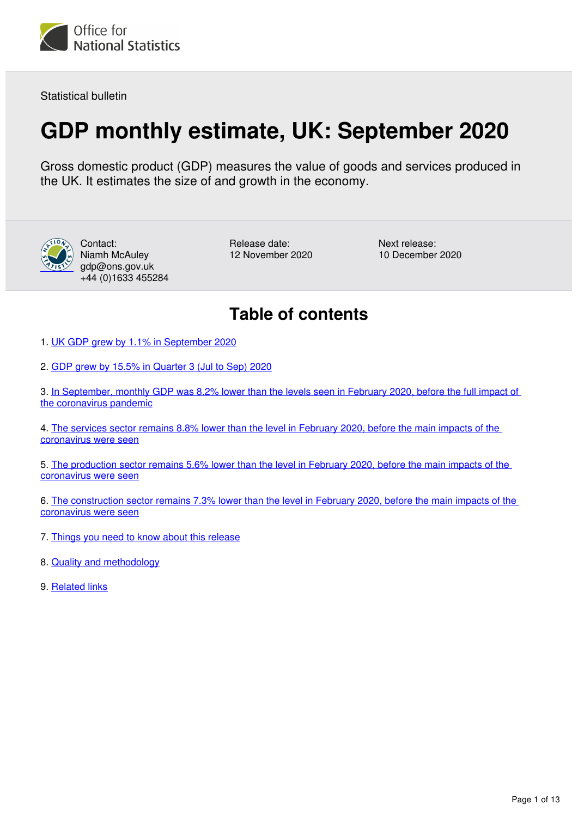

Statistical bulletin

# **GDP monthly estimate, UK: September 2020**

Gross domestic product (GDP) measures the value of goods and services produced in the UK. It estimates the size of and growth in the economy.



Contact: Niamh McAuley gdp@ons.gov.uk +44 (0)1633 455284

Release date: 12 November 2020 Next release: 10 December 2020

# **Table of contents**

1. [UK GDP grew by 1.1% in September 2020](#page-1-0)

2. [GDP grew by 15.5% in Quarter 3 \(Jul to Sep\) 2020](#page-2-0)

3. [In September, monthly GDP was 8.2% lower than the levels seen in February 2020, before the full impact of](#page-4-0)  [the coronavirus pandemic](#page-4-0)

4. [The services sector remains 8.8% lower than the level in February 2020, before the main impacts of the](#page-5-0)  [coronavirus were seen](#page-5-0)

5. [The production sector remains 5.6% lower than the level in February 2020, before the main impacts of the](#page-7-0)  [coronavirus were seen](#page-7-0)

6. [The construction sector remains 7.3% lower than the level in February 2020, before the main impacts of the](#page-8-0)  [coronavirus were seen](#page-8-0)

- 7. [Things you need to know about this release](#page-9-0)
- 8. [Quality and methodology](#page-11-0)
- 9. [Related links](#page-12-0)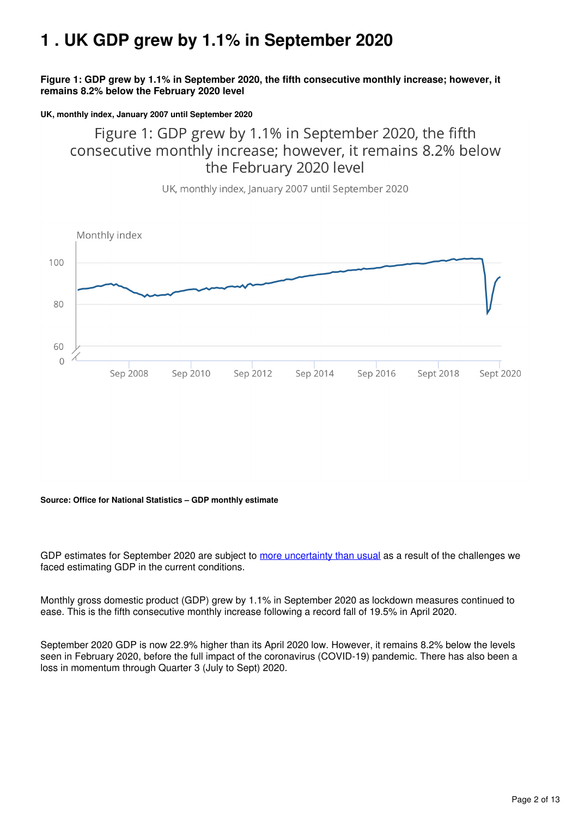# <span id="page-1-0"></span>**1 . UK GDP grew by 1.1% in September 2020**

**Figure 1: GDP grew by 1.1% in September 2020, the fifth consecutive monthly increase; however, it remains 8.2% below the February 2020 level**

#### **UK, monthly index, January 2007 until September 2020**

Figure 1: GDP grew by 1.1% in September 2020, the fifth consecutive monthly increase; however, it remains 8.2% below the February 2020 level

UK, monthly index, January 2007 until September 2020



#### **Source: Office for National Statistics – GDP monthly estimate**

GDP estimates for September 2020 are subject to [more uncertainty than usual](https://www.ons.gov.uk/economy/nationalaccounts/uksectoraccounts/articles/coronavirusandtheeffectsonukgdp/2020-05-06#practical-challenges) as a result of the challenges we faced estimating GDP in the current conditions.

Monthly gross domestic product (GDP) grew by 1.1% in September 2020 as lockdown measures continued to ease. This is the fifth consecutive monthly increase following a record fall of 19.5% in April 2020.

September 2020 GDP is now 22.9% higher than its April 2020 low. However, it remains 8.2% below the levels seen in February 2020, before the full impact of the coronavirus (COVID-19) pandemic. There has also been a loss in momentum through Quarter 3 (July to Sept) 2020.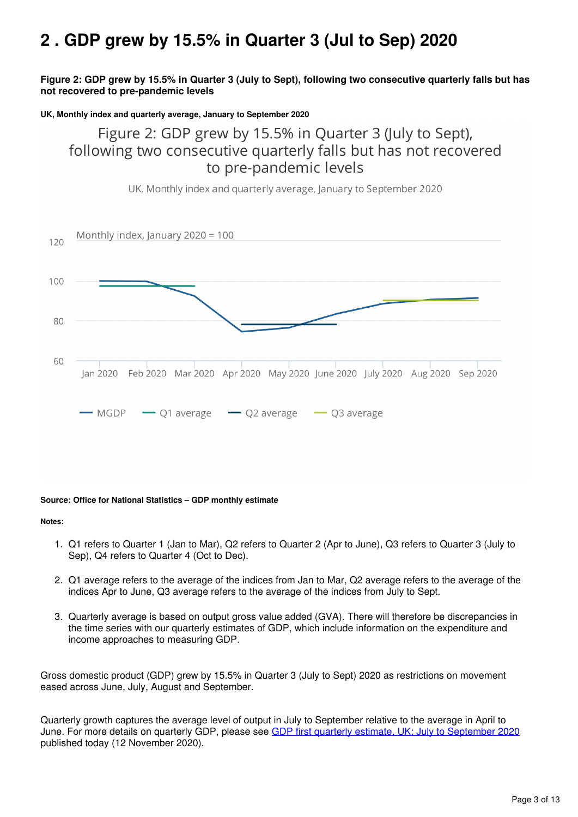# <span id="page-2-0"></span>**2 . GDP grew by 15.5% in Quarter 3 (Jul to Sep) 2020**

### **Figure 2: GDP grew by 15.5% in Quarter 3 (July to Sept), following two consecutive quarterly falls but has not recovered to pre-pandemic levels**

#### **UK, Monthly index and quarterly average, January to September 2020**

Figure 2: GDP grew by 15.5% in Quarter 3 (July to Sept), following two consecutive quarterly falls but has not recovered to pre-pandemic levels



UK, Monthly index and quarterly average, January to September 2020

#### **Source: Office for National Statistics – GDP monthly estimate**

#### **Notes:**

- 1. Q1 refers to Quarter 1 (Jan to Mar), Q2 refers to Quarter 2 (Apr to June), Q3 refers to Quarter 3 (July to Sep), Q4 refers to Quarter 4 (Oct to Dec).
- 2. Q1 average refers to the average of the indices from Jan to Mar, Q2 average refers to the average of the indices Apr to June, Q3 average refers to the average of the indices from July to Sept.
- 3. Quarterly average is based on output gross value added (GVA). There will therefore be discrepancies in the time series with our quarterly estimates of GDP, which include information on the expenditure and income approaches to measuring GDP.

Gross domestic product (GDP) grew by 15.5% in Quarter 3 (July to Sept) 2020 as restrictions on movement eased across June, July, August and September.

Quarterly growth captures the average level of output in July to September relative to the average in April to June. For more details on quarterly GDP, please see [GDP first quarterly estimate, UK: July to September 2020](https://www.ons.gov.uk/economy/grossdomesticproductgdp/bulletins/gdpfirstquarterlyestimateuk/julytoseptember2020) published today (12 November 2020).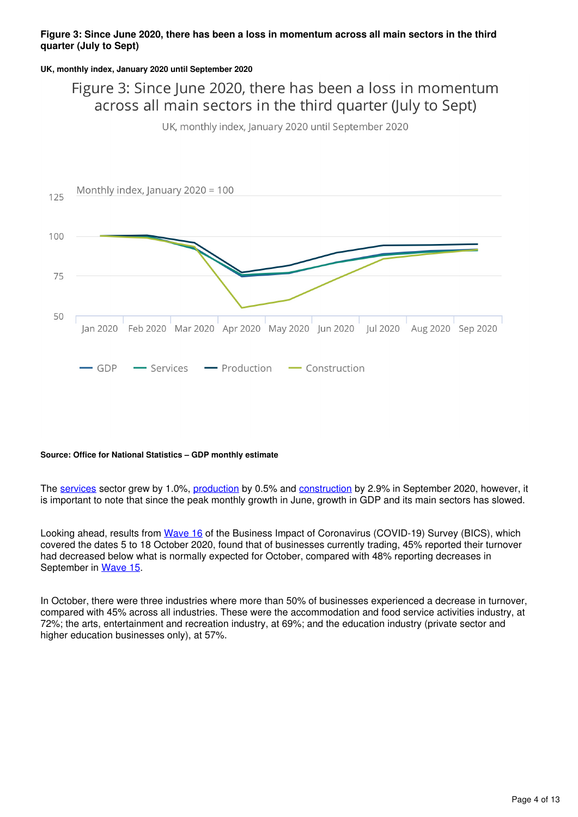### **Figure 3: Since June 2020, there has been a loss in momentum across all main sectors in the third quarter (July to Sept)**

#### **UK, monthly index, January 2020 until September 2020**

# Figure 3: Since June 2020, there has been a loss in momentum across all main sectors in the third quarter (July to Sept)

UK, monthly index, January 2020 until September 2020



#### **Source: Office for National Statistics – GDP monthly estimate**

The[services](https://www.ons.gov.uk/economy/economicoutputandproductivity/output/bulletins/indexofservices/september2020) sector grew by 1.0%, production by 0.5% and construction by 2.9% in September 2020, however, it is important to note that since the peak monthly growth in June, growth in GDP and its main sectors has slowed.

Looking ahead, results from [Wave 16](https://www.ons.gov.uk/peoplepopulationandcommunity/healthandsocialcare/conditionsanddiseases/bulletins/coronavirustheukeconomyandsocietyfasterindicators/5november) of the Business Impact of Coronavirus (COVID-19) Survey (BICS), which covered the dates 5 to 18 October 2020, found that of businesses currently trading, 45% reported their turnover had decreased below what is normally expected for October, compared with 48% reporting decreases in September in Wave 15.

In October, there were three industries where more than 50% of businesses experienced a decrease in turnover, compared with 45% across all industries. These were the accommodation and food service activities industry, at 72%; the arts, entertainment and recreation industry, at 69%; and the education industry (private sector and higher education businesses only), at 57%.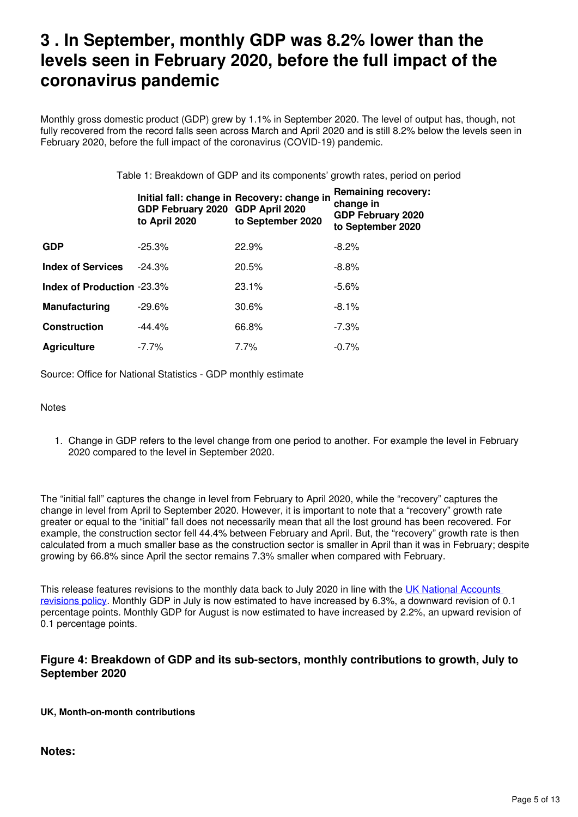# <span id="page-4-0"></span>**3 . In September, monthly GDP was 8.2% lower than the levels seen in February 2020, before the full impact of the coronavirus pandemic**

Monthly gross domestic product (GDP) grew by 1.1% in September 2020. The level of output has, though, not fully recovered from the record falls seen across March and April 2020 and is still 8.2% below the levels seen in February 2020, before the full impact of the coronavirus (COVID-19) pandemic.

Table 1: Breakdown of GDP and its components' growth rates, period on period

|                                   | GDP February 2020 GDP April 2020<br>to April 2020 | Initial fall: change in Recovery: change in<br>to September 2020 | <b>Remaining recovery:</b><br>change in<br><b>GDP February 2020</b><br>to September 2020 |
|-----------------------------------|---------------------------------------------------|------------------------------------------------------------------|------------------------------------------------------------------------------------------|
| <b>GDP</b>                        | $-25.3\%$                                         | 22.9%                                                            | $-8.2\%$                                                                                 |
| <b>Index of Services</b>          | $-24.3%$                                          | 20.5%                                                            | $-8.8%$                                                                                  |
| <b>Index of Production -23.3%</b> |                                                   | 23.1%                                                            | $-5.6%$                                                                                  |
| Manufacturing                     | $-29.6%$                                          | 30.6%                                                            | $-8.1\%$                                                                                 |
| <b>Construction</b>               | $-44.4%$                                          | 66.8%                                                            | $-7.3\%$                                                                                 |
| <b>Agriculture</b>                | $-7.7\%$                                          | $7.7\%$                                                          | $-0.7%$                                                                                  |

Source: Office for National Statistics - GDP monthly estimate

**Notes** 

1. Change in GDP refers to the level change from one period to another. For example the level in February 2020 compared to the level in September 2020.

The "initial fall" captures the change in level from February to April 2020, while the "recovery" captures the change in level from April to September 2020. However, it is important to note that a "recovery" growth rate greater or equal to the "initial" fall does not necessarily mean that all the lost ground has been recovered. For example, the construction sector fell 44.4% between February and April. But, the "recovery" growth rate is then calculated from a much smaller base as the construction sector is smaller in April than it was in February; despite growing by 66.8% since April the sector remains 7.3% smaller when compared with February.

This release features revisions to the monthly data back to July 2020 in line with the [UK National Accounts](https://www.ons.gov.uk/methodology/methodologytopicsandstatisticalconcepts/revisions/revisionspoliciesforeconomicstatistics/nationalaccountsrevisionspolicyupdateddecember2017)  [revisions policy](https://www.ons.gov.uk/methodology/methodologytopicsandstatisticalconcepts/revisions/revisionspoliciesforeconomicstatistics/nationalaccountsrevisionspolicyupdateddecember2017). Monthly GDP in July is now estimated to have increased by 6.3%, a downward revision of 0.1 percentage points. Monthly GDP for August is now estimated to have increased by 2.2%, an upward revision of 0.1 percentage points.

# **Figure 4: Breakdown of GDP and its sub-sectors, monthly contributions to growth, July to September 2020**

**UK, Month-on-month contributions**

**Notes:**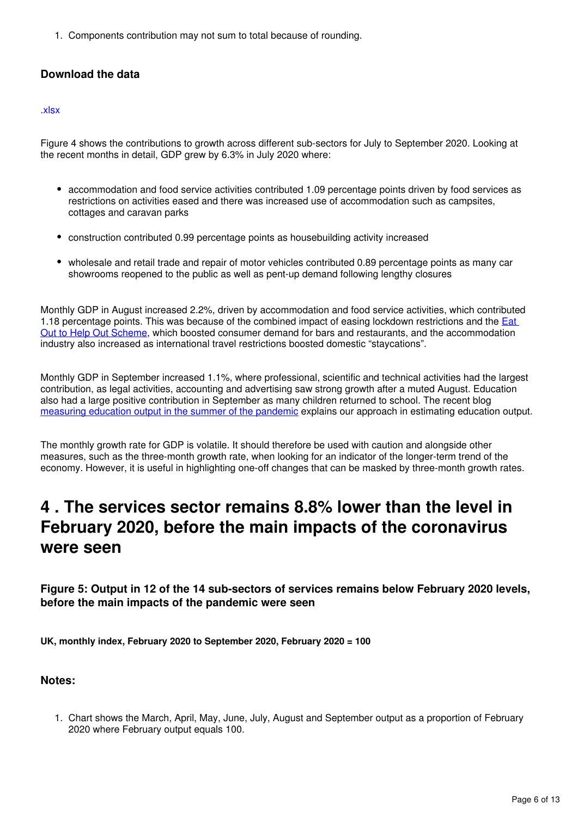1. Components contribution may not sum to total because of rounding.

# **Download the data**

### [.xlsx](https://www.ons.gov.uk/visualisations/dvc1034/fig4m/datadownload.xlsx)

Figure 4 shows the contributions to growth across different sub-sectors for July to September 2020. Looking at the recent months in detail, GDP grew by 6.3% in July 2020 where:

- accommodation and food service activities contributed 1.09 percentage points driven by food services as restrictions on activities eased and there was increased use of accommodation such as campsites, cottages and caravan parks
- construction contributed 0.99 percentage points as housebuilding activity increased
- wholesale and retail trade and repair of motor vehicles contributed 0.89 percentage points as many car showrooms reopened to the public as well as pent-up demand following lengthy closures

Monthly GDP in August increased 2.2%, driven by accommodation and food service activities, which contributed 1.18 percentage points. This was because of the combined impact of easing lockdown restrictions and the Eat [Out to Help Out Scheme,](https://www.gov.uk/government/news/over-64-million-meals-claimed-for-as-eat-out-to-help-out-enters-fourth-week) which boosted consumer demand for bars and restaurants, and the accommodation industry also increased as international travel restrictions boosted domestic "staycations".

Monthly GDP in September increased 1.1%, where professional, scientific and technical activities had the largest contribution, as legal activities, accounting and advertising saw strong growth after a muted August. Education also had a large positive contribution in September as many children returned to school. The recent blog [measuring education output in the summer of the pandemic](https://blog.ons.gov.uk/2020/10/05/schools-out-measuring-education-output-in-the-summer-of-the-pandemic/) explains our approach in estimating education output.

The monthly growth rate for GDP is volatile. It should therefore be used with caution and alongside other measures, such as the three-month growth rate, when looking for an indicator of the longer-term trend of the economy. However, it is useful in highlighting one-off changes that can be masked by three-month growth rates.

# <span id="page-5-0"></span>**4 . The services sector remains 8.8% lower than the level in February 2020, before the main impacts of the coronavirus were seen**

**Figure 5: Output in 12 of the 14 sub-sectors of services remains below February 2020 levels, before the main impacts of the pandemic were seen**

**UK, monthly index, February 2020 to September 2020, February 2020 = 100**

## **Notes:**

1. Chart shows the March, April, May, June, July, August and September output as a proportion of February 2020 where February output equals 100.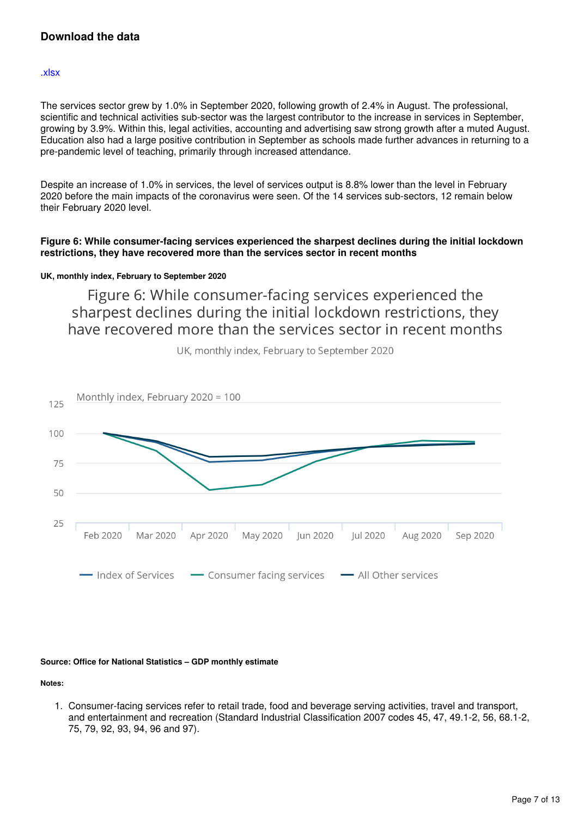# **Download the data**

#### [.xlsx](https://www.ons.gov.uk/visualisations/dvc1034/fig5m/datadownload.xlsx)

The services sector grew by 1.0% in September 2020, following growth of 2.4% in August. The professional, scientific and technical activities sub-sector was the largest contributor to the increase in services in September, growing by 3.9%. Within this, legal activities, accounting and advertising saw strong growth after a muted August. Education also had a large positive contribution in September as schools made further advances in returning to a pre-pandemic level of teaching, primarily through increased attendance.

Despite an increase of 1.0% in services, the level of services output is 8.8% lower than the level in February 2020 before the main impacts of the coronavirus were seen. Of the 14 services sub-sectors, 12 remain below their February 2020 level.

### **Figure 6: While consumer-facing services experienced the sharpest declines during the initial lockdown restrictions, they have recovered more than the services sector in recent months**

### **UK, monthly index, February to September 2020**

Figure 6: While consumer-facing services experienced the sharpest declines during the initial lockdown restrictions, they have recovered more than the services sector in recent months



UK, monthly index, February to September 2020

## **Source: Office for National Statistics – GDP monthly estimate**

**Notes:**

1. Consumer-facing services refer to retail trade, food and beverage serving activities, travel and transport, and entertainment and recreation (Standard Industrial Classification 2007 codes 45, 47, 49.1-2, 56, 68.1-2, 75, 79, 92, 93, 94, 96 and 97).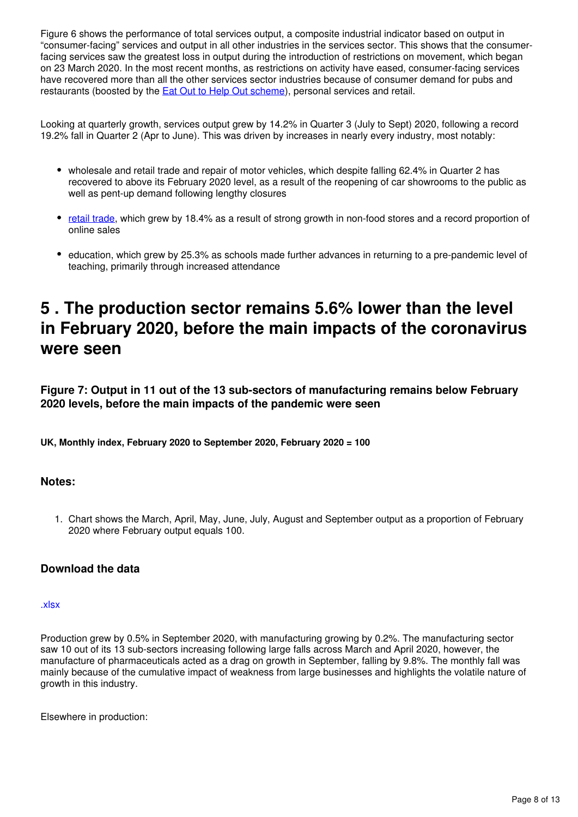Figure 6 shows the performance of total services output, a composite industrial indicator based on output in "consumer-facing" services and output in all other industries in the services sector. This shows that the consumerfacing services saw the greatest loss in output during the introduction of restrictions on movement, which began on 23 March 2020. In the most recent months, as restrictions on activity have eased, consumer-facing services have recovered more than all the other services sector industries because of consumer demand for pubs and restaurants (boosted by the **Eat Out to Help Out scheme**), personal services and retail.

Looking at quarterly growth, services output grew by 14.2% in Quarter 3 (July to Sept) 2020, following a record 19.2% fall in Quarter 2 (Apr to June). This was driven by increases in nearly every industry, most notably:

- wholesale and retail trade and repair of motor vehicles, which despite falling 62.4% in Quarter 2 has recovered to above its February 2020 level, as a result of the reopening of car showrooms to the public as well as pent-up demand following lengthy closures
- [retail trade](https://www.ons.gov.uk/businessindustryandtrade/retailindustry/bulletins/retailsales/september2020), which grew by 18.4% as a result of strong growth in non-food stores and a record proportion of online sales
- education, which grew by 25.3% as schools made further advances in returning to a pre-pandemic level of teaching, primarily through increased attendance

# <span id="page-7-0"></span>**5 . The production sector remains 5.6% lower than the level in February 2020, before the main impacts of the coronavirus were seen**

**Figure 7: Output in 11 out of the 13 sub-sectors of manufacturing remains below February 2020 levels, before the main impacts of the pandemic were seen**

**UK, Monthly index, February 2020 to September 2020, February 2020 = 100**

## **Notes:**

1. Chart shows the March, April, May, June, July, August and September output as a proportion of February 2020 where February output equals 100.

# **Download the data**

#### [.xlsx](https://www.ons.gov.uk/visualisations/dvc1034/fig7m/datadownload.xlsx)

Production grew by 0.5% in September 2020, with manufacturing growing by 0.2%. The manufacturing sector saw 10 out of its 13 sub-sectors increasing following large falls across March and April 2020, however, the manufacture of pharmaceuticals acted as a drag on growth in September, falling by 9.8%. The monthly fall was mainly because of the cumulative impact of weakness from large businesses and highlights the volatile nature of growth in this industry.

Elsewhere in production: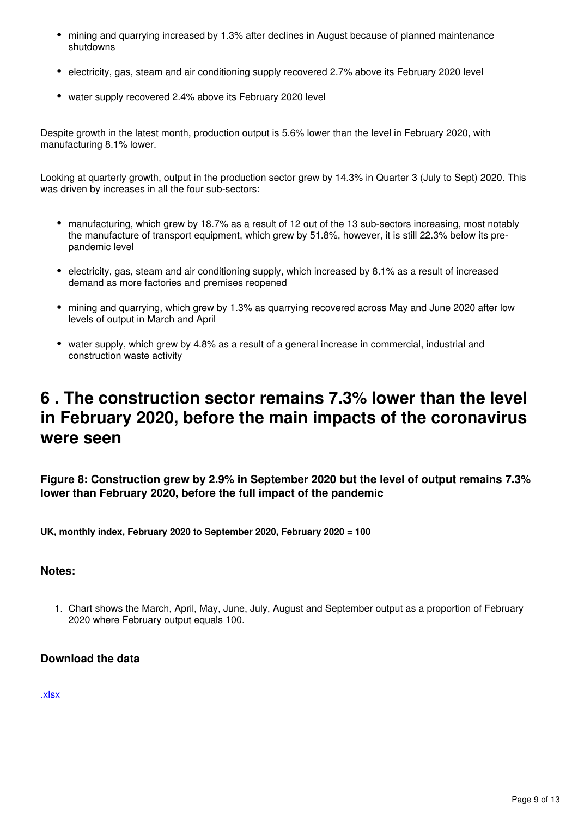- mining and quarrying increased by 1.3% after declines in August because of planned maintenance shutdowns
- electricity, gas, steam and air conditioning supply recovered 2.7% above its February 2020 level
- water supply recovered 2.4% above its February 2020 level

Despite growth in the latest month, production output is 5.6% lower than the level in February 2020, with manufacturing 8.1% lower.

Looking at quarterly growth, output in the production sector grew by 14.3% in Quarter 3 (July to Sept) 2020. This was driven by increases in all the four sub-sectors:

- manufacturing, which grew by 18.7% as a result of 12 out of the 13 sub-sectors increasing, most notably the manufacture of transport equipment, which grew by 51.8%, however, it is still 22.3% below its prepandemic level
- electricity, gas, steam and air conditioning supply, which increased by 8.1% as a result of increased demand as more factories and premises reopened
- mining and quarrying, which grew by 1.3% as quarrying recovered across May and June 2020 after low levels of output in March and April
- water supply, which grew by 4.8% as a result of a general increase in commercial, industrial and construction waste activity

# <span id="page-8-0"></span>**6 . The construction sector remains 7.3% lower than the level in February 2020, before the main impacts of the coronavirus were seen**

**Figure 8: Construction grew by 2.9% in September 2020 but the level of output remains 7.3% lower than February 2020, before the full impact of the pandemic**

**UK, monthly index, February 2020 to September 2020, February 2020 = 100**

## **Notes:**

1. Chart shows the March, April, May, June, July, August and September output as a proportion of February 2020 where February output equals 100.

## **Download the data**

[.xlsx](https://www.ons.gov.uk/visualisations/dvc1034/fig8m/datadownload.xlsx)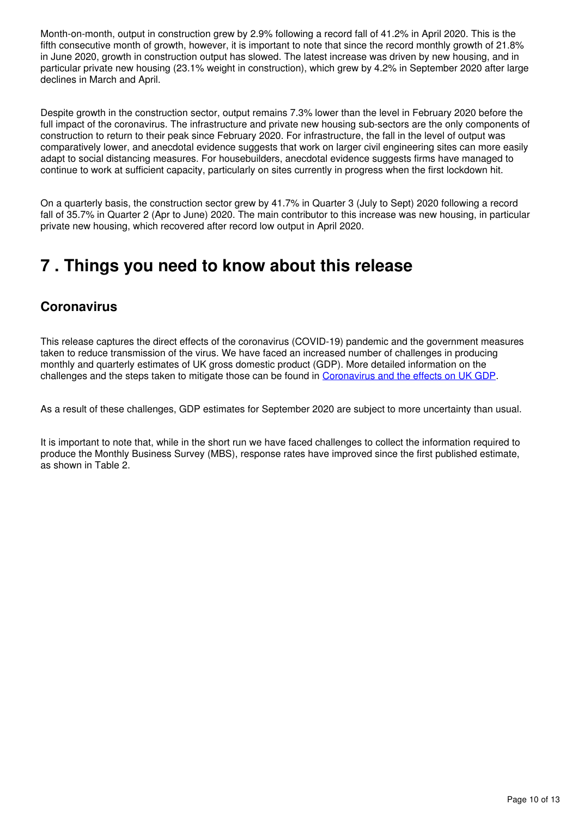Month-on-month, output in construction grew by 2.9% following a record fall of 41.2% in April 2020. This is the fifth consecutive month of growth, however, it is important to note that since the record monthly growth of 21.8% in June 2020, growth in construction output has slowed. The latest increase was driven by new housing, and in particular private new housing (23.1% weight in construction), which grew by 4.2% in September 2020 after large declines in March and April.

Despite growth in the construction sector, output remains 7.3% lower than the level in February 2020 before the full impact of the coronavirus. The infrastructure and private new housing sub-sectors are the only components of construction to return to their peak since February 2020. For infrastructure, the fall in the level of output was comparatively lower, and anecdotal evidence suggests that work on larger civil engineering sites can more easily adapt to social distancing measures. For housebuilders, anecdotal evidence suggests firms have managed to continue to work at sufficient capacity, particularly on sites currently in progress when the first lockdown hit.

On a quarterly basis, the construction sector grew by 41.7% in Quarter 3 (July to Sept) 2020 following a record fall of 35.7% in Quarter 2 (Apr to June) 2020. The main contributor to this increase was new housing, in particular private new housing, which recovered after record low output in April 2020.

# <span id="page-9-0"></span>**7 . Things you need to know about this release**

# **Coronavirus**

This release captures the direct effects of the coronavirus (COVID-19) pandemic and the government measures taken to reduce transmission of the virus. We have faced an increased number of challenges in producing monthly and quarterly estimates of UK gross domestic product (GDP). More detailed information on the challenges and the steps taken to mitigate those can be found in [Coronavirus and the effects on UK GDP.](https://www.ons.gov.uk/economy/nationalaccounts/uksectoraccounts/articles/coronavirusandtheeffectsonukgdp/2020-05-06)

As a result of these challenges, GDP estimates for September 2020 are subject to more uncertainty than usual.

It is important to note that, while in the short run we have faced challenges to collect the information required to produce the Monthly Business Survey (MBS), response rates have improved since the first published estimate, as shown in Table 2.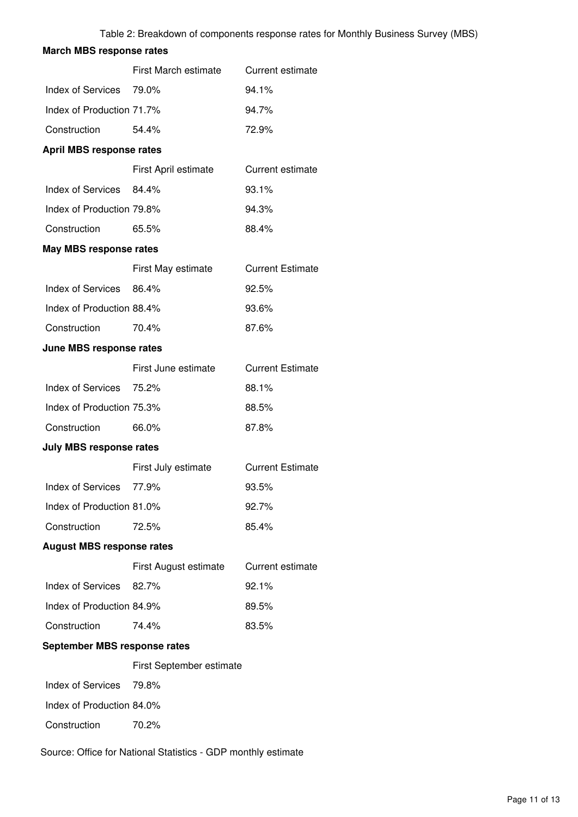# **March MBS response rates** First March estimate Current estimate Index of Services 79.0% 94.1% Index of Production 71.7% 94.7% Construction 54.4% 72.9% **April MBS response rates** First April estimate Current estimate Index of Services 84.4% 93.1% Index of Production 79.8% 94.3% Construction 65.5% 88.4% **May MBS response rates** First May estimate Current Estimate Index of Services 86.4% 92.5% Index of Production 88.4% 93.6% Construction 70.4% 87.6% **June MBS response rates** First June estimate Current Estimate Index of Services 75.2% 88.1% Index of Production 75.3% 88.5% Construction 66.0% 87.8% **July MBS response rates** First July estimate Current Estimate Index of Services 77.9% 93.5% Index of Production 81.0% 92.7% Construction 72.5% 85.4% **August MBS response rates** First August estimate Current estimate Index of Services 82.7% 92.1% Index of Production 84.9% 89.5% Construction 74.4% 83.5% **September MBS response rates** First September estimate Index of Services 79.8% Index of Production 84.0% Construction 70.2%

Source: Office for National Statistics - GDP monthly estimate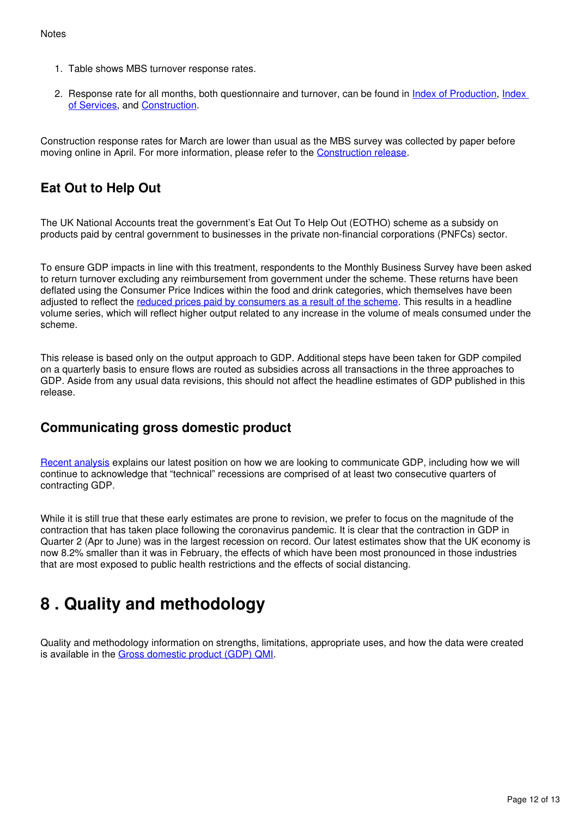- 1. Table shows MBS turnover response rates.
- 2. Response rate for all months[,](https://www.ons.gov.uk/economy/economicoutputandproductivity/output/bulletins/indexofproduction/april2020) both questionnaire and turnover, can be found in *[Index of Production](https://www.ons.gov.uk/economy/economicoutputandproductivity/output/bulletins/indexofproduction/april2020)*, Index [of Services](https://www.ons.gov.uk/economy/economicoutputandproductivity/output/bulletins/indexofservices/april2020), and Construction[.](https://www.ons.gov.uk/businessindustryandtrade/constructionindustry/bulletins/constructionoutputingreatbritain/april2020)

Construction response rates for March are lower than usual as the MBS survey was collected by paper before movingonline in April. For more information, please refer to the Construction release.

# **Eat Out to Help Out**

The UK National Accounts treat the government's Eat Out To Help Out (EOTHO) scheme as a subsidy on products paid by central government to businesses in the private non-financial corporations (PNFCs) sector.

To ensure GDP impacts in line with this treatment, respondents to the Monthly Business Survey have been asked to return turnover excluding any reimbursement from government under the scheme. These returns have been deflated using the Consumer Price Indices within the food and drink categories, which themselves have been adjusted to reflect the [reduced prices paid by consumers as a result of the scheme](https://www.ons.gov.uk/economy/inflationandpriceindices/bulletins/consumerpriceinflation/august2020#measuring-the-data). This results in a headline volume series, which will reflect higher output related to any increase in the volume of meals consumed under the scheme.

This release is based only on the output approach to GDP. Additional steps have been taken for GDP compiled on a quarterly basis to ensure flows are routed as subsidies across all transactions in the three approaches to GDP. Aside from any usual data revisions, this should not affect the headline estimates of GDP published in this release.

# **Communicating gross domestic product**

[Recent analysis](https://www.ons.gov.uk/economy/grossdomesticproductgdp/articles/communicatinggrossdomesticproduct/2020-04-16) explains our latest position on how we are looking to communicate GDP, including how we will continue to acknowledge that "technical" recessions are comprised of at least two consecutive quarters of contracting GDP.

While it is still true that these early estimates are prone to revision, we prefer to focus on the magnitude of the contraction that has taken place following the coronavirus pandemic. It is clear that the contraction in GDP in Quarter 2 (Apr to June) was in the largest recession on record. Our latest estimates show that the UK economy is now 8.2% smaller than it was in February, the effects of which have been most pronounced in those industries that are most exposed to public health restrictions and the effects of social distancing.

# <span id="page-11-0"></span>**8 . Quality and methodology**

Quality and methodology information on strengths, limitations, appropriate uses, and how the data were created is available in the Gross domestic product (GDP) QMI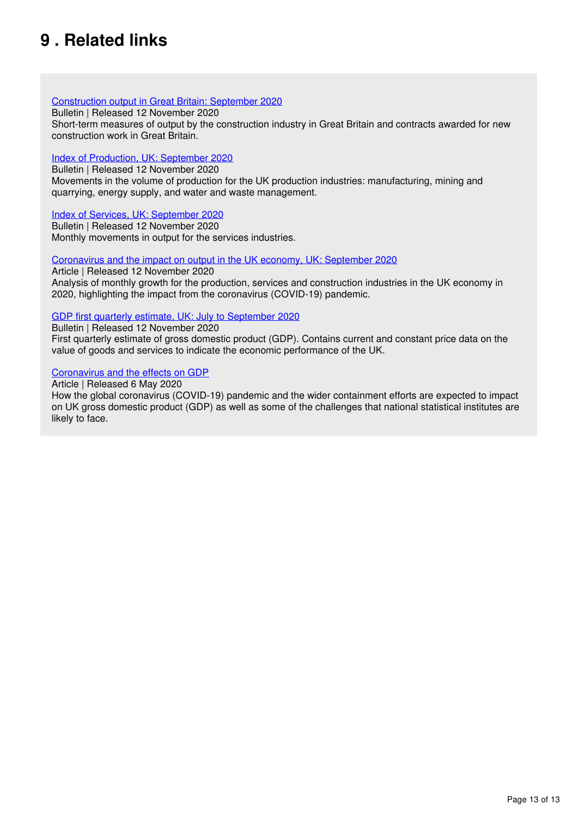# <span id="page-12-0"></span>**9 . Related links**

### [Construction output in Great Britain: September 2020](https://www.ons.gov.uk/businessindustryandtrade/constructionindustry/bulletins/constructionoutputingreatbritain/latest)

Bulletin | Released 12 November 2020

Short-term measures of output by the construction industry in Great Britain and contracts awarded for new construction work in Great Britain.

### [Index of Production, UK: September 2020](https://www.ons.gov.uk/economy/economicoutputandproductivity/output/bulletins/indexofproduction/latest)

Bulletin | Released 12 November 2020 Movements in the volume of production for the UK production industries: manufacturing, mining and quarrying, energy supply, and water and waste management.

### [Index of Services, UK: September 2020](https://www.ons.gov.uk/economy/economicoutputandproductivity/output/bulletins/indexofservices/latest)

Bulletin | Released 12 November 2020 Monthly movements in output for the services industries.

### [Coronavirus and the impact on output in the UK economy, UK: September 2020](https://www.ons.gov.uk/economy/grossdomesticproductgdp/articles/coronavirusandtheimpactonoutputintheukeconomy/latest)

Article | Released 12 November 2020 Analysis of monthly growth for the production, services and construction industries in the UK economy in 2020, highlighting the impact from the coronavirus (COVID-19) pandemic.

### [GDP first quarterly estimate, UK: July to September 2020](https://www.ons.gov.uk/economy/grossdomesticproductgdp/bulletins/gdpfirstquarterlyestimateuk/latest)

Bulletin | Released 12 November 2020 First quarterly estimate of gross domestic product (GDP). Contains current and constant price data on the value of goods and services to indicate the economic performance of the UK.

### [Coronavirus and the effects on GDP](https://www.ons.gov.uk/economy/nationalaccounts/uksectoraccounts/articles/coronavirusandtheeffectsonukgdp/2020-05-06)

#### Article | Released 6 May 2020

How the global coronavirus (COVID-19) pandemic and the wider containment efforts are expected to impact on UK gross domestic product (GDP) as well as some of the challenges that national statistical institutes are likely to face.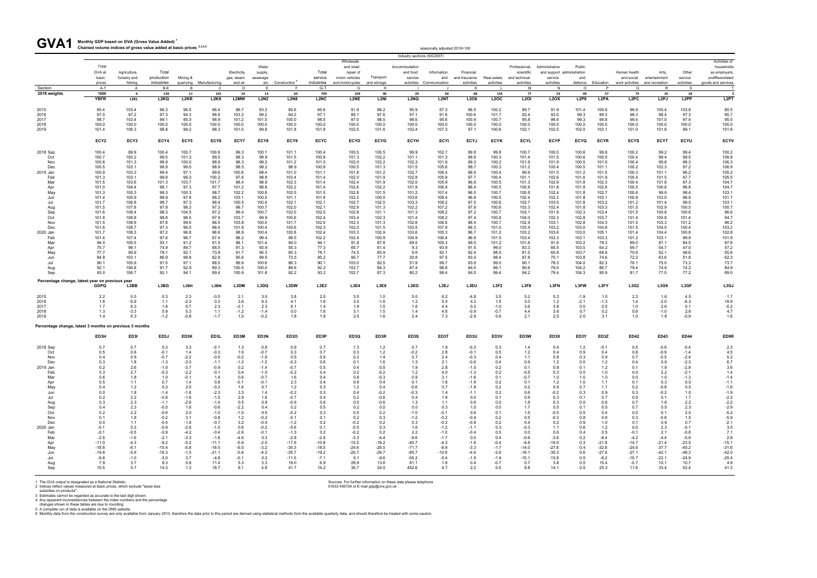**Monthly GDP based on GVA (Gross Value Added) <sup>1</sup>** GVA1 Monthly GDP based on GVA (Gross Value Added)<sup>1</sup><br>Chained volume indices of gross value added at basic prices <sup>2,3,4,5</sup>

| Industry sections (SIC2007<br>Activities of<br>Wholesale<br>Water<br>households<br>Total<br>and retail:<br>Accommodation<br>Professional,<br>Administrative<br>Public<br>Total<br>GVA at<br>Total<br>Other<br>Agriculture,<br>Electricity<br>repair of<br>and food<br>Information<br>Financial<br>Human health<br>as employers.<br>supply,<br>scientific<br>and support administration<br>Arts,<br>production<br>service<br>undifferentiated<br>basic<br>forestry and<br>Mining &<br>motor vehicles<br>Transport<br>service<br>Real estate<br>service<br>gas, steam<br>sewerage<br>and<br>and insurance<br>and technical<br>service<br>and<br>and social<br>entertainment<br>industries<br>quarrying Manufacturing<br>etc Construction <sup>6</sup><br>industries<br>and storage<br>activities Communication<br>defence Education<br>activities<br>fishing<br>and air<br>and motorcycles<br>activities<br>activities<br>activities<br>activities<br>work activities and recreation<br>goods and services<br>prices<br>A-T<br>$G-T$<br>Section<br>B-E<br><b>B</b><br>C<br>D<br>E<br>- F<br>G<br>H<br>К<br>м<br>$\mathsf{N}$<br>$\circ$<br>P<br>Q<br>R.<br>S.<br>A<br>2018 weights<br>1000<br>101<br>790<br>68<br>57<br>18<br>139<br>11<br>14<br>13<br>64<br>104<br>40<br>29<br>66<br>135<br>77<br>53<br>49<br>75<br>16<br>- 6<br><b>L2P8</b><br>L <sub>2</sub> PP<br>L <sub>2</sub> PT<br><b>YBFR</b><br>L <sub>2KL</sub><br>L2KQ<br>L <sub>2</sub> KR<br>L <sub>2</sub> KX<br>L2MW<br><b>L2N2</b><br><b>L2N8</b><br><b>L2NC</b><br>L <sub>2</sub> NE<br>L <sub>2NI</sub><br>L <sub>2</sub> NQ<br>L <sub>2NT</sub><br>L <sub>2</sub> O6<br><b>L2OC</b><br><b>L2OI</b><br><b>L2OX</b><br>L2PA<br>L <sub>2</sub> PC<br>L <sub>2</sub> PJ<br>95.4<br>103.4<br>96.5<br>99.7<br>93.3<br>95.6<br>87.3<br>96.5<br>89.7<br>100.6<br>100.4<br>103.8<br>80.5<br>2015<br>96.3<br>96.4<br>90.6<br>91.9<br>99.2<br>95.9<br>100.2<br>91.9<br>101.4<br>96.9<br>97.3<br>103.3<br>95.7<br>2016<br>97.0<br>97.2<br>94.3<br>96.6<br>99.2<br>94.2<br>97.1<br>95.1<br>97.6<br>97.1<br>91.6<br>100.6<br>101.7<br>92.4<br>93.0<br>99.3<br>99.3<br>98.3<br>98.4<br>97.3<br>103.4<br>99.1<br>95.0<br>98.9<br>101.2<br>101.5<br>100.0<br>98.5<br>98.6<br>100.9<br>100.7<br>95.8<br>99.3<br>99.8<br>99.4<br>101.0<br>97.4<br>95.5<br>2017<br>98.7<br>98.5<br>97.0<br>95.6<br>96.6<br>100.0<br>100.0<br>100.0<br>100.0<br>100.0<br>100.0<br>100.0<br>100.0<br>100.0<br>100.0<br>100.0<br>100.0<br>100.0<br>100.0<br>100.0<br>100.0<br>100.0<br>100.0<br>2018<br>100.0<br>100.0<br>100.0<br>100.0<br>100.0<br>99.2<br>101.6<br>2019<br>101.4<br>106.3<br>98.8<br>98.3<br>101.0<br>99.8<br>101.8<br>101.8<br>102.5<br>101.6<br>102.4<br>107.3<br>97.1<br>100.6<br>102.1<br>102.5<br>102.0<br>103.1<br>101.0<br>101.8<br>99.1<br>ECY5<br>ECY7<br>ECY8<br>ECYC<br><b>ECYH</b><br><b>ECYJ</b><br><b>ECYL</b><br><b>ECYS</b><br><b>ECYU</b><br>ECYV<br>ECY <sub>2</sub><br>ECY3<br>ECY4<br>ECY6<br>ECY9<br><b>ECYD</b><br><b>ECYG</b><br><b>ECYI</b><br><b>ECYK</b><br><b>ECYP</b><br><b>ECYQ</b><br><b>ECYR</b><br><b>ECYT</b><br>99.9<br>100.4<br>100.5<br>99.8<br>100.0<br>99.8<br>99.4<br>100.2<br>100.4<br>100.4<br>100.7<br>100.6<br>99.3<br>100.1<br>101.1<br>100.5<br>99.9<br>102.7<br>99.8<br>100.7<br>100.6<br>100.2<br>99.2<br>98.3<br>100.3<br>99.4<br>106.8<br>100.7<br>100.2<br>99.5<br>101.3<br>99.5<br>99.9<br>101.5<br>100.8<br>101.3<br>102.2<br>101.1<br>101.3<br>99.8<br>101.4<br>101.5<br>100.6<br>100.5<br>100.4<br>99.5<br>Oct<br>98.3<br>106.3<br>101.3<br>98.9<br>100.0<br>98.9<br>99.2<br>101.2<br>102.0<br>102.2<br>102.3<br>99.3<br>100.2<br>101.9<br>101.9<br>100.5<br>101.0<br>100.4<br>99.8<br>98.3<br>100.8<br>101.0<br>101.9<br>Nov<br>106.9<br>98.9<br>98.9<br>98.5<br>99.2<br>98.9<br>101.3<br>98.7<br>100.3<br>100.2<br>102.3<br>97.2<br>Dec<br>100.5<br>103.1<br>99.0<br>100.9<br>100.5<br>101.5<br>105.6<br>101.2<br>100.4<br>100.5<br>101.1<br>105.2<br>100.9<br>103.3<br>99.4<br>97.1<br>99.6<br>100.8<br>98.4<br>101.1<br>101.2<br>102.7<br>106.4<br>98.6<br>100.4<br>101.5<br>101.2<br>101.5<br>100.3<br>101.1<br>96.2<br>2019 Jan<br>101.0<br>101.8<br>99.9<br>103.1<br>99.3<br>100.2<br>97.6<br>98.8<br>101.9<br>97.7<br>100.4<br>102.6<br>101.9<br>100.4<br>101.5<br>97.7<br>105.5<br>Feb<br>101.3<br>99.8<br>103.4<br>101.4<br>102.0<br>102.8<br>105.9<br>101.1<br>101.6<br>104.7<br>101.5<br>103.6<br>103.7<br>101.7<br>98.4<br>98.9<br>102.3<br>102.4<br>101.9<br>102.0<br>105.9<br>96.8<br>100.5<br>101.3<br>102.9<br>102.3<br>100.4<br>101.8<br>97.3<br>Mar<br>101.3<br>101.4<br>101.8<br>97.3<br>101.2<br>98.8<br>102.2<br>102.2<br>100.5<br>102.6<br>100.8<br>96.8<br>104.7<br>101.0<br>104.4<br>98.1<br>97.7<br>101.4<br>102.6<br>101.9<br>106.9<br>96.4<br>100.8<br>101.8<br>101.8<br>100.5<br>Apr<br>103.1<br>102.2<br>99.3<br>100.3<br>98.7<br>100.8<br>102.5<br>101.5<br>96.5<br>100.7<br>102.4<br>102.7<br>100.6<br>99.9<br>98.4<br>May<br>101.3<br>105.3<br>101.5<br>102.8<br>101.2<br>107.4<br>100.8<br>101.8<br>101.7<br>98.9<br>97.8<br>98.2<br>103.1<br>100.5<br>100.5<br>96.8<br>100.5<br>102.2<br>103.1<br>103.0<br>98.9<br>101.4<br>105.9<br>101.1<br>101.8<br>102.2<br>103.6<br>108.4<br>102.4<br>101.8<br>100.9<br>Jun<br>97.3<br>100.5<br>97.5<br>103.1<br>101.7<br>98.7<br>98.4<br>100.0<br>102.1<br>102.1<br>102.7<br>102.0<br>103.3<br>108.2<br>100.6<br>102.7<br>103.5<br>103.2<br>101.2<br>101.4<br>99.5<br>Jul<br>106.8<br>101.8<br>98.3<br>99.7<br>100.7<br>97.9<br>102.4<br>100.5<br>100.7<br>101.5<br>107.8<br>97.9<br>97.3<br>102.0<br>102.1<br>102.9<br>101.3<br>102.2<br>107.2<br>100.6<br>103.3<br>101.8<br>103.3<br>101.5<br>102.9<br>Aug<br>104.5<br>99.4<br>100.7<br>101.1<br>97.2<br>100.7<br>103.4<br>101.5<br>100.8<br>100.8<br>96.6<br>Sep<br>101.6<br>108.4<br>98.3<br>97.2<br>102.5<br>102.0<br>102.8<br>101.3<br>108.2<br>103.1<br>101.9<br>102.3<br>Oct<br>108.8<br>98.8<br>98.5<br>97.9<br>103.7<br>99.9<br>100.6<br>102.4<br>103.4<br>102.3<br>108.2<br>97.4<br>100.8<br>104.0<br>102.3<br>102.8<br>103.7<br>101.4<br>100.8<br>101.4<br>94.7<br>101.8<br>101.4<br>97.8<br>99.6<br>96.5<br>103.8<br>100.0<br>96.4<br>101.2<br>96.2<br>Nov<br>101.5<br>108.9<br>101.7<br>102.0<br>102.3<br>101.3<br>102.6<br>106.6<br>100.7<br>102.9<br>103.1<br>102.8<br>104.3<br>101.5<br>103.3<br>103.2<br>101.6<br>108.7<br>97.3<br>96.5<br>96.4<br>101.8<br>100.4<br>100.6<br>102.3<br>102.0<br>101.5<br>103.5<br>107.9<br>96.3<br>101.0<br>103.4<br>103.2<br>103.0<br>104.8<br>101.5<br>104.0<br>100.4<br>Dec<br>102.8<br>97.2<br>96.8<br>98.9<br>101.7<br>108.3<br>96.6<br>100.4<br>100.8<br>102.4<br>103.3<br>102.9<br>103.6<br>105.3<br>96.7<br>101.2<br>103.2<br>103.6<br>103.0<br>105.1<br>101.4<br>104.4<br>100.8<br>2020 Jan<br>97.6<br>101.9<br>96.7<br>98.2<br>100.9<br>96.9<br>102.3<br>103.3<br>103.1<br>99.9<br>Feb<br>101.4<br>107.4<br>97.4<br>99.4<br>99.5<br>102.2<br>102.4<br>104.9<br>106.6<br>101.5<br>103.4<br>103.1<br>101.2<br>97.6<br>105.5<br>93.1<br>91.2<br>91.5<br>98.1<br>101.4<br>87.8<br>96.5<br>101.2<br>91.6<br>103.2<br>78.3<br>87.1<br>84.5<br>Mar<br>94.0<br>94.0<br>94.1<br>91.8<br>69.5<br>105.3<br>101.8<br>89.0<br>57.2<br>75.7<br>74.9<br>89.7<br>68.5<br>91.3<br>93.9<br>55.3<br>77.3<br>65.7<br>99.0<br>83.3<br>66.5<br>103.5<br>64.2<br>69.7<br>54.7<br>47.0<br>99.1<br>61.4<br>9.3<br>93.9<br>91.5<br>Apr<br>55.6<br>77.7<br>99.9<br>79.1<br>92.1<br>73.9<br>91.7<br>95.3<br>60.3<br>78.7<br>74.5<br>65.9<br>9.6<br>92.4<br>98.5<br>81.5<br>65.8<br>103.7<br>68.6<br>70.6<br>52.1<br>48.6<br>May<br>92.1<br>98.8<br>82.8<br>95.6<br>99.5<br>95.7<br>77.7<br>93.0<br>87.8<br>72.2<br>51.8<br>62.3<br>84.8<br>103.1<br>86.9<br>73.5<br>85.2<br>20.8<br>97.5<br>98.4<br>75.1<br>103.8<br>74.6<br>63.6<br>Jun<br>90.1<br>105.9<br>91.5<br>97.1<br>88.5<br>99.9<br>100.6<br>86.3<br>90.1<br>103.0<br>82.5<br>51.9<br>99.7<br>93.9<br>99.0<br>90.1<br>78.3<br>104.0<br>82.3<br>76.1<br>75.0<br>73.3<br>73.7<br>Jul<br>92.9<br>100.5<br>100.0<br>87.4<br>79.0<br>74.2<br>84.9<br>Aug<br>92.1<br>106.8<br>91.7<br>89.3<br>89.6<br>92.2<br>102.7<br>84.3<br>98.8<br>94.5<br>99.1<br>90.6<br>104.2<br>86.7<br>79.4<br>74.9<br>106.7<br>94.1<br>89.4<br>100.9<br>101.8<br>102.7<br>87.3<br>80.2<br>94.5<br>99.4<br>94.2<br>79.4<br>104.3<br>90.9<br>81.7<br>77.5<br>77.2<br>89.0<br>Sep<br>93.0<br>92.1<br>92.2<br>93.2<br>98.4<br>Percentage change, latest year on previous year<br>L3DQ<br><b>L3F8</b><br>L3GF<br>L3GJ<br>L3BB<br>L3BG<br>L3DM<br>L3DW<br>L3E2<br>L3E4<br>L3E8<br>L3EG<br>L3EJ<br>L3EU<br>L3F2<br><b>L3FN</b><br>L3FW<br>L3FY<br>L3G2<br>L3G9<br><b>GDPQ</b><br>L3BH<br>L3BN<br>2.3<br>2.5<br>4.5<br>1.7<br>2015<br>2.2<br>0.0<br>0.3<br>$-0.5$<br>2.1<br>3.0<br>3.8<br>3.5<br>1.0<br>5.0<br>6.2<br>$-4.8$<br>3.5<br>5.2<br>5.3<br>$-1.9$<br>1.0<br>2.3<br>1.6<br>1.6<br>18.9<br>$-5.9$<br>$-2.3$<br>0.3<br>3.6<br>6.3<br>3.5<br>1.2<br>5.0<br>4.3<br>3.0<br>1.2<br>$-2.1$<br>$-1.3$<br>$-2.0$<br>$-6.3$<br>2016<br>1.6<br>1.1<br>4.1<br>$-1.6$<br>1.5<br>1.4<br>$-0.2$<br>1.7<br>6.3<br>0.7<br>2.3<br>1.4<br>4.4<br>3.6<br>3.8<br>0.5<br>0.1<br>2017<br>1.8<br>2.3<br>$-2.1$<br>6.1<br>1.9<br>1.0<br>1.6<br>0.3<br>$-1.0$<br>0.0<br>1.0<br>2.6<br>1.6<br>4.6<br>$-0.9$<br>2.6<br>4.7<br>2018<br>1.3<br>0.9<br>5.3<br>$-1.2$<br>0.0<br>3.1<br>1.5<br>$-0.7$<br>3.6<br>0.7<br>0.2<br>0.6<br>$-3.3$<br>1.1<br>$-1.4$<br>1.4<br>4.4<br>$-1.0$<br>$-0.2$<br>1.8<br>1.8<br>2.5<br>7.3<br>$-2.9$<br>2.5<br>2.0<br>3.1<br>1.6<br>1.4<br>6.3<br>$-1.2$<br>$-0.8$<br>$-1.7$<br>1.0<br>1.6<br>2.4<br>0.6<br>2.1<br>1.0<br>1.8<br>$-0.9$<br>2019<br>Percentage change, latest 3 months on previous 3 months<br>ED3J<br>ED3K<br>ED3N<br>ED3P<br>ED3S<br>ED3U<br>ED3Z<br><b>ED44</b><br>ED9R<br>ED3H<br>ED3I<br>ED3L<br>ED3M<br>ED3O<br>ED3Q<br>ED3R<br>ED3T<br>ED3V<br>ED3W<br>ED3X<br>ED3Y<br><b>ED42</b><br><b>ED43</b><br>0.7<br>3.3<br>$-0.1$<br>0.6<br>0.9<br>0.7<br>1.2<br>0.7<br>1.9<br>$-0.3$<br>0.3<br>1.2<br>$-0.1$<br>$-0.4$<br>2.3<br>0.7<br>0.3<br>1.3<br>1.3<br>1.4<br>0.4<br>0.5<br>-0.6<br>1.6<br>0.7<br>1.2<br>2.8<br>1.2<br>4.5<br>0.5<br>0.6<br>$-0.1$<br>1.4<br>$-0.3$<br>$-0.7$<br>0.3<br>0.3<br>$-0.2$<br>$-0.1$<br>0.5<br>0.4<br>0.9<br>0.4<br>0.8<br>$-0.9$<br>$-1.4$<br>$5.2$<br>$6.7$<br>0.4<br>$-0.7$<br>$-2.2$<br>$-0.5$<br>$-0.2$<br>0.5<br>0.6<br>1.4<br>2.4<br>$-0.3$<br>0.9<br>0.7<br>$-0.5$<br>$-2.4$<br>Nov<br>0.9<br>$-1.6$<br>0.2<br>0.7<br>0.4<br>1.1<br>0.8<br>0.3<br>1.2<br>Dec<br>0.3<br>1.8<br>$-1.3$<br>$-3.3$<br>$-1.2$<br>0.6<br>2.1<br>$-0.6$<br>1.2<br>0.9<br>$-2.3$<br>$-1.1$<br>$-1.2$<br>$-0.3$<br>0.1<br>1.6<br>1.3<br>0.4<br>0.9<br>0.0<br>0.4<br>$3.6\,$<br>$2.8\,$<br>2019 Jan<br>0.2<br>$-1.0$<br>$-3.7$<br>0.2<br>0.5<br>$-1.0$<br>0.8<br>1.2<br>1.8<br>$-2.8$<br>2.6<br>$-0.9$<br>$-1.4$<br>$-0.7$<br>0.4<br>0.5<br>1.9<br>0.2<br>0.1<br>0.1<br>0.1<br>$1.4\,$<br>$-2.2$<br>4.0<br>$-2.1$<br>Feb<br>0.3<br>2.7<br>$-1.0$<br>0.4<br>0.2<br>$-0.2$<br>0.3<br>2.2<br>$-0.3$<br>$-0.1$<br>0.4<br>$-0.2$<br>1.2<br>$-1.3$<br>0.2<br>-0.6<br>0.5<br>1.0<br>0.0<br>$-1.4$<br>Mar<br>$-0.1$<br>0.4<br>$-1.6$<br>1.0<br>$-1.3$<br>0.6<br>1.8<br>1.0<br>1.4<br>0.6<br>$-0.7$<br>1.6<br>0.8<br>$-0.3$<br>3.1<br>1.0<br>1.0<br>0.9<br>0.1<br>$-0.7$<br>1.0<br>0.0<br>$-1.1$<br>0.5<br>0.4<br>1.6<br>$-1.9$<br>1.2<br>0.0<br>Apr<br>1.1<br>0.7<br>1.4<br>0.8<br>$-0.1$<br>$-0.1$<br>2.3<br>0.9<br>0.4<br>0.1<br>0.2<br>0.1<br>1.0<br>1.1<br>0.1<br>0.3<br>$-1.6$<br>2.0<br>$-0.2$<br>0.7<br>1.2<br>0.3<br>1.2<br>0.7<br>$-1.8$<br>0.9<br>0.5<br>May<br>0.4<br>1.2<br>0.3<br>1.6<br>0.4<br>-0.6<br>0.2<br>0.2<br>0.7<br>1.1<br>0.2<br>$-0.8$<br>0.3<br>1.0<br>$-1.9$<br>$-2.2$<br>$-2.2$<br>$-2.9$<br>0.0<br>1.8<br>$-1.4$<br>$-1.6$<br>$-2.3$<br>3.3<br>$-0.2$<br>0.4<br>$-0.2$<br>1.4<br>$-1.1$<br>0.6<br>0.9<br>0.3<br>$-0.2$<br>Jun<br>1.4<br>$-0.3$<br>0.2<br>$-0.2$<br>0.3<br>Jul<br>0.2<br>2.2<br>$-1.6$<br>$-1.5$<br>2.9<br>1.6<br>0.4<br>0.2<br>1.6<br>0.0<br>0.7<br>0.5<br>1.7<br>$-0.8$<br>$-0.7$<br>$-0.6$<br>0.1<br>0.9<br>0.3<br>0.1<br>0.1<br>0.4<br>2.2<br>0.3<br>2.3<br>$-2.6$<br>0.5<br>0.9<br>0.6<br>0.0<br>1.1<br>0.9<br>1.8<br>0.3<br>0.6<br>0.7<br>Aug<br>$-1.1$<br>$-1.4$<br>$-0.6$<br>$-0.6$<br>1.3<br>0.0<br>0.0<br>1.6<br>$2.3\,$<br>0.5<br>0.5<br>2.3<br>Sep<br>0.4<br>$-0.6$<br>$-2.2$<br>0.2<br>0.2<br>0.3<br>1.0<br>1.7<br>0.5<br>0.7<br>0.5<br>$-0.5$<br>1.6<br>0.4<br>0.0<br>0.0<br>0.0<br>0.1<br>$-5.2$<br>$-5.9$<br>2.0<br>Oct<br>0.2<br>2.2<br>$-0.6$<br>2.0<br>0.3<br>0.5<br>$-0.1$<br>0.6<br>1.5<br>$-0.5$<br>0.4<br>0.5<br>$-1.0$<br>$-1.0$<br>0.0<br>$-0.2$<br>0.2<br>$-1.0$<br>0.1<br>0.5<br>0.1<br>1.8<br>3.1<br>1.2<br>$-0.2$<br>0.1<br>0.2<br>0.3<br>$-0.2$<br>$-0.3$<br>0.6<br>0.3<br>1.5<br>Nov<br>0.1<br>$-0.2$<br>$-0.8$<br>$-0.1$<br>$-1.2$<br>$-0.4$<br>0.2<br>0.5<br>0.8<br>$-0.8$<br>0.7<br>$-2.1$<br>3.5<br>Dec<br>0.0<br>3.2<br>0.2<br>$-0.2$<br>$-0.3$<br>$-0.8$<br>0.2<br>1.0<br>1.1<br>$-0.4$<br>$-1.8$<br>$-0.7$<br>$-0.4$<br>$-1.2$<br>0.2<br>0.3<br>0.2<br>0.9<br>0.1<br>0.9<br>0.4<br>2020 Jan<br>$-0.1$<br>$-0.9$<br>$-2.8$<br>0.6<br>$-0.2$<br>0.1<br>1.6<br>$-1.2$<br>1.2<br>$-0.1$<br>0.3<br>$-1.0$<br>$-0.6$<br>$-0.5$<br>0.3<br>$-1.1$<br>0.3<br>$-0.3$<br>1.1<br>0.6<br>0.0<br>2.3<br>$7.1$<br>2.8<br>Feb<br>$-0.9$<br>$-4.2$<br>$-0.4$<br>$-2.6$<br>$-0.1$<br>0.2<br>$-0.2$<br>2.2<br>0.5<br>$-0.8$<br>$-0.1$<br>$-0.5$<br>$-1.3$<br>0.2<br>$-1.0$<br>$-0.4$<br>0.5<br>0.0<br>0.6<br>0.4<br>$-0.1$<br>2.1<br>Mar<br>$-2.5$<br>$-2.1$<br>$-3.3$<br>$-1.8$<br>$-4.6$<br>0.3<br>$-2.6$<br>$-3.3$<br>$-4.4$<br>$-1.7$<br>0.0<br>$-8.4$<br>$-4.2$<br>$-4.4$<br>$-5.9$<br>$-1.6$<br>$-2.8$<br>$-9.6$<br>0.4<br>$-0.6$<br>$-3.6$<br>0.2<br>$-15.1$<br>$-11.0$<br>$-9.2$<br>$-5.2$<br>$-5.6$<br>$-2.0$<br>$-10.8$<br>$-15.5$<br>$-18.2$<br>$-40.7$<br>$-6.8$<br>$-21.8$<br>$-14.7$<br>$-23.5$<br>Apr<br>$-4.3$<br>$-11.1$<br>$-17.9$<br>$-4.3$<br>$-1.6$<br>$-0.4$<br>$-16.0$<br>0.3<br>$-21.4$<br>$-31.6$<br>$-3.3$<br>$-15.4$<br>$-5.8$<br>$-19.5$<br>$-3.2$<br>$-18.5$<br>$-29.5$<br>$-71.7$<br>$-8.9$<br>$-14.0$<br>$-32.6$<br>$-37.7$<br>May<br>$-18.8$<br>$-6.1$<br>-6.0<br>$-30.3$<br>$-24.6$<br>$-1.7$<br>$-27.6$<br>0.4<br>-24.6<br>$-40.2$<br>$-42.0$<br>$-19.8$<br>$-16.3$<br>$-1.5$<br>$-4.2$<br>$-19.2$<br>$-85.7$<br>$-10.6$<br>$-4.6$<br>$-18.1$<br>$-27.6$<br>$-48.3$<br>Jun<br>$-5.9$<br>$-21.1$<br>$-5.6$<br>$-35.7$<br>$-20.7$<br>$-29.7$<br>$-2.6$<br>$-30.3$<br>0.6<br>$-27.1$<br>$-42.1$<br>$-25.4$<br>Jul<br>$-3.0$<br>$-55.2$<br>$-5.4$<br>$-1.9$<br>$-10.1$<br>$-22.1$<br>$-24.9$<br>$-6.8$<br>$-1.0$<br>3.7<br>$-4.8$<br>$-0.1$<br>0.2<br>$-11.5$<br>$-7.1$<br>5.1<br>$-1.9$<br>$-15.8$<br>0.5<br>$-8.2$<br>$-15.7$<br>$-9.6$<br>4.9<br>3.7<br>5.8<br>1.6<br>7.9<br>9.3<br>11.4<br>5.3<br>3.3<br>19.0<br>6.9<br>29.9<br>13.6<br>81.1<br>0.4<br>$-0.7$<br>0.7<br>3.8<br>0.5<br>15.4<br>$-0.7$<br>10.1<br>10.7<br>Aug<br>452.6<br>41.3<br>15.5<br>5.7<br>18.7<br>4.8<br>41.7<br>14.2<br>30.7<br>4.7<br>2.2<br>8.8<br>52.4<br>Sep<br>14.3<br>1.3<br>8.1<br>24.0<br>0.5<br>14.1<br>0.5<br>25.3<br>11.6<br>33.4 | UVAI     | Chained volume indices of gross value added at basic prices <sup>2,3,4,5</sup> |  |  |  |  |  | seasonally adjusted 2018=100 |  |  |  |  |  |
|------------------------------------------------------------------------------------------------------------------------------------------------------------------------------------------------------------------------------------------------------------------------------------------------------------------------------------------------------------------------------------------------------------------------------------------------------------------------------------------------------------------------------------------------------------------------------------------------------------------------------------------------------------------------------------------------------------------------------------------------------------------------------------------------------------------------------------------------------------------------------------------------------------------------------------------------------------------------------------------------------------------------------------------------------------------------------------------------------------------------------------------------------------------------------------------------------------------------------------------------------------------------------------------------------------------------------------------------------------------------------------------------------------------------------------------------------------------------------------------------------------------------------------------------------------------------------------------------------------------------------------------------------------------------------------------------------------------------------------------------------------------------------------------------------------------------------------------------------------------------------------------------------------------------------------------------------------------------------------------------------------------------------------------------------------------------------------------------------------------------------------------------------------------------------------------------------------------------------------------------------------------------------------------------------------------------------------------------------------------------------------------------------------------------------------------------------------------------------------------------------------------------------------------------------------------------------------------------------------------------------------------------------------------------------------------------------------------------------------------------------------------------------------------------------------------------------------------------------------------------------------------------------------------------------------------------------------------------------------------------------------------------------------------------------------------------------------------------------------------------------------------------------------------------------------------------------------------------------------------------------------------------------------------------------------------------------------------------------------------------------------------------------------------------------------------------------------------------------------------------------------------------------------------------------------------------------------------------------------------------------------------------------------------------------------------------------------------------------------------------------------------------------------------------------------------------------------------------------------------------------------------------------------------------------------------------------------------------------------------------------------------------------------------------------------------------------------------------------------------------------------------------------------------------------------------------------------------------------------------------------------------------------------------------------------------------------------------------------------------------------------------------------------------------------------------------------------------------------------------------------------------------------------------------------------------------------------------------------------------------------------------------------------------------------------------------------------------------------------------------------------------------------------------------------------------------------------------------------------------------------------------------------------------------------------------------------------------------------------------------------------------------------------------------------------------------------------------------------------------------------------------------------------------------------------------------------------------------------------------------------------------------------------------------------------------------------------------------------------------------------------------------------------------------------------------------------------------------------------------------------------------------------------------------------------------------------------------------------------------------------------------------------------------------------------------------------------------------------------------------------------------------------------------------------------------------------------------------------------------------------------------------------------------------------------------------------------------------------------------------------------------------------------------------------------------------------------------------------------------------------------------------------------------------------------------------------------------------------------------------------------------------------------------------------------------------------------------------------------------------------------------------------------------------------------------------------------------------------------------------------------------------------------------------------------------------------------------------------------------------------------------------------------------------------------------------------------------------------------------------------------------------------------------------------------------------------------------------------------------------------------------------------------------------------------------------------------------------------------------------------------------------------------------------------------------------------------------------------------------------------------------------------------------------------------------------------------------------------------------------------------------------------------------------------------------------------------------------------------------------------------------------------------------------------------------------------------------------------------------------------------------------------------------------------------------------------------------------------------------------------------------------------------------------------------------------------------------------------------------------------------------------------------------------------------------------------------------------------------------------------------------------------------------------------------------------------------------------------------------------------------------------------------------------------------------------------------------------------------------------------------------------------------------------------------------------------------------------------------------------------------------------------------------------------------------------------------------------------------------------------------------------------------------------------------------------------------------------------------------------------------------------------------------------------------------------------------------------------------------------------------------------------------------------------------------------------------------------------------------------------------------------------------------------------------------------------------------------------------------------------------------------------------------------------------------------------------------------------------------------------------------------------------------------------------------------------------------------------------------------------------------------------------------------------------------------------------------------------------------------------------------------------------------------------------------------------------------------------------------------------------------------------------------------------------------------------------------------------------------------------------------------------------------------------------------------------------------------------------------------------------------------------------------------------------------------------------------------------------------------------------------------------------------------------------------------------------------------------------------------------------------------------------------------------------------------------------------------------------------------------------------------------------------------------------------------------------------------------------------------------------------------------------------------------------------------------------------------------------------------------------------------------------------------------------------------------------------------------------------------------------------------------------------------------------------------------------------------------------------------------------------------------------------------------------------------------------------------------------------------------------------------------------------------------------------------------------------------------------------------------------------------------------------------------------------------------------------------------------------------------------------------------------------------------------------------------------------------------------------------------------------------------------------------------------------------------------------------------------------------------------------------------------------------------------------------------------------------------------------------------------------------------------------------------------------------------------------------------------------------------------------------------------------------------------------------------------------------------------------------------------------------------------------------------------------------------------------------------------------------------------------------------------------------------------------------------------------------------------------------------------------------------------------------------------------------------------------------------------------------------------------------------------------------------------------------------------------------------------------------------------------------------------------------------------------------------------------------------------------------------------------------------------------------------------------------------------------------------------------------------------------------------------------------------------------------------------------------------------------------------------------------------------------------------------------------------------------------------------------------------------------------------------------------------------------------------------------------------------------------------------------------------------------------------------------------------------------------------------------------------------------------------------------------------------------------------------------------------------------------------------------------------------------------------------------------------------------------------------------------------------------------------------------------------------------------------------------------------------------------------------------------------------------------------------------------------------------------------------------------------------------------------------------------------------------------------------------------------------------------------------------------------------------------------------------------------------------------------------------------------------------------------------------------------------------------------------------------------------------------------------------------------------------------------------------------------------------------------------------------------------------------------------------------------------------------------------------------------------------------------------------------------------------------------------------------------------------------------------------------------------------------------------------------------------------------------------------------------------------------------------------------------------------------------------------------------------------------------------------------------------------------------------------------------------------------------------------------------------------------------------------------------------------------------------------------------------------------------------------------------------------------------------------------------------------------------------------------------------------------------------------------------------------------------------------------------------------------------------------------------------------------------------------------------------------------------------------------------------------------------------------------------------------------------------------------------------------------------------------------------------------------------------------------------------------------------------------------------------------------------------|----------|--------------------------------------------------------------------------------|--|--|--|--|--|------------------------------|--|--|--|--|--|
|                                                                                                                                                                                                                                                                                                                                                                                                                                                                                                                                                                                                                                                                                                                                                                                                                                                                                                                                                                                                                                                                                                                                                                                                                                                                                                                                                                                                                                                                                                                                                                                                                                                                                                                                                                                                                                                                                                                                                                                                                                                                                                                                                                                                                                                                                                                                                                                                                                                                                                                                                                                                                                                                                                                                                                                                                                                                                                                                                                                                                                                                                                                                                                                                                                                                                                                                                                                                                                                                                                                                                                                                                                                                                                                                                                                                                                                                                                                                                                                                                                                                                                                                                                                                                                                                                                                                                                                                                                                                                                                                                                                                                                                                                                                                                                                                                                                                                                                                                                                                                                                                                                                                                                                                                                                                                                                                                                                                                                                                                                                                                                                                                                                                                                                                                                                                                                                                                                                                                                                                                                                                                                                                                                                                                                                                                                                                                                                                                                                                                                                                                                                                                                                                                                                                                                                                                                                                                                                                                                                                                                                                                                                                                                                                                                                                                                                                                                                                                                                                                                                                                                                                                                                                                                                                                                                                                                                                                                                                                                                                                                                                                                                                                                                                                                                                                                                                                                                                                                                                                                                                                                                                                                                                                                                                                                                                                                                                                                                                                                                                                                                                                                                                                                                                                                                                                                                                                                                                                                                                                                                                                                                                                                                                                                                                                                                                                                                                                                                                                                                                                                                                                                                                                                                                                                                                                                                                                                                                                                                                                                                                                                                                                                                                                                                                                                                                                                                                                                                                                                                                                                                                                                                                                                                                                                                                                                                                                                                                                                                                                                                                                                                                                                                                                                                                                                                                                                                                                                                                                                                                                                                                                                                                                                                                                                                                                                                                                                                                                                                                                                                                                                                                                                                                                                                                                                                                                                                                                                                                                                                                                                                                                                                                                                                                                                                                                                                                                                                                                                                                                                                                                                                                                                                                                                                                                                                                                                                                                                                                                                                                                                                                                                                                                                                                                                                                                                                                                                                                                                                                                                                                                                                                                                                                                                                                                                                                                                                                                                                                                                                                                                                                                                                                    |          |                                                                                |  |  |  |  |  |                              |  |  |  |  |  |
|                                                                                                                                                                                                                                                                                                                                                                                                                                                                                                                                                                                                                                                                                                                                                                                                                                                                                                                                                                                                                                                                                                                                                                                                                                                                                                                                                                                                                                                                                                                                                                                                                                                                                                                                                                                                                                                                                                                                                                                                                                                                                                                                                                                                                                                                                                                                                                                                                                                                                                                                                                                                                                                                                                                                                                                                                                                                                                                                                                                                                                                                                                                                                                                                                                                                                                                                                                                                                                                                                                                                                                                                                                                                                                                                                                                                                                                                                                                                                                                                                                                                                                                                                                                                                                                                                                                                                                                                                                                                                                                                                                                                                                                                                                                                                                                                                                                                                                                                                                                                                                                                                                                                                                                                                                                                                                                                                                                                                                                                                                                                                                                                                                                                                                                                                                                                                                                                                                                                                                                                                                                                                                                                                                                                                                                                                                                                                                                                                                                                                                                                                                                                                                                                                                                                                                                                                                                                                                                                                                                                                                                                                                                                                                                                                                                                                                                                                                                                                                                                                                                                                                                                                                                                                                                                                                                                                                                                                                                                                                                                                                                                                                                                                                                                                                                                                                                                                                                                                                                                                                                                                                                                                                                                                                                                                                                                                                                                                                                                                                                                                                                                                                                                                                                                                                                                                                                                                                                                                                                                                                                                                                                                                                                                                                                                                                                                                                                                                                                                                                                                                                                                                                                                                                                                                                                                                                                                                                                                                                                                                                                                                                                                                                                                                                                                                                                                                                                                                                                                                                                                                                                                                                                                                                                                                                                                                                                                                                                                                                                                                                                                                                                                                                                                                                                                                                                                                                                                                                                                                                                                                                                                                                                                                                                                                                                                                                                                                                                                                                                                                                                                                                                                                                                                                                                                                                                                                                                                                                                                                                                                                                                                                                                                                                                                                                                                                                                                                                                                                                                                                                                                                                                                                                                                                                                                                                                                                                                                                                                                                                                                                                                                                                                                                                                                                                                                                                                                                                                                                                                                                                                                                                                                                                                                                                                                                                                                                                                                                                                                                                                                                                                                                                                                    |          |                                                                                |  |  |  |  |  |                              |  |  |  |  |  |
|                                                                                                                                                                                                                                                                                                                                                                                                                                                                                                                                                                                                                                                                                                                                                                                                                                                                                                                                                                                                                                                                                                                                                                                                                                                                                                                                                                                                                                                                                                                                                                                                                                                                                                                                                                                                                                                                                                                                                                                                                                                                                                                                                                                                                                                                                                                                                                                                                                                                                                                                                                                                                                                                                                                                                                                                                                                                                                                                                                                                                                                                                                                                                                                                                                                                                                                                                                                                                                                                                                                                                                                                                                                                                                                                                                                                                                                                                                                                                                                                                                                                                                                                                                                                                                                                                                                                                                                                                                                                                                                                                                                                                                                                                                                                                                                                                                                                                                                                                                                                                                                                                                                                                                                                                                                                                                                                                                                                                                                                                                                                                                                                                                                                                                                                                                                                                                                                                                                                                                                                                                                                                                                                                                                                                                                                                                                                                                                                                                                                                                                                                                                                                                                                                                                                                                                                                                                                                                                                                                                                                                                                                                                                                                                                                                                                                                                                                                                                                                                                                                                                                                                                                                                                                                                                                                                                                                                                                                                                                                                                                                                                                                                                                                                                                                                                                                                                                                                                                                                                                                                                                                                                                                                                                                                                                                                                                                                                                                                                                                                                                                                                                                                                                                                                                                                                                                                                                                                                                                                                                                                                                                                                                                                                                                                                                                                                                                                                                                                                                                                                                                                                                                                                                                                                                                                                                                                                                                                                                                                                                                                                                                                                                                                                                                                                                                                                                                                                                                                                                                                                                                                                                                                                                                                                                                                                                                                                                                                                                                                                                                                                                                                                                                                                                                                                                                                                                                                                                                                                                                                                                                                                                                                                                                                                                                                                                                                                                                                                                                                                                                                                                                                                                                                                                                                                                                                                                                                                                                                                                                                                                                                                                                                                                                                                                                                                                                                                                                                                                                                                                                                                                                                                                                                                                                                                                                                                                                                                                                                                                                                                                                                                                                                                                                                                                                                                                                                                                                                                                                                                                                                                                                                                                                                                                                                                                                                                                                                                                                                                                                                                                                                                                                                                    |          |                                                                                |  |  |  |  |  |                              |  |  |  |  |  |
|                                                                                                                                                                                                                                                                                                                                                                                                                                                                                                                                                                                                                                                                                                                                                                                                                                                                                                                                                                                                                                                                                                                                                                                                                                                                                                                                                                                                                                                                                                                                                                                                                                                                                                                                                                                                                                                                                                                                                                                                                                                                                                                                                                                                                                                                                                                                                                                                                                                                                                                                                                                                                                                                                                                                                                                                                                                                                                                                                                                                                                                                                                                                                                                                                                                                                                                                                                                                                                                                                                                                                                                                                                                                                                                                                                                                                                                                                                                                                                                                                                                                                                                                                                                                                                                                                                                                                                                                                                                                                                                                                                                                                                                                                                                                                                                                                                                                                                                                                                                                                                                                                                                                                                                                                                                                                                                                                                                                                                                                                                                                                                                                                                                                                                                                                                                                                                                                                                                                                                                                                                                                                                                                                                                                                                                                                                                                                                                                                                                                                                                                                                                                                                                                                                                                                                                                                                                                                                                                                                                                                                                                                                                                                                                                                                                                                                                                                                                                                                                                                                                                                                                                                                                                                                                                                                                                                                                                                                                                                                                                                                                                                                                                                                                                                                                                                                                                                                                                                                                                                                                                                                                                                                                                                                                                                                                                                                                                                                                                                                                                                                                                                                                                                                                                                                                                                                                                                                                                                                                                                                                                                                                                                                                                                                                                                                                                                                                                                                                                                                                                                                                                                                                                                                                                                                                                                                                                                                                                                                                                                                                                                                                                                                                                                                                                                                                                                                                                                                                                                                                                                                                                                                                                                                                                                                                                                                                                                                                                                                                                                                                                                                                                                                                                                                                                                                                                                                                                                                                                                                                                                                                                                                                                                                                                                                                                                                                                                                                                                                                                                                                                                                                                                                                                                                                                                                                                                                                                                                                                                                                                                                                                                                                                                                                                                                                                                                                                                                                                                                                                                                                                                                                                                                                                                                                                                                                                                                                                                                                                                                                                                                                                                                                                                                                                                                                                                                                                                                                                                                                                                                                                                                                                                                                                                                                                                                                                                                                                                                                                                                                                                                                                                                                                    |          |                                                                                |  |  |  |  |  |                              |  |  |  |  |  |
|                                                                                                                                                                                                                                                                                                                                                                                                                                                                                                                                                                                                                                                                                                                                                                                                                                                                                                                                                                                                                                                                                                                                                                                                                                                                                                                                                                                                                                                                                                                                                                                                                                                                                                                                                                                                                                                                                                                                                                                                                                                                                                                                                                                                                                                                                                                                                                                                                                                                                                                                                                                                                                                                                                                                                                                                                                                                                                                                                                                                                                                                                                                                                                                                                                                                                                                                                                                                                                                                                                                                                                                                                                                                                                                                                                                                                                                                                                                                                                                                                                                                                                                                                                                                                                                                                                                                                                                                                                                                                                                                                                                                                                                                                                                                                                                                                                                                                                                                                                                                                                                                                                                                                                                                                                                                                                                                                                                                                                                                                                                                                                                                                                                                                                                                                                                                                                                                                                                                                                                                                                                                                                                                                                                                                                                                                                                                                                                                                                                                                                                                                                                                                                                                                                                                                                                                                                                                                                                                                                                                                                                                                                                                                                                                                                                                                                                                                                                                                                                                                                                                                                                                                                                                                                                                                                                                                                                                                                                                                                                                                                                                                                                                                                                                                                                                                                                                                                                                                                                                                                                                                                                                                                                                                                                                                                                                                                                                                                                                                                                                                                                                                                                                                                                                                                                                                                                                                                                                                                                                                                                                                                                                                                                                                                                                                                                                                                                                                                                                                                                                                                                                                                                                                                                                                                                                                                                                                                                                                                                                                                                                                                                                                                                                                                                                                                                                                                                                                                                                                                                                                                                                                                                                                                                                                                                                                                                                                                                                                                                                                                                                                                                                                                                                                                                                                                                                                                                                                                                                                                                                                                                                                                                                                                                                                                                                                                                                                                                                                                                                                                                                                                                                                                                                                                                                                                                                                                                                                                                                                                                                                                                                                                                                                                                                                                                                                                                                                                                                                                                                                                                                                                                                                                                                                                                                                                                                                                                                                                                                                                                                                                                                                                                                                                                                                                                                                                                                                                                                                                                                                                                                                                                                                                                                                                                                                                                                                                                                                                                                                                                                                                                                                                                                    |          |                                                                                |  |  |  |  |  |                              |  |  |  |  |  |
|                                                                                                                                                                                                                                                                                                                                                                                                                                                                                                                                                                                                                                                                                                                                                                                                                                                                                                                                                                                                                                                                                                                                                                                                                                                                                                                                                                                                                                                                                                                                                                                                                                                                                                                                                                                                                                                                                                                                                                                                                                                                                                                                                                                                                                                                                                                                                                                                                                                                                                                                                                                                                                                                                                                                                                                                                                                                                                                                                                                                                                                                                                                                                                                                                                                                                                                                                                                                                                                                                                                                                                                                                                                                                                                                                                                                                                                                                                                                                                                                                                                                                                                                                                                                                                                                                                                                                                                                                                                                                                                                                                                                                                                                                                                                                                                                                                                                                                                                                                                                                                                                                                                                                                                                                                                                                                                                                                                                                                                                                                                                                                                                                                                                                                                                                                                                                                                                                                                                                                                                                                                                                                                                                                                                                                                                                                                                                                                                                                                                                                                                                                                                                                                                                                                                                                                                                                                                                                                                                                                                                                                                                                                                                                                                                                                                                                                                                                                                                                                                                                                                                                                                                                                                                                                                                                                                                                                                                                                                                                                                                                                                                                                                                                                                                                                                                                                                                                                                                                                                                                                                                                                                                                                                                                                                                                                                                                                                                                                                                                                                                                                                                                                                                                                                                                                                                                                                                                                                                                                                                                                                                                                                                                                                                                                                                                                                                                                                                                                                                                                                                                                                                                                                                                                                                                                                                                                                                                                                                                                                                                                                                                                                                                                                                                                                                                                                                                                                                                                                                                                                                                                                                                                                                                                                                                                                                                                                                                                                                                                                                                                                                                                                                                                                                                                                                                                                                                                                                                                                                                                                                                                                                                                                                                                                                                                                                                                                                                                                                                                                                                                                                                                                                                                                                                                                                                                                                                                                                                                                                                                                                                                                                                                                                                                                                                                                                                                                                                                                                                                                                                                                                                                                                                                                                                                                                                                                                                                                                                                                                                                                                                                                                                                                                                                                                                                                                                                                                                                                                                                                                                                                                                                                                                                                                                                                                                                                                                                                                                                                                                                                                                                                                                                                    |          |                                                                                |  |  |  |  |  |                              |  |  |  |  |  |
|                                                                                                                                                                                                                                                                                                                                                                                                                                                                                                                                                                                                                                                                                                                                                                                                                                                                                                                                                                                                                                                                                                                                                                                                                                                                                                                                                                                                                                                                                                                                                                                                                                                                                                                                                                                                                                                                                                                                                                                                                                                                                                                                                                                                                                                                                                                                                                                                                                                                                                                                                                                                                                                                                                                                                                                                                                                                                                                                                                                                                                                                                                                                                                                                                                                                                                                                                                                                                                                                                                                                                                                                                                                                                                                                                                                                                                                                                                                                                                                                                                                                                                                                                                                                                                                                                                                                                                                                                                                                                                                                                                                                                                                                                                                                                                                                                                                                                                                                                                                                                                                                                                                                                                                                                                                                                                                                                                                                                                                                                                                                                                                                                                                                                                                                                                                                                                                                                                                                                                                                                                                                                                                                                                                                                                                                                                                                                                                                                                                                                                                                                                                                                                                                                                                                                                                                                                                                                                                                                                                                                                                                                                                                                                                                                                                                                                                                                                                                                                                                                                                                                                                                                                                                                                                                                                                                                                                                                                                                                                                                                                                                                                                                                                                                                                                                                                                                                                                                                                                                                                                                                                                                                                                                                                                                                                                                                                                                                                                                                                                                                                                                                                                                                                                                                                                                                                                                                                                                                                                                                                                                                                                                                                                                                                                                                                                                                                                                                                                                                                                                                                                                                                                                                                                                                                                                                                                                                                                                                                                                                                                                                                                                                                                                                                                                                                                                                                                                                                                                                                                                                                                                                                                                                                                                                                                                                                                                                                                                                                                                                                                                                                                                                                                                                                                                                                                                                                                                                                                                                                                                                                                                                                                                                                                                                                                                                                                                                                                                                                                                                                                                                                                                                                                                                                                                                                                                                                                                                                                                                                                                                                                                                                                                                                                                                                                                                                                                                                                                                                                                                                                                                                                                                                                                                                                                                                                                                                                                                                                                                                                                                                                                                                                                                                                                                                                                                                                                                                                                                                                                                                                                                                                                                                                                                                                                                                                                                                                                                                                                                                                                                                                                                                                                    |          |                                                                                |  |  |  |  |  |                              |  |  |  |  |  |
|                                                                                                                                                                                                                                                                                                                                                                                                                                                                                                                                                                                                                                                                                                                                                                                                                                                                                                                                                                                                                                                                                                                                                                                                                                                                                                                                                                                                                                                                                                                                                                                                                                                                                                                                                                                                                                                                                                                                                                                                                                                                                                                                                                                                                                                                                                                                                                                                                                                                                                                                                                                                                                                                                                                                                                                                                                                                                                                                                                                                                                                                                                                                                                                                                                                                                                                                                                                                                                                                                                                                                                                                                                                                                                                                                                                                                                                                                                                                                                                                                                                                                                                                                                                                                                                                                                                                                                                                                                                                                                                                                                                                                                                                                                                                                                                                                                                                                                                                                                                                                                                                                                                                                                                                                                                                                                                                                                                                                                                                                                                                                                                                                                                                                                                                                                                                                                                                                                                                                                                                                                                                                                                                                                                                                                                                                                                                                                                                                                                                                                                                                                                                                                                                                                                                                                                                                                                                                                                                                                                                                                                                                                                                                                                                                                                                                                                                                                                                                                                                                                                                                                                                                                                                                                                                                                                                                                                                                                                                                                                                                                                                                                                                                                                                                                                                                                                                                                                                                                                                                                                                                                                                                                                                                                                                                                                                                                                                                                                                                                                                                                                                                                                                                                                                                                                                                                                                                                                                                                                                                                                                                                                                                                                                                                                                                                                                                                                                                                                                                                                                                                                                                                                                                                                                                                                                                                                                                                                                                                                                                                                                                                                                                                                                                                                                                                                                                                                                                                                                                                                                                                                                                                                                                                                                                                                                                                                                                                                                                                                                                                                                                                                                                                                                                                                                                                                                                                                                                                                                                                                                                                                                                                                                                                                                                                                                                                                                                                                                                                                                                                                                                                                                                                                                                                                                                                                                                                                                                                                                                                                                                                                                                                                                                                                                                                                                                                                                                                                                                                                                                                                                                                                                                                                                                                                                                                                                                                                                                                                                                                                                                                                                                                                                                                                                                                                                                                                                                                                                                                                                                                                                                                                                                                                                                                                                                                                                                                                                                                                                                                                                                                                                                                                                    |          |                                                                                |  |  |  |  |  |                              |  |  |  |  |  |
|                                                                                                                                                                                                                                                                                                                                                                                                                                                                                                                                                                                                                                                                                                                                                                                                                                                                                                                                                                                                                                                                                                                                                                                                                                                                                                                                                                                                                                                                                                                                                                                                                                                                                                                                                                                                                                                                                                                                                                                                                                                                                                                                                                                                                                                                                                                                                                                                                                                                                                                                                                                                                                                                                                                                                                                                                                                                                                                                                                                                                                                                                                                                                                                                                                                                                                                                                                                                                                                                                                                                                                                                                                                                                                                                                                                                                                                                                                                                                                                                                                                                                                                                                                                                                                                                                                                                                                                                                                                                                                                                                                                                                                                                                                                                                                                                                                                                                                                                                                                                                                                                                                                                                                                                                                                                                                                                                                                                                                                                                                                                                                                                                                                                                                                                                                                                                                                                                                                                                                                                                                                                                                                                                                                                                                                                                                                                                                                                                                                                                                                                                                                                                                                                                                                                                                                                                                                                                                                                                                                                                                                                                                                                                                                                                                                                                                                                                                                                                                                                                                                                                                                                                                                                                                                                                                                                                                                                                                                                                                                                                                                                                                                                                                                                                                                                                                                                                                                                                                                                                                                                                                                                                                                                                                                                                                                                                                                                                                                                                                                                                                                                                                                                                                                                                                                                                                                                                                                                                                                                                                                                                                                                                                                                                                                                                                                                                                                                                                                                                                                                                                                                                                                                                                                                                                                                                                                                                                                                                                                                                                                                                                                                                                                                                                                                                                                                                                                                                                                                                                                                                                                                                                                                                                                                                                                                                                                                                                                                                                                                                                                                                                                                                                                                                                                                                                                                                                                                                                                                                                                                                                                                                                                                                                                                                                                                                                                                                                                                                                                                                                                                                                                                                                                                                                                                                                                                                                                                                                                                                                                                                                                                                                                                                                                                                                                                                                                                                                                                                                                                                                                                                                                                                                                                                                                                                                                                                                                                                                                                                                                                                                                                                                                                                                                                                                                                                                                                                                                                                                                                                                                                                                                                                                                                                                                                                                                                                                                                                                                                                                                                                                                                                                                                    |          |                                                                                |  |  |  |  |  |                              |  |  |  |  |  |
|                                                                                                                                                                                                                                                                                                                                                                                                                                                                                                                                                                                                                                                                                                                                                                                                                                                                                                                                                                                                                                                                                                                                                                                                                                                                                                                                                                                                                                                                                                                                                                                                                                                                                                                                                                                                                                                                                                                                                                                                                                                                                                                                                                                                                                                                                                                                                                                                                                                                                                                                                                                                                                                                                                                                                                                                                                                                                                                                                                                                                                                                                                                                                                                                                                                                                                                                                                                                                                                                                                                                                                                                                                                                                                                                                                                                                                                                                                                                                                                                                                                                                                                                                                                                                                                                                                                                                                                                                                                                                                                                                                                                                                                                                                                                                                                                                                                                                                                                                                                                                                                                                                                                                                                                                                                                                                                                                                                                                                                                                                                                                                                                                                                                                                                                                                                                                                                                                                                                                                                                                                                                                                                                                                                                                                                                                                                                                                                                                                                                                                                                                                                                                                                                                                                                                                                                                                                                                                                                                                                                                                                                                                                                                                                                                                                                                                                                                                                                                                                                                                                                                                                                                                                                                                                                                                                                                                                                                                                                                                                                                                                                                                                                                                                                                                                                                                                                                                                                                                                                                                                                                                                                                                                                                                                                                                                                                                                                                                                                                                                                                                                                                                                                                                                                                                                                                                                                                                                                                                                                                                                                                                                                                                                                                                                                                                                                                                                                                                                                                                                                                                                                                                                                                                                                                                                                                                                                                                                                                                                                                                                                                                                                                                                                                                                                                                                                                                                                                                                                                                                                                                                                                                                                                                                                                                                                                                                                                                                                                                                                                                                                                                                                                                                                                                                                                                                                                                                                                                                                                                                                                                                                                                                                                                                                                                                                                                                                                                                                                                                                                                                                                                                                                                                                                                                                                                                                                                                                                                                                                                                                                                                                                                                                                                                                                                                                                                                                                                                                                                                                                                                                                                                                                                                                                                                                                                                                                                                                                                                                                                                                                                                                                                                                                                                                                                                                                                                                                                                                                                                                                                                                                                                                                                                                                                                                                                                                                                                                                                                                                                                                                                                                                                                                    |          |                                                                                |  |  |  |  |  |                              |  |  |  |  |  |
|                                                                                                                                                                                                                                                                                                                                                                                                                                                                                                                                                                                                                                                                                                                                                                                                                                                                                                                                                                                                                                                                                                                                                                                                                                                                                                                                                                                                                                                                                                                                                                                                                                                                                                                                                                                                                                                                                                                                                                                                                                                                                                                                                                                                                                                                                                                                                                                                                                                                                                                                                                                                                                                                                                                                                                                                                                                                                                                                                                                                                                                                                                                                                                                                                                                                                                                                                                                                                                                                                                                                                                                                                                                                                                                                                                                                                                                                                                                                                                                                                                                                                                                                                                                                                                                                                                                                                                                                                                                                                                                                                                                                                                                                                                                                                                                                                                                                                                                                                                                                                                                                                                                                                                                                                                                                                                                                                                                                                                                                                                                                                                                                                                                                                                                                                                                                                                                                                                                                                                                                                                                                                                                                                                                                                                                                                                                                                                                                                                                                                                                                                                                                                                                                                                                                                                                                                                                                                                                                                                                                                                                                                                                                                                                                                                                                                                                                                                                                                                                                                                                                                                                                                                                                                                                                                                                                                                                                                                                                                                                                                                                                                                                                                                                                                                                                                                                                                                                                                                                                                                                                                                                                                                                                                                                                                                                                                                                                                                                                                                                                                                                                                                                                                                                                                                                                                                                                                                                                                                                                                                                                                                                                                                                                                                                                                                                                                                                                                                                                                                                                                                                                                                                                                                                                                                                                                                                                                                                                                                                                                                                                                                                                                                                                                                                                                                                                                                                                                                                                                                                                                                                                                                                                                                                                                                                                                                                                                                                                                                                                                                                                                                                                                                                                                                                                                                                                                                                                                                                                                                                                                                                                                                                                                                                                                                                                                                                                                                                                                                                                                                                                                                                                                                                                                                                                                                                                                                                                                                                                                                                                                                                                                                                                                                                                                                                                                                                                                                                                                                                                                                                                                                                                                                                                                                                                                                                                                                                                                                                                                                                                                                                                                                                                                                                                                                                                                                                                                                                                                                                                                                                                                                                                                                                                                                                                                                                                                                                                                                                                                                                                                                                                                                                                    |          |                                                                                |  |  |  |  |  |                              |  |  |  |  |  |
|                                                                                                                                                                                                                                                                                                                                                                                                                                                                                                                                                                                                                                                                                                                                                                                                                                                                                                                                                                                                                                                                                                                                                                                                                                                                                                                                                                                                                                                                                                                                                                                                                                                                                                                                                                                                                                                                                                                                                                                                                                                                                                                                                                                                                                                                                                                                                                                                                                                                                                                                                                                                                                                                                                                                                                                                                                                                                                                                                                                                                                                                                                                                                                                                                                                                                                                                                                                                                                                                                                                                                                                                                                                                                                                                                                                                                                                                                                                                                                                                                                                                                                                                                                                                                                                                                                                                                                                                                                                                                                                                                                                                                                                                                                                                                                                                                                                                                                                                                                                                                                                                                                                                                                                                                                                                                                                                                                                                                                                                                                                                                                                                                                                                                                                                                                                                                                                                                                                                                                                                                                                                                                                                                                                                                                                                                                                                                                                                                                                                                                                                                                                                                                                                                                                                                                                                                                                                                                                                                                                                                                                                                                                                                                                                                                                                                                                                                                                                                                                                                                                                                                                                                                                                                                                                                                                                                                                                                                                                                                                                                                                                                                                                                                                                                                                                                                                                                                                                                                                                                                                                                                                                                                                                                                                                                                                                                                                                                                                                                                                                                                                                                                                                                                                                                                                                                                                                                                                                                                                                                                                                                                                                                                                                                                                                                                                                                                                                                                                                                                                                                                                                                                                                                                                                                                                                                                                                                                                                                                                                                                                                                                                                                                                                                                                                                                                                                                                                                                                                                                                                                                                                                                                                                                                                                                                                                                                                                                                                                                                                                                                                                                                                                                                                                                                                                                                                                                                                                                                                                                                                                                                                                                                                                                                                                                                                                                                                                                                                                                                                                                                                                                                                                                                                                                                                                                                                                                                                                                                                                                                                                                                                                                                                                                                                                                                                                                                                                                                                                                                                                                                                                                                                                                                                                                                                                                                                                                                                                                                                                                                                                                                                                                                                                                                                                                                                                                                                                                                                                                                                                                                                                                                                                                                                                                                                                                                                                                                                                                                                                                                                                                                                                                                                    | 2018 Sep |                                                                                |  |  |  |  |  |                              |  |  |  |  |  |
|                                                                                                                                                                                                                                                                                                                                                                                                                                                                                                                                                                                                                                                                                                                                                                                                                                                                                                                                                                                                                                                                                                                                                                                                                                                                                                                                                                                                                                                                                                                                                                                                                                                                                                                                                                                                                                                                                                                                                                                                                                                                                                                                                                                                                                                                                                                                                                                                                                                                                                                                                                                                                                                                                                                                                                                                                                                                                                                                                                                                                                                                                                                                                                                                                                                                                                                                                                                                                                                                                                                                                                                                                                                                                                                                                                                                                                                                                                                                                                                                                                                                                                                                                                                                                                                                                                                                                                                                                                                                                                                                                                                                                                                                                                                                                                                                                                                                                                                                                                                                                                                                                                                                                                                                                                                                                                                                                                                                                                                                                                                                                                                                                                                                                                                                                                                                                                                                                                                                                                                                                                                                                                                                                                                                                                                                                                                                                                                                                                                                                                                                                                                                                                                                                                                                                                                                                                                                                                                                                                                                                                                                                                                                                                                                                                                                                                                                                                                                                                                                                                                                                                                                                                                                                                                                                                                                                                                                                                                                                                                                                                                                                                                                                                                                                                                                                                                                                                                                                                                                                                                                                                                                                                                                                                                                                                                                                                                                                                                                                                                                                                                                                                                                                                                                                                                                                                                                                                                                                                                                                                                                                                                                                                                                                                                                                                                                                                                                                                                                                                                                                                                                                                                                                                                                                                                                                                                                                                                                                                                                                                                                                                                                                                                                                                                                                                                                                                                                                                                                                                                                                                                                                                                                                                                                                                                                                                                                                                                                                                                                                                                                                                                                                                                                                                                                                                                                                                                                                                                                                                                                                                                                                                                                                                                                                                                                                                                                                                                                                                                                                                                                                                                                                                                                                                                                                                                                                                                                                                                                                                                                                                                                                                                                                                                                                                                                                                                                                                                                                                                                                                                                                                                                                                                                                                                                                                                                                                                                                                                                                                                                                                                                                                                                                                                                                                                                                                                                                                                                                                                                                                                                                                                                                                                                                                                                                                                                                                                                                                                                                                                                                                                                                                                                    |          |                                                                                |  |  |  |  |  |                              |  |  |  |  |  |
|                                                                                                                                                                                                                                                                                                                                                                                                                                                                                                                                                                                                                                                                                                                                                                                                                                                                                                                                                                                                                                                                                                                                                                                                                                                                                                                                                                                                                                                                                                                                                                                                                                                                                                                                                                                                                                                                                                                                                                                                                                                                                                                                                                                                                                                                                                                                                                                                                                                                                                                                                                                                                                                                                                                                                                                                                                                                                                                                                                                                                                                                                                                                                                                                                                                                                                                                                                                                                                                                                                                                                                                                                                                                                                                                                                                                                                                                                                                                                                                                                                                                                                                                                                                                                                                                                                                                                                                                                                                                                                                                                                                                                                                                                                                                                                                                                                                                                                                                                                                                                                                                                                                                                                                                                                                                                                                                                                                                                                                                                                                                                                                                                                                                                                                                                                                                                                                                                                                                                                                                                                                                                                                                                                                                                                                                                                                                                                                                                                                                                                                                                                                                                                                                                                                                                                                                                                                                                                                                                                                                                                                                                                                                                                                                                                                                                                                                                                                                                                                                                                                                                                                                                                                                                                                                                                                                                                                                                                                                                                                                                                                                                                                                                                                                                                                                                                                                                                                                                                                                                                                                                                                                                                                                                                                                                                                                                                                                                                                                                                                                                                                                                                                                                                                                                                                                                                                                                                                                                                                                                                                                                                                                                                                                                                                                                                                                                                                                                                                                                                                                                                                                                                                                                                                                                                                                                                                                                                                                                                                                                                                                                                                                                                                                                                                                                                                                                                                                                                                                                                                                                                                                                                                                                                                                                                                                                                                                                                                                                                                                                                                                                                                                                                                                                                                                                                                                                                                                                                                                                                                                                                                                                                                                                                                                                                                                                                                                                                                                                                                                                                                                                                                                                                                                                                                                                                                                                                                                                                                                                                                                                                                                                                                                                                                                                                                                                                                                                                                                                                                                                                                                                                                                                                                                                                                                                                                                                                                                                                                                                                                                                                                                                                                                                                                                                                                                                                                                                                                                                                                                                                                                                                                                                                                                                                                                                                                                                                                                                                                                                                                                                                                                                                                                    |          |                                                                                |  |  |  |  |  |                              |  |  |  |  |  |
|                                                                                                                                                                                                                                                                                                                                                                                                                                                                                                                                                                                                                                                                                                                                                                                                                                                                                                                                                                                                                                                                                                                                                                                                                                                                                                                                                                                                                                                                                                                                                                                                                                                                                                                                                                                                                                                                                                                                                                                                                                                                                                                                                                                                                                                                                                                                                                                                                                                                                                                                                                                                                                                                                                                                                                                                                                                                                                                                                                                                                                                                                                                                                                                                                                                                                                                                                                                                                                                                                                                                                                                                                                                                                                                                                                                                                                                                                                                                                                                                                                                                                                                                                                                                                                                                                                                                                                                                                                                                                                                                                                                                                                                                                                                                                                                                                                                                                                                                                                                                                                                                                                                                                                                                                                                                                                                                                                                                                                                                                                                                                                                                                                                                                                                                                                                                                                                                                                                                                                                                                                                                                                                                                                                                                                                                                                                                                                                                                                                                                                                                                                                                                                                                                                                                                                                                                                                                                                                                                                                                                                                                                                                                                                                                                                                                                                                                                                                                                                                                                                                                                                                                                                                                                                                                                                                                                                                                                                                                                                                                                                                                                                                                                                                                                                                                                                                                                                                                                                                                                                                                                                                                                                                                                                                                                                                                                                                                                                                                                                                                                                                                                                                                                                                                                                                                                                                                                                                                                                                                                                                                                                                                                                                                                                                                                                                                                                                                                                                                                                                                                                                                                                                                                                                                                                                                                                                                                                                                                                                                                                                                                                                                                                                                                                                                                                                                                                                                                                                                                                                                                                                                                                                                                                                                                                                                                                                                                                                                                                                                                                                                                                                                                                                                                                                                                                                                                                                                                                                                                                                                                                                                                                                                                                                                                                                                                                                                                                                                                                                                                                                                                                                                                                                                                                                                                                                                                                                                                                                                                                                                                                                                                                                                                                                                                                                                                                                                                                                                                                                                                                                                                                                                                                                                                                                                                                                                                                                                                                                                                                                                                                                                                                                                                                                                                                                                                                                                                                                                                                                                                                                                                                                                                                                                                                                                                                                                                                                                                                                                                                                                                                                                                                                                    |          |                                                                                |  |  |  |  |  |                              |  |  |  |  |  |
|                                                                                                                                                                                                                                                                                                                                                                                                                                                                                                                                                                                                                                                                                                                                                                                                                                                                                                                                                                                                                                                                                                                                                                                                                                                                                                                                                                                                                                                                                                                                                                                                                                                                                                                                                                                                                                                                                                                                                                                                                                                                                                                                                                                                                                                                                                                                                                                                                                                                                                                                                                                                                                                                                                                                                                                                                                                                                                                                                                                                                                                                                                                                                                                                                                                                                                                                                                                                                                                                                                                                                                                                                                                                                                                                                                                                                                                                                                                                                                                                                                                                                                                                                                                                                                                                                                                                                                                                                                                                                                                                                                                                                                                                                                                                                                                                                                                                                                                                                                                                                                                                                                                                                                                                                                                                                                                                                                                                                                                                                                                                                                                                                                                                                                                                                                                                                                                                                                                                                                                                                                                                                                                                                                                                                                                                                                                                                                                                                                                                                                                                                                                                                                                                                                                                                                                                                                                                                                                                                                                                                                                                                                                                                                                                                                                                                                                                                                                                                                                                                                                                                                                                                                                                                                                                                                                                                                                                                                                                                                                                                                                                                                                                                                                                                                                                                                                                                                                                                                                                                                                                                                                                                                                                                                                                                                                                                                                                                                                                                                                                                                                                                                                                                                                                                                                                                                                                                                                                                                                                                                                                                                                                                                                                                                                                                                                                                                                                                                                                                                                                                                                                                                                                                                                                                                                                                                                                                                                                                                                                                                                                                                                                                                                                                                                                                                                                                                                                                                                                                                                                                                                                                                                                                                                                                                                                                                                                                                                                                                                                                                                                                                                                                                                                                                                                                                                                                                                                                                                                                                                                                                                                                                                                                                                                                                                                                                                                                                                                                                                                                                                                                                                                                                                                                                                                                                                                                                                                                                                                                                                                                                                                                                                                                                                                                                                                                                                                                                                                                                                                                                                                                                                                                                                                                                                                                                                                                                                                                                                                                                                                                                                                                                                                                                                                                                                                                                                                                                                                                                                                                                                                                                                                                                                                                                                                                                                                                                                                                                                                                                                                                                                                                                                                    |          |                                                                                |  |  |  |  |  |                              |  |  |  |  |  |
|                                                                                                                                                                                                                                                                                                                                                                                                                                                                                                                                                                                                                                                                                                                                                                                                                                                                                                                                                                                                                                                                                                                                                                                                                                                                                                                                                                                                                                                                                                                                                                                                                                                                                                                                                                                                                                                                                                                                                                                                                                                                                                                                                                                                                                                                                                                                                                                                                                                                                                                                                                                                                                                                                                                                                                                                                                                                                                                                                                                                                                                                                                                                                                                                                                                                                                                                                                                                                                                                                                                                                                                                                                                                                                                                                                                                                                                                                                                                                                                                                                                                                                                                                                                                                                                                                                                                                                                                                                                                                                                                                                                                                                                                                                                                                                                                                                                                                                                                                                                                                                                                                                                                                                                                                                                                                                                                                                                                                                                                                                                                                                                                                                                                                                                                                                                                                                                                                                                                                                                                                                                                                                                                                                                                                                                                                                                                                                                                                                                                                                                                                                                                                                                                                                                                                                                                                                                                                                                                                                                                                                                                                                                                                                                                                                                                                                                                                                                                                                                                                                                                                                                                                                                                                                                                                                                                                                                                                                                                                                                                                                                                                                                                                                                                                                                                                                                                                                                                                                                                                                                                                                                                                                                                                                                                                                                                                                                                                                                                                                                                                                                                                                                                                                                                                                                                                                                                                                                                                                                                                                                                                                                                                                                                                                                                                                                                                                                                                                                                                                                                                                                                                                                                                                                                                                                                                                                                                                                                                                                                                                                                                                                                                                                                                                                                                                                                                                                                                                                                                                                                                                                                                                                                                                                                                                                                                                                                                                                                                                                                                                                                                                                                                                                                                                                                                                                                                                                                                                                                                                                                                                                                                                                                                                                                                                                                                                                                                                                                                                                                                                                                                                                                                                                                                                                                                                                                                                                                                                                                                                                                                                                                                                                                                                                                                                                                                                                                                                                                                                                                                                                                                                                                                                                                                                                                                                                                                                                                                                                                                                                                                                                                                                                                                                                                                                                                                                                                                                                                                                                                                                                                                                                                                                                                                                                                                                                                                                                                                                                                                                                                                                                                                                                                    |          |                                                                                |  |  |  |  |  |                              |  |  |  |  |  |
|                                                                                                                                                                                                                                                                                                                                                                                                                                                                                                                                                                                                                                                                                                                                                                                                                                                                                                                                                                                                                                                                                                                                                                                                                                                                                                                                                                                                                                                                                                                                                                                                                                                                                                                                                                                                                                                                                                                                                                                                                                                                                                                                                                                                                                                                                                                                                                                                                                                                                                                                                                                                                                                                                                                                                                                                                                                                                                                                                                                                                                                                                                                                                                                                                                                                                                                                                                                                                                                                                                                                                                                                                                                                                                                                                                                                                                                                                                                                                                                                                                                                                                                                                                                                                                                                                                                                                                                                                                                                                                                                                                                                                                                                                                                                                                                                                                                                                                                                                                                                                                                                                                                                                                                                                                                                                                                                                                                                                                                                                                                                                                                                                                                                                                                                                                                                                                                                                                                                                                                                                                                                                                                                                                                                                                                                                                                                                                                                                                                                                                                                                                                                                                                                                                                                                                                                                                                                                                                                                                                                                                                                                                                                                                                                                                                                                                                                                                                                                                                                                                                                                                                                                                                                                                                                                                                                                                                                                                                                                                                                                                                                                                                                                                                                                                                                                                                                                                                                                                                                                                                                                                                                                                                                                                                                                                                                                                                                                                                                                                                                                                                                                                                                                                                                                                                                                                                                                                                                                                                                                                                                                                                                                                                                                                                                                                                                                                                                                                                                                                                                                                                                                                                                                                                                                                                                                                                                                                                                                                                                                                                                                                                                                                                                                                                                                                                                                                                                                                                                                                                                                                                                                                                                                                                                                                                                                                                                                                                                                                                                                                                                                                                                                                                                                                                                                                                                                                                                                                                                                                                                                                                                                                                                                                                                                                                                                                                                                                                                                                                                                                                                                                                                                                                                                                                                                                                                                                                                                                                                                                                                                                                                                                                                                                                                                                                                                                                                                                                                                                                                                                                                                                                                                                                                                                                                                                                                                                                                                                                                                                                                                                                                                                                                                                                                                                                                                                                                                                                                                                                                                                                                                                                                                                                                                                                                                                                                                                                                                                                                                                                                                                                                                                                                    |          |                                                                                |  |  |  |  |  |                              |  |  |  |  |  |
|                                                                                                                                                                                                                                                                                                                                                                                                                                                                                                                                                                                                                                                                                                                                                                                                                                                                                                                                                                                                                                                                                                                                                                                                                                                                                                                                                                                                                                                                                                                                                                                                                                                                                                                                                                                                                                                                                                                                                                                                                                                                                                                                                                                                                                                                                                                                                                                                                                                                                                                                                                                                                                                                                                                                                                                                                                                                                                                                                                                                                                                                                                                                                                                                                                                                                                                                                                                                                                                                                                                                                                                                                                                                                                                                                                                                                                                                                                                                                                                                                                                                                                                                                                                                                                                                                                                                                                                                                                                                                                                                                                                                                                                                                                                                                                                                                                                                                                                                                                                                                                                                                                                                                                                                                                                                                                                                                                                                                                                                                                                                                                                                                                                                                                                                                                                                                                                                                                                                                                                                                                                                                                                                                                                                                                                                                                                                                                                                                                                                                                                                                                                                                                                                                                                                                                                                                                                                                                                                                                                                                                                                                                                                                                                                                                                                                                                                                                                                                                                                                                                                                                                                                                                                                                                                                                                                                                                                                                                                                                                                                                                                                                                                                                                                                                                                                                                                                                                                                                                                                                                                                                                                                                                                                                                                                                                                                                                                                                                                                                                                                                                                                                                                                                                                                                                                                                                                                                                                                                                                                                                                                                                                                                                                                                                                                                                                                                                                                                                                                                                                                                                                                                                                                                                                                                                                                                                                                                                                                                                                                                                                                                                                                                                                                                                                                                                                                                                                                                                                                                                                                                                                                                                                                                                                                                                                                                                                                                                                                                                                                                                                                                                                                                                                                                                                                                                                                                                                                                                                                                                                                                                                                                                                                                                                                                                                                                                                                                                                                                                                                                                                                                                                                                                                                                                                                                                                                                                                                                                                                                                                                                                                                                                                                                                                                                                                                                                                                                                                                                                                                                                                                                                                                                                                                                                                                                                                                                                                                                                                                                                                                                                                                                                                                                                                                                                                                                                                                                                                                                                                                                                                                                                                                                                                                                                                                                                                                                                                                                                                                                                                                                                                                                                                    |          |                                                                                |  |  |  |  |  |                              |  |  |  |  |  |
|                                                                                                                                                                                                                                                                                                                                                                                                                                                                                                                                                                                                                                                                                                                                                                                                                                                                                                                                                                                                                                                                                                                                                                                                                                                                                                                                                                                                                                                                                                                                                                                                                                                                                                                                                                                                                                                                                                                                                                                                                                                                                                                                                                                                                                                                                                                                                                                                                                                                                                                                                                                                                                                                                                                                                                                                                                                                                                                                                                                                                                                                                                                                                                                                                                                                                                                                                                                                                                                                                                                                                                                                                                                                                                                                                                                                                                                                                                                                                                                                                                                                                                                                                                                                                                                                                                                                                                                                                                                                                                                                                                                                                                                                                                                                                                                                                                                                                                                                                                                                                                                                                                                                                                                                                                                                                                                                                                                                                                                                                                                                                                                                                                                                                                                                                                                                                                                                                                                                                                                                                                                                                                                                                                                                                                                                                                                                                                                                                                                                                                                                                                                                                                                                                                                                                                                                                                                                                                                                                                                                                                                                                                                                                                                                                                                                                                                                                                                                                                                                                                                                                                                                                                                                                                                                                                                                                                                                                                                                                                                                                                                                                                                                                                                                                                                                                                                                                                                                                                                                                                                                                                                                                                                                                                                                                                                                                                                                                                                                                                                                                                                                                                                                                                                                                                                                                                                                                                                                                                                                                                                                                                                                                                                                                                                                                                                                                                                                                                                                                                                                                                                                                                                                                                                                                                                                                                                                                                                                                                                                                                                                                                                                                                                                                                                                                                                                                                                                                                                                                                                                                                                                                                                                                                                                                                                                                                                                                                                                                                                                                                                                                                                                                                                                                                                                                                                                                                                                                                                                                                                                                                                                                                                                                                                                                                                                                                                                                                                                                                                                                                                                                                                                                                                                                                                                                                                                                                                                                                                                                                                                                                                                                                                                                                                                                                                                                                                                                                                                                                                                                                                                                                                                                                                                                                                                                                                                                                                                                                                                                                                                                                                                                                                                                                                                                                                                                                                                                                                                                                                                                                                                                                                                                                                                                                                                                                                                                                                                                                                                                                                                                                                                                                                                    |          |                                                                                |  |  |  |  |  |                              |  |  |  |  |  |
|                                                                                                                                                                                                                                                                                                                                                                                                                                                                                                                                                                                                                                                                                                                                                                                                                                                                                                                                                                                                                                                                                                                                                                                                                                                                                                                                                                                                                                                                                                                                                                                                                                                                                                                                                                                                                                                                                                                                                                                                                                                                                                                                                                                                                                                                                                                                                                                                                                                                                                                                                                                                                                                                                                                                                                                                                                                                                                                                                                                                                                                                                                                                                                                                                                                                                                                                                                                                                                                                                                                                                                                                                                                                                                                                                                                                                                                                                                                                                                                                                                                                                                                                                                                                                                                                                                                                                                                                                                                                                                                                                                                                                                                                                                                                                                                                                                                                                                                                                                                                                                                                                                                                                                                                                                                                                                                                                                                                                                                                                                                                                                                                                                                                                                                                                                                                                                                                                                                                                                                                                                                                                                                                                                                                                                                                                                                                                                                                                                                                                                                                                                                                                                                                                                                                                                                                                                                                                                                                                                                                                                                                                                                                                                                                                                                                                                                                                                                                                                                                                                                                                                                                                                                                                                                                                                                                                                                                                                                                                                                                                                                                                                                                                                                                                                                                                                                                                                                                                                                                                                                                                                                                                                                                                                                                                                                                                                                                                                                                                                                                                                                                                                                                                                                                                                                                                                                                                                                                                                                                                                                                                                                                                                                                                                                                                                                                                                                                                                                                                                                                                                                                                                                                                                                                                                                                                                                                                                                                                                                                                                                                                                                                                                                                                                                                                                                                                                                                                                                                                                                                                                                                                                                                                                                                                                                                                                                                                                                                                                                                                                                                                                                                                                                                                                                                                                                                                                                                                                                                                                                                                                                                                                                                                                                                                                                                                                                                                                                                                                                                                                                                                                                                                                                                                                                                                                                                                                                                                                                                                                                                                                                                                                                                                                                                                                                                                                                                                                                                                                                                                                                                                                                                                                                                                                                                                                                                                                                                                                                                                                                                                                                                                                                                                                                                                                                                                                                                                                                                                                                                                                                                                                                                                                                                                                                                                                                                                                                                                                                                                                                                                                                                                                                                    |          |                                                                                |  |  |  |  |  |                              |  |  |  |  |  |
|                                                                                                                                                                                                                                                                                                                                                                                                                                                                                                                                                                                                                                                                                                                                                                                                                                                                                                                                                                                                                                                                                                                                                                                                                                                                                                                                                                                                                                                                                                                                                                                                                                                                                                                                                                                                                                                                                                                                                                                                                                                                                                                                                                                                                                                                                                                                                                                                                                                                                                                                                                                                                                                                                                                                                                                                                                                                                                                                                                                                                                                                                                                                                                                                                                                                                                                                                                                                                                                                                                                                                                                                                                                                                                                                                                                                                                                                                                                                                                                                                                                                                                                                                                                                                                                                                                                                                                                                                                                                                                                                                                                                                                                                                                                                                                                                                                                                                                                                                                                                                                                                                                                                                                                                                                                                                                                                                                                                                                                                                                                                                                                                                                                                                                                                                                                                                                                                                                                                                                                                                                                                                                                                                                                                                                                                                                                                                                                                                                                                                                                                                                                                                                                                                                                                                                                                                                                                                                                                                                                                                                                                                                                                                                                                                                                                                                                                                                                                                                                                                                                                                                                                                                                                                                                                                                                                                                                                                                                                                                                                                                                                                                                                                                                                                                                                                                                                                                                                                                                                                                                                                                                                                                                                                                                                                                                                                                                                                                                                                                                                                                                                                                                                                                                                                                                                                                                                                                                                                                                                                                                                                                                                                                                                                                                                                                                                                                                                                                                                                                                                                                                                                                                                                                                                                                                                                                                                                                                                                                                                                                                                                                                                                                                                                                                                                                                                                                                                                                                                                                                                                                                                                                                                                                                                                                                                                                                                                                                                                                                                                                                                                                                                                                                                                                                                                                                                                                                                                                                                                                                                                                                                                                                                                                                                                                                                                                                                                                                                                                                                                                                                                                                                                                                                                                                                                                                                                                                                                                                                                                                                                                                                                                                                                                                                                                                                                                                                                                                                                                                                                                                                                                                                                                                                                                                                                                                                                                                                                                                                                                                                                                                                                                                                                                                                                                                                                                                                                                                                                                                                                                                                                                                                                                                                                                                                                                                                                                                                                                                                                                                                                                                                                                                                    |          |                                                                                |  |  |  |  |  |                              |  |  |  |  |  |
|                                                                                                                                                                                                                                                                                                                                                                                                                                                                                                                                                                                                                                                                                                                                                                                                                                                                                                                                                                                                                                                                                                                                                                                                                                                                                                                                                                                                                                                                                                                                                                                                                                                                                                                                                                                                                                                                                                                                                                                                                                                                                                                                                                                                                                                                                                                                                                                                                                                                                                                                                                                                                                                                                                                                                                                                                                                                                                                                                                                                                                                                                                                                                                                                                                                                                                                                                                                                                                                                                                                                                                                                                                                                                                                                                                                                                                                                                                                                                                                                                                                                                                                                                                                                                                                                                                                                                                                                                                                                                                                                                                                                                                                                                                                                                                                                                                                                                                                                                                                                                                                                                                                                                                                                                                                                                                                                                                                                                                                                                                                                                                                                                                                                                                                                                                                                                                                                                                                                                                                                                                                                                                                                                                                                                                                                                                                                                                                                                                                                                                                                                                                                                                                                                                                                                                                                                                                                                                                                                                                                                                                                                                                                                                                                                                                                                                                                                                                                                                                                                                                                                                                                                                                                                                                                                                                                                                                                                                                                                                                                                                                                                                                                                                                                                                                                                                                                                                                                                                                                                                                                                                                                                                                                                                                                                                                                                                                                                                                                                                                                                                                                                                                                                                                                                                                                                                                                                                                                                                                                                                                                                                                                                                                                                                                                                                                                                                                                                                                                                                                                                                                                                                                                                                                                                                                                                                                                                                                                                                                                                                                                                                                                                                                                                                                                                                                                                                                                                                                                                                                                                                                                                                                                                                                                                                                                                                                                                                                                                                                                                                                                                                                                                                                                                                                                                                                                                                                                                                                                                                                                                                                                                                                                                                                                                                                                                                                                                                                                                                                                                                                                                                                                                                                                                                                                                                                                                                                                                                                                                                                                                                                                                                                                                                                                                                                                                                                                                                                                                                                                                                                                                                                                                                                                                                                                                                                                                                                                                                                                                                                                                                                                                                                                                                                                                                                                                                                                                                                                                                                                                                                                                                                                                                                                                                                                                                                                                                                                                                                                                                                                                                                                                                                                    |          |                                                                                |  |  |  |  |  |                              |  |  |  |  |  |
|                                                                                                                                                                                                                                                                                                                                                                                                                                                                                                                                                                                                                                                                                                                                                                                                                                                                                                                                                                                                                                                                                                                                                                                                                                                                                                                                                                                                                                                                                                                                                                                                                                                                                                                                                                                                                                                                                                                                                                                                                                                                                                                                                                                                                                                                                                                                                                                                                                                                                                                                                                                                                                                                                                                                                                                                                                                                                                                                                                                                                                                                                                                                                                                                                                                                                                                                                                                                                                                                                                                                                                                                                                                                                                                                                                                                                                                                                                                                                                                                                                                                                                                                                                                                                                                                                                                                                                                                                                                                                                                                                                                                                                                                                                                                                                                                                                                                                                                                                                                                                                                                                                                                                                                                                                                                                                                                                                                                                                                                                                                                                                                                                                                                                                                                                                                                                                                                                                                                                                                                                                                                                                                                                                                                                                                                                                                                                                                                                                                                                                                                                                                                                                                                                                                                                                                                                                                                                                                                                                                                                                                                                                                                                                                                                                                                                                                                                                                                                                                                                                                                                                                                                                                                                                                                                                                                                                                                                                                                                                                                                                                                                                                                                                                                                                                                                                                                                                                                                                                                                                                                                                                                                                                                                                                                                                                                                                                                                                                                                                                                                                                                                                                                                                                                                                                                                                                                                                                                                                                                                                                                                                                                                                                                                                                                                                                                                                                                                                                                                                                                                                                                                                                                                                                                                                                                                                                                                                                                                                                                                                                                                                                                                                                                                                                                                                                                                                                                                                                                                                                                                                                                                                                                                                                                                                                                                                                                                                                                                                                                                                                                                                                                                                                                                                                                                                                                                                                                                                                                                                                                                                                                                                                                                                                                                                                                                                                                                                                                                                                                                                                                                                                                                                                                                                                                                                                                                                                                                                                                                                                                                                                                                                                                                                                                                                                                                                                                                                                                                                                                                                                                                                                                                                                                                                                                                                                                                                                                                                                                                                                                                                                                                                                                                                                                                                                                                                                                                                                                                                                                                                                                                                                                                                                                                                                                                                                                                                                                                                                                                                                                                                                                                                                                    |          |                                                                                |  |  |  |  |  |                              |  |  |  |  |  |
|                                                                                                                                                                                                                                                                                                                                                                                                                                                                                                                                                                                                                                                                                                                                                                                                                                                                                                                                                                                                                                                                                                                                                                                                                                                                                                                                                                                                                                                                                                                                                                                                                                                                                                                                                                                                                                                                                                                                                                                                                                                                                                                                                                                                                                                                                                                                                                                                                                                                                                                                                                                                                                                                                                                                                                                                                                                                                                                                                                                                                                                                                                                                                                                                                                                                                                                                                                                                                                                                                                                                                                                                                                                                                                                                                                                                                                                                                                                                                                                                                                                                                                                                                                                                                                                                                                                                                                                                                                                                                                                                                                                                                                                                                                                                                                                                                                                                                                                                                                                                                                                                                                                                                                                                                                                                                                                                                                                                                                                                                                                                                                                                                                                                                                                                                                                                                                                                                                                                                                                                                                                                                                                                                                                                                                                                                                                                                                                                                                                                                                                                                                                                                                                                                                                                                                                                                                                                                                                                                                                                                                                                                                                                                                                                                                                                                                                                                                                                                                                                                                                                                                                                                                                                                                                                                                                                                                                                                                                                                                                                                                                                                                                                                                                                                                                                                                                                                                                                                                                                                                                                                                                                                                                                                                                                                                                                                                                                                                                                                                                                                                                                                                                                                                                                                                                                                                                                                                                                                                                                                                                                                                                                                                                                                                                                                                                                                                                                                                                                                                                                                                                                                                                                                                                                                                                                                                                                                                                                                                                                                                                                                                                                                                                                                                                                                                                                                                                                                                                                                                                                                                                                                                                                                                                                                                                                                                                                                                                                                                                                                                                                                                                                                                                                                                                                                                                                                                                                                                                                                                                                                                                                                                                                                                                                                                                                                                                                                                                                                                                                                                                                                                                                                                                                                                                                                                                                                                                                                                                                                                                                                                                                                                                                                                                                                                                                                                                                                                                                                                                                                                                                                                                                                                                                                                                                                                                                                                                                                                                                                                                                                                                                                                                                                                                                                                                                                                                                                                                                                                                                                                                                                                                                                                                                                                                                                                                                                                                                                                                                                                                                                                                                                                                                    |          |                                                                                |  |  |  |  |  |                              |  |  |  |  |  |
|                                                                                                                                                                                                                                                                                                                                                                                                                                                                                                                                                                                                                                                                                                                                                                                                                                                                                                                                                                                                                                                                                                                                                                                                                                                                                                                                                                                                                                                                                                                                                                                                                                                                                                                                                                                                                                                                                                                                                                                                                                                                                                                                                                                                                                                                                                                                                                                                                                                                                                                                                                                                                                                                                                                                                                                                                                                                                                                                                                                                                                                                                                                                                                                                                                                                                                                                                                                                                                                                                                                                                                                                                                                                                                                                                                                                                                                                                                                                                                                                                                                                                                                                                                                                                                                                                                                                                                                                                                                                                                                                                                                                                                                                                                                                                                                                                                                                                                                                                                                                                                                                                                                                                                                                                                                                                                                                                                                                                                                                                                                                                                                                                                                                                                                                                                                                                                                                                                                                                                                                                                                                                                                                                                                                                                                                                                                                                                                                                                                                                                                                                                                                                                                                                                                                                                                                                                                                                                                                                                                                                                                                                                                                                                                                                                                                                                                                                                                                                                                                                                                                                                                                                                                                                                                                                                                                                                                                                                                                                                                                                                                                                                                                                                                                                                                                                                                                                                                                                                                                                                                                                                                                                                                                                                                                                                                                                                                                                                                                                                                                                                                                                                                                                                                                                                                                                                                                                                                                                                                                                                                                                                                                                                                                                                                                                                                                                                                                                                                                                                                                                                                                                                                                                                                                                                                                                                                                                                                                                                                                                                                                                                                                                                                                                                                                                                                                                                                                                                                                                                                                                                                                                                                                                                                                                                                                                                                                                                                                                                                                                                                                                                                                                                                                                                                                                                                                                                                                                                                                                                                                                                                                                                                                                                                                                                                                                                                                                                                                                                                                                                                                                                                                                                                                                                                                                                                                                                                                                                                                                                                                                                                                                                                                                                                                                                                                                                                                                                                                                                                                                                                                                                                                                                                                                                                                                                                                                                                                                                                                                                                                                                                                                                                                                                                                                                                                                                                                                                                                                                                                                                                                                                                                                                                                                                                                                                                                                                                                                                                                                                                                                                                                                                                                    |          |                                                                                |  |  |  |  |  |                              |  |  |  |  |  |
|                                                                                                                                                                                                                                                                                                                                                                                                                                                                                                                                                                                                                                                                                                                                                                                                                                                                                                                                                                                                                                                                                                                                                                                                                                                                                                                                                                                                                                                                                                                                                                                                                                                                                                                                                                                                                                                                                                                                                                                                                                                                                                                                                                                                                                                                                                                                                                                                                                                                                                                                                                                                                                                                                                                                                                                                                                                                                                                                                                                                                                                                                                                                                                                                                                                                                                                                                                                                                                                                                                                                                                                                                                                                                                                                                                                                                                                                                                                                                                                                                                                                                                                                                                                                                                                                                                                                                                                                                                                                                                                                                                                                                                                                                                                                                                                                                                                                                                                                                                                                                                                                                                                                                                                                                                                                                                                                                                                                                                                                                                                                                                                                                                                                                                                                                                                                                                                                                                                                                                                                                                                                                                                                                                                                                                                                                                                                                                                                                                                                                                                                                                                                                                                                                                                                                                                                                                                                                                                                                                                                                                                                                                                                                                                                                                                                                                                                                                                                                                                                                                                                                                                                                                                                                                                                                                                                                                                                                                                                                                                                                                                                                                                                                                                                                                                                                                                                                                                                                                                                                                                                                                                                                                                                                                                                                                                                                                                                                                                                                                                                                                                                                                                                                                                                                                                                                                                                                                                                                                                                                                                                                                                                                                                                                                                                                                                                                                                                                                                                                                                                                                                                                                                                                                                                                                                                                                                                                                                                                                                                                                                                                                                                                                                                                                                                                                                                                                                                                                                                                                                                                                                                                                                                                                                                                                                                                                                                                                                                                                                                                                                                                                                                                                                                                                                                                                                                                                                                                                                                                                                                                                                                                                                                                                                                                                                                                                                                                                                                                                                                                                                                                                                                                                                                                                                                                                                                                                                                                                                                                                                                                                                                                                                                                                                                                                                                                                                                                                                                                                                                                                                                                                                                                                                                                                                                                                                                                                                                                                                                                                                                                                                                                                                                                                                                                                                                                                                                                                                                                                                                                                                                                                                                                                                                                                                                                                                                                                                                                                                                                                                                                                                                                                                                    |          |                                                                                |  |  |  |  |  |                              |  |  |  |  |  |
|                                                                                                                                                                                                                                                                                                                                                                                                                                                                                                                                                                                                                                                                                                                                                                                                                                                                                                                                                                                                                                                                                                                                                                                                                                                                                                                                                                                                                                                                                                                                                                                                                                                                                                                                                                                                                                                                                                                                                                                                                                                                                                                                                                                                                                                                                                                                                                                                                                                                                                                                                                                                                                                                                                                                                                                                                                                                                                                                                                                                                                                                                                                                                                                                                                                                                                                                                                                                                                                                                                                                                                                                                                                                                                                                                                                                                                                                                                                                                                                                                                                                                                                                                                                                                                                                                                                                                                                                                                                                                                                                                                                                                                                                                                                                                                                                                                                                                                                                                                                                                                                                                                                                                                                                                                                                                                                                                                                                                                                                                                                                                                                                                                                                                                                                                                                                                                                                                                                                                                                                                                                                                                                                                                                                                                                                                                                                                                                                                                                                                                                                                                                                                                                                                                                                                                                                                                                                                                                                                                                                                                                                                                                                                                                                                                                                                                                                                                                                                                                                                                                                                                                                                                                                                                                                                                                                                                                                                                                                                                                                                                                                                                                                                                                                                                                                                                                                                                                                                                                                                                                                                                                                                                                                                                                                                                                                                                                                                                                                                                                                                                                                                                                                                                                                                                                                                                                                                                                                                                                                                                                                                                                                                                                                                                                                                                                                                                                                                                                                                                                                                                                                                                                                                                                                                                                                                                                                                                                                                                                                                                                                                                                                                                                                                                                                                                                                                                                                                                                                                                                                                                                                                                                                                                                                                                                                                                                                                                                                                                                                                                                                                                                                                                                                                                                                                                                                                                                                                                                                                                                                                                                                                                                                                                                                                                                                                                                                                                                                                                                                                                                                                                                                                                                                                                                                                                                                                                                                                                                                                                                                                                                                                                                                                                                                                                                                                                                                                                                                                                                                                                                                                                                                                                                                                                                                                                                                                                                                                                                                                                                                                                                                                                                                                                                                                                                                                                                                                                                                                                                                                                                                                                                                                                                                                                                                                                                                                                                                                                                                                                                                                                                                                                                                    |          |                                                                                |  |  |  |  |  |                              |  |  |  |  |  |
|                                                                                                                                                                                                                                                                                                                                                                                                                                                                                                                                                                                                                                                                                                                                                                                                                                                                                                                                                                                                                                                                                                                                                                                                                                                                                                                                                                                                                                                                                                                                                                                                                                                                                                                                                                                                                                                                                                                                                                                                                                                                                                                                                                                                                                                                                                                                                                                                                                                                                                                                                                                                                                                                                                                                                                                                                                                                                                                                                                                                                                                                                                                                                                                                                                                                                                                                                                                                                                                                                                                                                                                                                                                                                                                                                                                                                                                                                                                                                                                                                                                                                                                                                                                                                                                                                                                                                                                                                                                                                                                                                                                                                                                                                                                                                                                                                                                                                                                                                                                                                                                                                                                                                                                                                                                                                                                                                                                                                                                                                                                                                                                                                                                                                                                                                                                                                                                                                                                                                                                                                                                                                                                                                                                                                                                                                                                                                                                                                                                                                                                                                                                                                                                                                                                                                                                                                                                                                                                                                                                                                                                                                                                                                                                                                                                                                                                                                                                                                                                                                                                                                                                                                                                                                                                                                                                                                                                                                                                                                                                                                                                                                                                                                                                                                                                                                                                                                                                                                                                                                                                                                                                                                                                                                                                                                                                                                                                                                                                                                                                                                                                                                                                                                                                                                                                                                                                                                                                                                                                                                                                                                                                                                                                                                                                                                                                                                                                                                                                                                                                                                                                                                                                                                                                                                                                                                                                                                                                                                                                                                                                                                                                                                                                                                                                                                                                                                                                                                                                                                                                                                                                                                                                                                                                                                                                                                                                                                                                                                                                                                                                                                                                                                                                                                                                                                                                                                                                                                                                                                                                                                                                                                                                                                                                                                                                                                                                                                                                                                                                                                                                                                                                                                                                                                                                                                                                                                                                                                                                                                                                                                                                                                                                                                                                                                                                                                                                                                                                                                                                                                                                                                                                                                                                                                                                                                                                                                                                                                                                                                                                                                                                                                                                                                                                                                                                                                                                                                                                                                                                                                                                                                                                                                                                                                                                                                                                                                                                                                                                                                                                                                                                                                                                                    |          |                                                                                |  |  |  |  |  |                              |  |  |  |  |  |
|                                                                                                                                                                                                                                                                                                                                                                                                                                                                                                                                                                                                                                                                                                                                                                                                                                                                                                                                                                                                                                                                                                                                                                                                                                                                                                                                                                                                                                                                                                                                                                                                                                                                                                                                                                                                                                                                                                                                                                                                                                                                                                                                                                                                                                                                                                                                                                                                                                                                                                                                                                                                                                                                                                                                                                                                                                                                                                                                                                                                                                                                                                                                                                                                                                                                                                                                                                                                                                                                                                                                                                                                                                                                                                                                                                                                                                                                                                                                                                                                                                                                                                                                                                                                                                                                                                                                                                                                                                                                                                                                                                                                                                                                                                                                                                                                                                                                                                                                                                                                                                                                                                                                                                                                                                                                                                                                                                                                                                                                                                                                                                                                                                                                                                                                                                                                                                                                                                                                                                                                                                                                                                                                                                                                                                                                                                                                                                                                                                                                                                                                                                                                                                                                                                                                                                                                                                                                                                                                                                                                                                                                                                                                                                                                                                                                                                                                                                                                                                                                                                                                                                                                                                                                                                                                                                                                                                                                                                                                                                                                                                                                                                                                                                                                                                                                                                                                                                                                                                                                                                                                                                                                                                                                                                                                                                                                                                                                                                                                                                                                                                                                                                                                                                                                                                                                                                                                                                                                                                                                                                                                                                                                                                                                                                                                                                                                                                                                                                                                                                                                                                                                                                                                                                                                                                                                                                                                                                                                                                                                                                                                                                                                                                                                                                                                                                                                                                                                                                                                                                                                                                                                                                                                                                                                                                                                                                                                                                                                                                                                                                                                                                                                                                                                                                                                                                                                                                                                                                                                                                                                                                                                                                                                                                                                                                                                                                                                                                                                                                                                                                                                                                                                                                                                                                                                                                                                                                                                                                                                                                                                                                                                                                                                                                                                                                                                                                                                                                                                                                                                                                                                                                                                                                                                                                                                                                                                                                                                                                                                                                                                                                                                                                                                                                                                                                                                                                                                                                                                                                                                                                                                                                                                                                                                                                                                                                                                                                                                                                                                                                                                                                                                                                                                    |          |                                                                                |  |  |  |  |  |                              |  |  |  |  |  |
|                                                                                                                                                                                                                                                                                                                                                                                                                                                                                                                                                                                                                                                                                                                                                                                                                                                                                                                                                                                                                                                                                                                                                                                                                                                                                                                                                                                                                                                                                                                                                                                                                                                                                                                                                                                                                                                                                                                                                                                                                                                                                                                                                                                                                                                                                                                                                                                                                                                                                                                                                                                                                                                                                                                                                                                                                                                                                                                                                                                                                                                                                                                                                                                                                                                                                                                                                                                                                                                                                                                                                                                                                                                                                                                                                                                                                                                                                                                                                                                                                                                                                                                                                                                                                                                                                                                                                                                                                                                                                                                                                                                                                                                                                                                                                                                                                                                                                                                                                                                                                                                                                                                                                                                                                                                                                                                                                                                                                                                                                                                                                                                                                                                                                                                                                                                                                                                                                                                                                                                                                                                                                                                                                                                                                                                                                                                                                                                                                                                                                                                                                                                                                                                                                                                                                                                                                                                                                                                                                                                                                                                                                                                                                                                                                                                                                                                                                                                                                                                                                                                                                                                                                                                                                                                                                                                                                                                                                                                                                                                                                                                                                                                                                                                                                                                                                                                                                                                                                                                                                                                                                                                                                                                                                                                                                                                                                                                                                                                                                                                                                                                                                                                                                                                                                                                                                                                                                                                                                                                                                                                                                                                                                                                                                                                                                                                                                                                                                                                                                                                                                                                                                                                                                                                                                                                                                                                                                                                                                                                                                                                                                                                                                                                                                                                                                                                                                                                                                                                                                                                                                                                                                                                                                                                                                                                                                                                                                                                                                                                                                                                                                                                                                                                                                                                                                                                                                                                                                                                                                                                                                                                                                                                                                                                                                                                                                                                                                                                                                                                                                                                                                                                                                                                                                                                                                                                                                                                                                                                                                                                                                                                                                                                                                                                                                                                                                                                                                                                                                                                                                                                                                                                                                                                                                                                                                                                                                                                                                                                                                                                                                                                                                                                                                                                                                                                                                                                                                                                                                                                                                                                                                                                                                                                                                                                                                                                                                                                                                                                                                                                                                                                                                                                                    |          |                                                                                |  |  |  |  |  |                              |  |  |  |  |  |
|                                                                                                                                                                                                                                                                                                                                                                                                                                                                                                                                                                                                                                                                                                                                                                                                                                                                                                                                                                                                                                                                                                                                                                                                                                                                                                                                                                                                                                                                                                                                                                                                                                                                                                                                                                                                                                                                                                                                                                                                                                                                                                                                                                                                                                                                                                                                                                                                                                                                                                                                                                                                                                                                                                                                                                                                                                                                                                                                                                                                                                                                                                                                                                                                                                                                                                                                                                                                                                                                                                                                                                                                                                                                                                                                                                                                                                                                                                                                                                                                                                                                                                                                                                                                                                                                                                                                                                                                                                                                                                                                                                                                                                                                                                                                                                                                                                                                                                                                                                                                                                                                                                                                                                                                                                                                                                                                                                                                                                                                                                                                                                                                                                                                                                                                                                                                                                                                                                                                                                                                                                                                                                                                                                                                                                                                                                                                                                                                                                                                                                                                                                                                                                                                                                                                                                                                                                                                                                                                                                                                                                                                                                                                                                                                                                                                                                                                                                                                                                                                                                                                                                                                                                                                                                                                                                                                                                                                                                                                                                                                                                                                                                                                                                                                                                                                                                                                                                                                                                                                                                                                                                                                                                                                                                                                                                                                                                                                                                                                                                                                                                                                                                                                                                                                                                                                                                                                                                                                                                                                                                                                                                                                                                                                                                                                                                                                                                                                                                                                                                                                                                                                                                                                                                                                                                                                                                                                                                                                                                                                                                                                                                                                                                                                                                                                                                                                                                                                                                                                                                                                                                                                                                                                                                                                                                                                                                                                                                                                                                                                                                                                                                                                                                                                                                                                                                                                                                                                                                                                                                                                                                                                                                                                                                                                                                                                                                                                                                                                                                                                                                                                                                                                                                                                                                                                                                                                                                                                                                                                                                                                                                                                                                                                                                                                                                                                                                                                                                                                                                                                                                                                                                                                                                                                                                                                                                                                                                                                                                                                                                                                                                                                                                                                                                                                                                                                                                                                                                                                                                                                                                                                                                                                                                                                                                                                                                                                                                                                                                                                                                                                                                                                                                                                    |          |                                                                                |  |  |  |  |  |                              |  |  |  |  |  |
|                                                                                                                                                                                                                                                                                                                                                                                                                                                                                                                                                                                                                                                                                                                                                                                                                                                                                                                                                                                                                                                                                                                                                                                                                                                                                                                                                                                                                                                                                                                                                                                                                                                                                                                                                                                                                                                                                                                                                                                                                                                                                                                                                                                                                                                                                                                                                                                                                                                                                                                                                                                                                                                                                                                                                                                                                                                                                                                                                                                                                                                                                                                                                                                                                                                                                                                                                                                                                                                                                                                                                                                                                                                                                                                                                                                                                                                                                                                                                                                                                                                                                                                                                                                                                                                                                                                                                                                                                                                                                                                                                                                                                                                                                                                                                                                                                                                                                                                                                                                                                                                                                                                                                                                                                                                                                                                                                                                                                                                                                                                                                                                                                                                                                                                                                                                                                                                                                                                                                                                                                                                                                                                                                                                                                                                                                                                                                                                                                                                                                                                                                                                                                                                                                                                                                                                                                                                                                                                                                                                                                                                                                                                                                                                                                                                                                                                                                                                                                                                                                                                                                                                                                                                                                                                                                                                                                                                                                                                                                                                                                                                                                                                                                                                                                                                                                                                                                                                                                                                                                                                                                                                                                                                                                                                                                                                                                                                                                                                                                                                                                                                                                                                                                                                                                                                                                                                                                                                                                                                                                                                                                                                                                                                                                                                                                                                                                                                                                                                                                                                                                                                                                                                                                                                                                                                                                                                                                                                                                                                                                                                                                                                                                                                                                                                                                                                                                                                                                                                                                                                                                                                                                                                                                                                                                                                                                                                                                                                                                                                                                                                                                                                                                                                                                                                                                                                                                                                                                                                                                                                                                                                                                                                                                                                                                                                                                                                                                                                                                                                                                                                                                                                                                                                                                                                                                                                                                                                                                                                                                                                                                                                                                                                                                                                                                                                                                                                                                                                                                                                                                                                                                                                                                                                                                                                                                                                                                                                                                                                                                                                                                                                                                                                                                                                                                                                                                                                                                                                                                                                                                                                                                                                                                                                                                                                                                                                                                                                                                                                                                                                                                                                                                                                                    |          |                                                                                |  |  |  |  |  |                              |  |  |  |  |  |
|                                                                                                                                                                                                                                                                                                                                                                                                                                                                                                                                                                                                                                                                                                                                                                                                                                                                                                                                                                                                                                                                                                                                                                                                                                                                                                                                                                                                                                                                                                                                                                                                                                                                                                                                                                                                                                                                                                                                                                                                                                                                                                                                                                                                                                                                                                                                                                                                                                                                                                                                                                                                                                                                                                                                                                                                                                                                                                                                                                                                                                                                                                                                                                                                                                                                                                                                                                                                                                                                                                                                                                                                                                                                                                                                                                                                                                                                                                                                                                                                                                                                                                                                                                                                                                                                                                                                                                                                                                                                                                                                                                                                                                                                                                                                                                                                                                                                                                                                                                                                                                                                                                                                                                                                                                                                                                                                                                                                                                                                                                                                                                                                                                                                                                                                                                                                                                                                                                                                                                                                                                                                                                                                                                                                                                                                                                                                                                                                                                                                                                                                                                                                                                                                                                                                                                                                                                                                                                                                                                                                                                                                                                                                                                                                                                                                                                                                                                                                                                                                                                                                                                                                                                                                                                                                                                                                                                                                                                                                                                                                                                                                                                                                                                                                                                                                                                                                                                                                                                                                                                                                                                                                                                                                                                                                                                                                                                                                                                                                                                                                                                                                                                                                                                                                                                                                                                                                                                                                                                                                                                                                                                                                                                                                                                                                                                                                                                                                                                                                                                                                                                                                                                                                                                                                                                                                                                                                                                                                                                                                                                                                                                                                                                                                                                                                                                                                                                                                                                                                                                                                                                                                                                                                                                                                                                                                                                                                                                                                                                                                                                                                                                                                                                                                                                                                                                                                                                                                                                                                                                                                                                                                                                                                                                                                                                                                                                                                                                                                                                                                                                                                                                                                                                                                                                                                                                                                                                                                                                                                                                                                                                                                                                                                                                                                                                                                                                                                                                                                                                                                                                                                                                                                                                                                                                                                                                                                                                                                                                                                                                                                                                                                                                                                                                                                                                                                                                                                                                                                                                                                                                                                                                                                                                                                                                                                                                                                                                                                                                                                                                                                                                                                                                                                    |          |                                                                                |  |  |  |  |  |                              |  |  |  |  |  |
|                                                                                                                                                                                                                                                                                                                                                                                                                                                                                                                                                                                                                                                                                                                                                                                                                                                                                                                                                                                                                                                                                                                                                                                                                                                                                                                                                                                                                                                                                                                                                                                                                                                                                                                                                                                                                                                                                                                                                                                                                                                                                                                                                                                                                                                                                                                                                                                                                                                                                                                                                                                                                                                                                                                                                                                                                                                                                                                                                                                                                                                                                                                                                                                                                                                                                                                                                                                                                                                                                                                                                                                                                                                                                                                                                                                                                                                                                                                                                                                                                                                                                                                                                                                                                                                                                                                                                                                                                                                                                                                                                                                                                                                                                                                                                                                                                                                                                                                                                                                                                                                                                                                                                                                                                                                                                                                                                                                                                                                                                                                                                                                                                                                                                                                                                                                                                                                                                                                                                                                                                                                                                                                                                                                                                                                                                                                                                                                                                                                                                                                                                                                                                                                                                                                                                                                                                                                                                                                                                                                                                                                                                                                                                                                                                                                                                                                                                                                                                                                                                                                                                                                                                                                                                                                                                                                                                                                                                                                                                                                                                                                                                                                                                                                                                                                                                                                                                                                                                                                                                                                                                                                                                                                                                                                                                                                                                                                                                                                                                                                                                                                                                                                                                                                                                                                                                                                                                                                                                                                                                                                                                                                                                                                                                                                                                                                                                                                                                                                                                                                                                                                                                                                                                                                                                                                                                                                                                                                                                                                                                                                                                                                                                                                                                                                                                                                                                                                                                                                                                                                                                                                                                                                                                                                                                                                                                                                                                                                                                                                                                                                                                                                                                                                                                                                                                                                                                                                                                                                                                                                                                                                                                                                                                                                                                                                                                                                                                                                                                                                                                                                                                                                                                                                                                                                                                                                                                                                                                                                                                                                                                                                                                                                                                                                                                                                                                                                                                                                                                                                                                                                                                                                                                                                                                                                                                                                                                                                                                                                                                                                                                                                                                                                                                                                                                                                                                                                                                                                                                                                                                                                                                                                                                                                                                                                                                                                                                                                                                                                                                                                                                                                                                                                                    |          |                                                                                |  |  |  |  |  |                              |  |  |  |  |  |
|                                                                                                                                                                                                                                                                                                                                                                                                                                                                                                                                                                                                                                                                                                                                                                                                                                                                                                                                                                                                                                                                                                                                                                                                                                                                                                                                                                                                                                                                                                                                                                                                                                                                                                                                                                                                                                                                                                                                                                                                                                                                                                                                                                                                                                                                                                                                                                                                                                                                                                                                                                                                                                                                                                                                                                                                                                                                                                                                                                                                                                                                                                                                                                                                                                                                                                                                                                                                                                                                                                                                                                                                                                                                                                                                                                                                                                                                                                                                                                                                                                                                                                                                                                                                                                                                                                                                                                                                                                                                                                                                                                                                                                                                                                                                                                                                                                                                                                                                                                                                                                                                                                                                                                                                                                                                                                                                                                                                                                                                                                                                                                                                                                                                                                                                                                                                                                                                                                                                                                                                                                                                                                                                                                                                                                                                                                                                                                                                                                                                                                                                                                                                                                                                                                                                                                                                                                                                                                                                                                                                                                                                                                                                                                                                                                                                                                                                                                                                                                                                                                                                                                                                                                                                                                                                                                                                                                                                                                                                                                                                                                                                                                                                                                                                                                                                                                                                                                                                                                                                                                                                                                                                                                                                                                                                                                                                                                                                                                                                                                                                                                                                                                                                                                                                                                                                                                                                                                                                                                                                                                                                                                                                                                                                                                                                                                                                                                                                                                                                                                                                                                                                                                                                                                                                                                                                                                                                                                                                                                                                                                                                                                                                                                                                                                                                                                                                                                                                                                                                                                                                                                                                                                                                                                                                                                                                                                                                                                                                                                                                                                                                                                                                                                                                                                                                                                                                                                                                                                                                                                                                                                                                                                                                                                                                                                                                                                                                                                                                                                                                                                                                                                                                                                                                                                                                                                                                                                                                                                                                                                                                                                                                                                                                                                                                                                                                                                                                                                                                                                                                                                                                                                                                                                                                                                                                                                                                                                                                                                                                                                                                                                                                                                                                                                                                                                                                                                                                                                                                                                                                                                                                                                                                                                                                                                                                                                                                                                                                                                                                                                                                                                                                                                                                    |          |                                                                                |  |  |  |  |  |                              |  |  |  |  |  |
|                                                                                                                                                                                                                                                                                                                                                                                                                                                                                                                                                                                                                                                                                                                                                                                                                                                                                                                                                                                                                                                                                                                                                                                                                                                                                                                                                                                                                                                                                                                                                                                                                                                                                                                                                                                                                                                                                                                                                                                                                                                                                                                                                                                                                                                                                                                                                                                                                                                                                                                                                                                                                                                                                                                                                                                                                                                                                                                                                                                                                                                                                                                                                                                                                                                                                                                                                                                                                                                                                                                                                                                                                                                                                                                                                                                                                                                                                                                                                                                                                                                                                                                                                                                                                                                                                                                                                                                                                                                                                                                                                                                                                                                                                                                                                                                                                                                                                                                                                                                                                                                                                                                                                                                                                                                                                                                                                                                                                                                                                                                                                                                                                                                                                                                                                                                                                                                                                                                                                                                                                                                                                                                                                                                                                                                                                                                                                                                                                                                                                                                                                                                                                                                                                                                                                                                                                                                                                                                                                                                                                                                                                                                                                                                                                                                                                                                                                                                                                                                                                                                                                                                                                                                                                                                                                                                                                                                                                                                                                                                                                                                                                                                                                                                                                                                                                                                                                                                                                                                                                                                                                                                                                                                                                                                                                                                                                                                                                                                                                                                                                                                                                                                                                                                                                                                                                                                                                                                                                                                                                                                                                                                                                                                                                                                                                                                                                                                                                                                                                                                                                                                                                                                                                                                                                                                                                                                                                                                                                                                                                                                                                                                                                                                                                                                                                                                                                                                                                                                                                                                                                                                                                                                                                                                                                                                                                                                                                                                                                                                                                                                                                                                                                                                                                                                                                                                                                                                                                                                                                                                                                                                                                                                                                                                                                                                                                                                                                                                                                                                                                                                                                                                                                                                                                                                                                                                                                                                                                                                                                                                                                                                                                                                                                                                                                                                                                                                                                                                                                                                                                                                                                                                                                                                                                                                                                                                                                                                                                                                                                                                                                                                                                                                                                                                                                                                                                                                                                                                                                                                                                                                                                                                                                                                                                                                                                                                                                                                                                                                                                                                                                                                                                                                                    | 2018 Sep |                                                                                |  |  |  |  |  |                              |  |  |  |  |  |
|                                                                                                                                                                                                                                                                                                                                                                                                                                                                                                                                                                                                                                                                                                                                                                                                                                                                                                                                                                                                                                                                                                                                                                                                                                                                                                                                                                                                                                                                                                                                                                                                                                                                                                                                                                                                                                                                                                                                                                                                                                                                                                                                                                                                                                                                                                                                                                                                                                                                                                                                                                                                                                                                                                                                                                                                                                                                                                                                                                                                                                                                                                                                                                                                                                                                                                                                                                                                                                                                                                                                                                                                                                                                                                                                                                                                                                                                                                                                                                                                                                                                                                                                                                                                                                                                                                                                                                                                                                                                                                                                                                                                                                                                                                                                                                                                                                                                                                                                                                                                                                                                                                                                                                                                                                                                                                                                                                                                                                                                                                                                                                                                                                                                                                                                                                                                                                                                                                                                                                                                                                                                                                                                                                                                                                                                                                                                                                                                                                                                                                                                                                                                                                                                                                                                                                                                                                                                                                                                                                                                                                                                                                                                                                                                                                                                                                                                                                                                                                                                                                                                                                                                                                                                                                                                                                                                                                                                                                                                                                                                                                                                                                                                                                                                                                                                                                                                                                                                                                                                                                                                                                                                                                                                                                                                                                                                                                                                                                                                                                                                                                                                                                                                                                                                                                                                                                                                                                                                                                                                                                                                                                                                                                                                                                                                                                                                                                                                                                                                                                                                                                                                                                                                                                                                                                                                                                                                                                                                                                                                                                                                                                                                                                                                                                                                                                                                                                                                                                                                                                                                                                                                                                                                                                                                                                                                                                                                                                                                                                                                                                                                                                                                                                                                                                                                                                                                                                                                                                                                                                                                                                                                                                                                                                                                                                                                                                                                                                                                                                                                                                                                                                                                                                                                                                                                                                                                                                                                                                                                                                                                                                                                                                                                                                                                                                                                                                                                                                                                                                                                                                                                                                                                                                                                                                                                                                                                                                                                                                                                                                                                                                                                                                                                                                                                                                                                                                                                                                                                                                                                                                                                                                                                                                                                                                                                                                                                                                                                                                                                                                                                                                                                                                                                    |          |                                                                                |  |  |  |  |  |                              |  |  |  |  |  |
|                                                                                                                                                                                                                                                                                                                                                                                                                                                                                                                                                                                                                                                                                                                                                                                                                                                                                                                                                                                                                                                                                                                                                                                                                                                                                                                                                                                                                                                                                                                                                                                                                                                                                                                                                                                                                                                                                                                                                                                                                                                                                                                                                                                                                                                                                                                                                                                                                                                                                                                                                                                                                                                                                                                                                                                                                                                                                                                                                                                                                                                                                                                                                                                                                                                                                                                                                                                                                                                                                                                                                                                                                                                                                                                                                                                                                                                                                                                                                                                                                                                                                                                                                                                                                                                                                                                                                                                                                                                                                                                                                                                                                                                                                                                                                                                                                                                                                                                                                                                                                                                                                                                                                                                                                                                                                                                                                                                                                                                                                                                                                                                                                                                                                                                                                                                                                                                                                                                                                                                                                                                                                                                                                                                                                                                                                                                                                                                                                                                                                                                                                                                                                                                                                                                                                                                                                                                                                                                                                                                                                                                                                                                                                                                                                                                                                                                                                                                                                                                                                                                                                                                                                                                                                                                                                                                                                                                                                                                                                                                                                                                                                                                                                                                                                                                                                                                                                                                                                                                                                                                                                                                                                                                                                                                                                                                                                                                                                                                                                                                                                                                                                                                                                                                                                                                                                                                                                                                                                                                                                                                                                                                                                                                                                                                                                                                                                                                                                                                                                                                                                                                                                                                                                                                                                                                                                                                                                                                                                                                                                                                                                                                                                                                                                                                                                                                                                                                                                                                                                                                                                                                                                                                                                                                                                                                                                                                                                                                                                                                                                                                                                                                                                                                                                                                                                                                                                                                                                                                                                                                                                                                                                                                                                                                                                                                                                                                                                                                                                                                                                                                                                                                                                                                                                                                                                                                                                                                                                                                                                                                                                                                                                                                                                                                                                                                                                                                                                                                                                                                                                                                                                                                                                                                                                                                                                                                                                                                                                                                                                                                                                                                                                                                                                                                                                                                                                                                                                                                                                                                                                                                                                                                                                                                                                                                                                                                                                                                                                                                                                                                                                                                                                                                                    |          |                                                                                |  |  |  |  |  |                              |  |  |  |  |  |
|                                                                                                                                                                                                                                                                                                                                                                                                                                                                                                                                                                                                                                                                                                                                                                                                                                                                                                                                                                                                                                                                                                                                                                                                                                                                                                                                                                                                                                                                                                                                                                                                                                                                                                                                                                                                                                                                                                                                                                                                                                                                                                                                                                                                                                                                                                                                                                                                                                                                                                                                                                                                                                                                                                                                                                                                                                                                                                                                                                                                                                                                                                                                                                                                                                                                                                                                                                                                                                                                                                                                                                                                                                                                                                                                                                                                                                                                                                                                                                                                                                                                                                                                                                                                                                                                                                                                                                                                                                                                                                                                                                                                                                                                                                                                                                                                                                                                                                                                                                                                                                                                                                                                                                                                                                                                                                                                                                                                                                                                                                                                                                                                                                                                                                                                                                                                                                                                                                                                                                                                                                                                                                                                                                                                                                                                                                                                                                                                                                                                                                                                                                                                                                                                                                                                                                                                                                                                                                                                                                                                                                                                                                                                                                                                                                                                                                                                                                                                                                                                                                                                                                                                                                                                                                                                                                                                                                                                                                                                                                                                                                                                                                                                                                                                                                                                                                                                                                                                                                                                                                                                                                                                                                                                                                                                                                                                                                                                                                                                                                                                                                                                                                                                                                                                                                                                                                                                                                                                                                                                                                                                                                                                                                                                                                                                                                                                                                                                                                                                                                                                                                                                                                                                                                                                                                                                                                                                                                                                                                                                                                                                                                                                                                                                                                                                                                                                                                                                                                                                                                                                                                                                                                                                                                                                                                                                                                                                                                                                                                                                                                                                                                                                                                                                                                                                                                                                                                                                                                                                                                                                                                                                                                                                                                                                                                                                                                                                                                                                                                                                                                                                                                                                                                                                                                                                                                                                                                                                                                                                                                                                                                                                                                                                                                                                                                                                                                                                                                                                                                                                                                                                                                                                                                                                                                                                                                                                                                                                                                                                                                                                                                                                                                                                                                                                                                                                                                                                                                                                                                                                                                                                                                                                                                                                                                                                                                                                                                                                                                                                                                                                                                                                                                                                    |          |                                                                                |  |  |  |  |  |                              |  |  |  |  |  |
|                                                                                                                                                                                                                                                                                                                                                                                                                                                                                                                                                                                                                                                                                                                                                                                                                                                                                                                                                                                                                                                                                                                                                                                                                                                                                                                                                                                                                                                                                                                                                                                                                                                                                                                                                                                                                                                                                                                                                                                                                                                                                                                                                                                                                                                                                                                                                                                                                                                                                                                                                                                                                                                                                                                                                                                                                                                                                                                                                                                                                                                                                                                                                                                                                                                                                                                                                                                                                                                                                                                                                                                                                                                                                                                                                                                                                                                                                                                                                                                                                                                                                                                                                                                                                                                                                                                                                                                                                                                                                                                                                                                                                                                                                                                                                                                                                                                                                                                                                                                                                                                                                                                                                                                                                                                                                                                                                                                                                                                                                                                                                                                                                                                                                                                                                                                                                                                                                                                                                                                                                                                                                                                                                                                                                                                                                                                                                                                                                                                                                                                                                                                                                                                                                                                                                                                                                                                                                                                                                                                                                                                                                                                                                                                                                                                                                                                                                                                                                                                                                                                                                                                                                                                                                                                                                                                                                                                                                                                                                                                                                                                                                                                                                                                                                                                                                                                                                                                                                                                                                                                                                                                                                                                                                                                                                                                                                                                                                                                                                                                                                                                                                                                                                                                                                                                                                                                                                                                                                                                                                                                                                                                                                                                                                                                                                                                                                                                                                                                                                                                                                                                                                                                                                                                                                                                                                                                                                                                                                                                                                                                                                                                                                                                                                                                                                                                                                                                                                                                                                                                                                                                                                                                                                                                                                                                                                                                                                                                                                                                                                                                                                                                                                                                                                                                                                                                                                                                                                                                                                                                                                                                                                                                                                                                                                                                                                                                                                                                                                                                                                                                                                                                                                                                                                                                                                                                                                                                                                                                                                                                                                                                                                                                                                                                                                                                                                                                                                                                                                                                                                                                                                                                                                                                                                                                                                                                                                                                                                                                                                                                                                                                                                                                                                                                                                                                                                                                                                                                                                                                                                                                                                                                                                                                                                                                                                                                                                                                                                                                                                                                                                                                                                                                                    |          |                                                                                |  |  |  |  |  |                              |  |  |  |  |  |
|                                                                                                                                                                                                                                                                                                                                                                                                                                                                                                                                                                                                                                                                                                                                                                                                                                                                                                                                                                                                                                                                                                                                                                                                                                                                                                                                                                                                                                                                                                                                                                                                                                                                                                                                                                                                                                                                                                                                                                                                                                                                                                                                                                                                                                                                                                                                                                                                                                                                                                                                                                                                                                                                                                                                                                                                                                                                                                                                                                                                                                                                                                                                                                                                                                                                                                                                                                                                                                                                                                                                                                                                                                                                                                                                                                                                                                                                                                                                                                                                                                                                                                                                                                                                                                                                                                                                                                                                                                                                                                                                                                                                                                                                                                                                                                                                                                                                                                                                                                                                                                                                                                                                                                                                                                                                                                                                                                                                                                                                                                                                                                                                                                                                                                                                                                                                                                                                                                                                                                                                                                                                                                                                                                                                                                                                                                                                                                                                                                                                                                                                                                                                                                                                                                                                                                                                                                                                                                                                                                                                                                                                                                                                                                                                                                                                                                                                                                                                                                                                                                                                                                                                                                                                                                                                                                                                                                                                                                                                                                                                                                                                                                                                                                                                                                                                                                                                                                                                                                                                                                                                                                                                                                                                                                                                                                                                                                                                                                                                                                                                                                                                                                                                                                                                                                                                                                                                                                                                                                                                                                                                                                                                                                                                                                                                                                                                                                                                                                                                                                                                                                                                                                                                                                                                                                                                                                                                                                                                                                                                                                                                                                                                                                                                                                                                                                                                                                                                                                                                                                                                                                                                                                                                                                                                                                                                                                                                                                                                                                                                                                                                                                                                                                                                                                                                                                                                                                                                                                                                                                                                                                                                                                                                                                                                                                                                                                                                                                                                                                                                                                                                                                                                                                                                                                                                                                                                                                                                                                                                                                                                                                                                                                                                                                                                                                                                                                                                                                                                                                                                                                                                                                                                                                                                                                                                                                                                                                                                                                                                                                                                                                                                                                                                                                                                                                                                                                                                                                                                                                                                                                                                                                                                                                                                                                                                                                                                                                                                                                                                                                                                                                                                                                                                    |          |                                                                                |  |  |  |  |  |                              |  |  |  |  |  |
|                                                                                                                                                                                                                                                                                                                                                                                                                                                                                                                                                                                                                                                                                                                                                                                                                                                                                                                                                                                                                                                                                                                                                                                                                                                                                                                                                                                                                                                                                                                                                                                                                                                                                                                                                                                                                                                                                                                                                                                                                                                                                                                                                                                                                                                                                                                                                                                                                                                                                                                                                                                                                                                                                                                                                                                                                                                                                                                                                                                                                                                                                                                                                                                                                                                                                                                                                                                                                                                                                                                                                                                                                                                                                                                                                                                                                                                                                                                                                                                                                                                                                                                                                                                                                                                                                                                                                                                                                                                                                                                                                                                                                                                                                                                                                                                                                                                                                                                                                                                                                                                                                                                                                                                                                                                                                                                                                                                                                                                                                                                                                                                                                                                                                                                                                                                                                                                                                                                                                                                                                                                                                                                                                                                                                                                                                                                                                                                                                                                                                                                                                                                                                                                                                                                                                                                                                                                                                                                                                                                                                                                                                                                                                                                                                                                                                                                                                                                                                                                                                                                                                                                                                                                                                                                                                                                                                                                                                                                                                                                                                                                                                                                                                                                                                                                                                                                                                                                                                                                                                                                                                                                                                                                                                                                                                                                                                                                                                                                                                                                                                                                                                                                                                                                                                                                                                                                                                                                                                                                                                                                                                                                                                                                                                                                                                                                                                                                                                                                                                                                                                                                                                                                                                                                                                                                                                                                                                                                                                                                                                                                                                                                                                                                                                                                                                                                                                                                                                                                                                                                                                                                                                                                                                                                                                                                                                                                                                                                                                                                                                                                                                                                                                                                                                                                                                                                                                                                                                                                                                                                                                                                                                                                                                                                                                                                                                                                                                                                                                                                                                                                                                                                                                                                                                                                                                                                                                                                                                                                                                                                                                                                                                                                                                                                                                                                                                                                                                                                                                                                                                                                                                                                                                                                                                                                                                                                                                                                                                                                                                                                                                                                                                                                                                                                                                                                                                                                                                                                                                                                                                                                                                                                                                                                                                                                                                                                                                                                                                                                                                                                                                                                                                                                                    |          |                                                                                |  |  |  |  |  |                              |  |  |  |  |  |
|                                                                                                                                                                                                                                                                                                                                                                                                                                                                                                                                                                                                                                                                                                                                                                                                                                                                                                                                                                                                                                                                                                                                                                                                                                                                                                                                                                                                                                                                                                                                                                                                                                                                                                                                                                                                                                                                                                                                                                                                                                                                                                                                                                                                                                                                                                                                                                                                                                                                                                                                                                                                                                                                                                                                                                                                                                                                                                                                                                                                                                                                                                                                                                                                                                                                                                                                                                                                                                                                                                                                                                                                                                                                                                                                                                                                                                                                                                                                                                                                                                                                                                                                                                                                                                                                                                                                                                                                                                                                                                                                                                                                                                                                                                                                                                                                                                                                                                                                                                                                                                                                                                                                                                                                                                                                                                                                                                                                                                                                                                                                                                                                                                                                                                                                                                                                                                                                                                                                                                                                                                                                                                                                                                                                                                                                                                                                                                                                                                                                                                                                                                                                                                                                                                                                                                                                                                                                                                                                                                                                                                                                                                                                                                                                                                                                                                                                                                                                                                                                                                                                                                                                                                                                                                                                                                                                                                                                                                                                                                                                                                                                                                                                                                                                                                                                                                                                                                                                                                                                                                                                                                                                                                                                                                                                                                                                                                                                                                                                                                                                                                                                                                                                                                                                                                                                                                                                                                                                                                                                                                                                                                                                                                                                                                                                                                                                                                                                                                                                                                                                                                                                                                                                                                                                                                                                                                                                                                                                                                                                                                                                                                                                                                                                                                                                                                                                                                                                                                                                                                                                                                                                                                                                                                                                                                                                                                                                                                                                                                                                                                                                                                                                                                                                                                                                                                                                                                                                                                                                                                                                                                                                                                                                                                                                                                                                                                                                                                                                                                                                                                                                                                                                                                                                                                                                                                                                                                                                                                                                                                                                                                                                                                                                                                                                                                                                                                                                                                                                                                                                                                                                                                                                                                                                                                                                                                                                                                                                                                                                                                                                                                                                                                                                                                                                                                                                                                                                                                                                                                                                                                                                                                                                                                                                                                                                                                                                                                                                                                                                                                                                                                                                                                                                    |          |                                                                                |  |  |  |  |  |                              |  |  |  |  |  |
|                                                                                                                                                                                                                                                                                                                                                                                                                                                                                                                                                                                                                                                                                                                                                                                                                                                                                                                                                                                                                                                                                                                                                                                                                                                                                                                                                                                                                                                                                                                                                                                                                                                                                                                                                                                                                                                                                                                                                                                                                                                                                                                                                                                                                                                                                                                                                                                                                                                                                                                                                                                                                                                                                                                                                                                                                                                                                                                                                                                                                                                                                                                                                                                                                                                                                                                                                                                                                                                                                                                                                                                                                                                                                                                                                                                                                                                                                                                                                                                                                                                                                                                                                                                                                                                                                                                                                                                                                                                                                                                                                                                                                                                                                                                                                                                                                                                                                                                                                                                                                                                                                                                                                                                                                                                                                                                                                                                                                                                                                                                                                                                                                                                                                                                                                                                                                                                                                                                                                                                                                                                                                                                                                                                                                                                                                                                                                                                                                                                                                                                                                                                                                                                                                                                                                                                                                                                                                                                                                                                                                                                                                                                                                                                                                                                                                                                                                                                                                                                                                                                                                                                                                                                                                                                                                                                                                                                                                                                                                                                                                                                                                                                                                                                                                                                                                                                                                                                                                                                                                                                                                                                                                                                                                                                                                                                                                                                                                                                                                                                                                                                                                                                                                                                                                                                                                                                                                                                                                                                                                                                                                                                                                                                                                                                                                                                                                                                                                                                                                                                                                                                                                                                                                                                                                                                                                                                                                                                                                                                                                                                                                                                                                                                                                                                                                                                                                                                                                                                                                                                                                                                                                                                                                                                                                                                                                                                                                                                                                                                                                                                                                                                                                                                                                                                                                                                                                                                                                                                                                                                                                                                                                                                                                                                                                                                                                                                                                                                                                                                                                                                                                                                                                                                                                                                                                                                                                                                                                                                                                                                                                                                                                                                                                                                                                                                                                                                                                                                                                                                                                                                                                                                                                                                                                                                                                                                                                                                                                                                                                                                                                                                                                                                                                                                                                                                                                                                                                                                                                                                                                                                                                                                                                                                                                                                                                                                                                                                                                                                                                                                                                                                                                                                                    |          |                                                                                |  |  |  |  |  |                              |  |  |  |  |  |
|                                                                                                                                                                                                                                                                                                                                                                                                                                                                                                                                                                                                                                                                                                                                                                                                                                                                                                                                                                                                                                                                                                                                                                                                                                                                                                                                                                                                                                                                                                                                                                                                                                                                                                                                                                                                                                                                                                                                                                                                                                                                                                                                                                                                                                                                                                                                                                                                                                                                                                                                                                                                                                                                                                                                                                                                                                                                                                                                                                                                                                                                                                                                                                                                                                                                                                                                                                                                                                                                                                                                                                                                                                                                                                                                                                                                                                                                                                                                                                                                                                                                                                                                                                                                                                                                                                                                                                                                                                                                                                                                                                                                                                                                                                                                                                                                                                                                                                                                                                                                                                                                                                                                                                                                                                                                                                                                                                                                                                                                                                                                                                                                                                                                                                                                                                                                                                                                                                                                                                                                                                                                                                                                                                                                                                                                                                                                                                                                                                                                                                                                                                                                                                                                                                                                                                                                                                                                                                                                                                                                                                                                                                                                                                                                                                                                                                                                                                                                                                                                                                                                                                                                                                                                                                                                                                                                                                                                                                                                                                                                                                                                                                                                                                                                                                                                                                                                                                                                                                                                                                                                                                                                                                                                                                                                                                                                                                                                                                                                                                                                                                                                                                                                                                                                                                                                                                                                                                                                                                                                                                                                                                                                                                                                                                                                                                                                                                                                                                                                                                                                                                                                                                                                                                                                                                                                                                                                                                                                                                                                                                                                                                                                                                                                                                                                                                                                                                                                                                                                                                                                                                                                                                                                                                                                                                                                                                                                                                                                                                                                                                                                                                                                                                                                                                                                                                                                                                                                                                                                                                                                                                                                                                                                                                                                                                                                                                                                                                                                                                                                                                                                                                                                                                                                                                                                                                                                                                                                                                                                                                                                                                                                                                                                                                                                                                                                                                                                                                                                                                                                                                                                                                                                                                                                                                                                                                                                                                                                                                                                                                                                                                                                                                                                                                                                                                                                                                                                                                                                                                                                                                                                                                                                                                                                                                                                                                                                                                                                                                                                                                                                                                                                                                                                    |          |                                                                                |  |  |  |  |  |                              |  |  |  |  |  |
|                                                                                                                                                                                                                                                                                                                                                                                                                                                                                                                                                                                                                                                                                                                                                                                                                                                                                                                                                                                                                                                                                                                                                                                                                                                                                                                                                                                                                                                                                                                                                                                                                                                                                                                                                                                                                                                                                                                                                                                                                                                                                                                                                                                                                                                                                                                                                                                                                                                                                                                                                                                                                                                                                                                                                                                                                                                                                                                                                                                                                                                                                                                                                                                                                                                                                                                                                                                                                                                                                                                                                                                                                                                                                                                                                                                                                                                                                                                                                                                                                                                                                                                                                                                                                                                                                                                                                                                                                                                                                                                                                                                                                                                                                                                                                                                                                                                                                                                                                                                                                                                                                                                                                                                                                                                                                                                                                                                                                                                                                                                                                                                                                                                                                                                                                                                                                                                                                                                                                                                                                                                                                                                                                                                                                                                                                                                                                                                                                                                                                                                                                                                                                                                                                                                                                                                                                                                                                                                                                                                                                                                                                                                                                                                                                                                                                                                                                                                                                                                                                                                                                                                                                                                                                                                                                                                                                                                                                                                                                                                                                                                                                                                                                                                                                                                                                                                                                                                                                                                                                                                                                                                                                                                                                                                                                                                                                                                                                                                                                                                                                                                                                                                                                                                                                                                                                                                                                                                                                                                                                                                                                                                                                                                                                                                                                                                                                                                                                                                                                                                                                                                                                                                                                                                                                                                                                                                                                                                                                                                                                                                                                                                                                                                                                                                                                                                                                                                                                                                                                                                                                                                                                                                                                                                                                                                                                                                                                                                                                                                                                                                                                                                                                                                                                                                                                                                                                                                                                                                                                                                                                                                                                                                                                                                                                                                                                                                                                                                                                                                                                                                                                                                                                                                                                                                                                                                                                                                                                                                                                                                                                                                                                                                                                                                                                                                                                                                                                                                                                                                                                                                                                                                                                                                                                                                                                                                                                                                                                                                                                                                                                                                                                                                                                                                                                                                                                                                                                                                                                                                                                                                                                                                                                                                                                                                                                                                                                                                                                                                                                                                                                                                                                                                                    |          |                                                                                |  |  |  |  |  |                              |  |  |  |  |  |
|                                                                                                                                                                                                                                                                                                                                                                                                                                                                                                                                                                                                                                                                                                                                                                                                                                                                                                                                                                                                                                                                                                                                                                                                                                                                                                                                                                                                                                                                                                                                                                                                                                                                                                                                                                                                                                                                                                                                                                                                                                                                                                                                                                                                                                                                                                                                                                                                                                                                                                                                                                                                                                                                                                                                                                                                                                                                                                                                                                                                                                                                                                                                                                                                                                                                                                                                                                                                                                                                                                                                                                                                                                                                                                                                                                                                                                                                                                                                                                                                                                                                                                                                                                                                                                                                                                                                                                                                                                                                                                                                                                                                                                                                                                                                                                                                                                                                                                                                                                                                                                                                                                                                                                                                                                                                                                                                                                                                                                                                                                                                                                                                                                                                                                                                                                                                                                                                                                                                                                                                                                                                                                                                                                                                                                                                                                                                                                                                                                                                                                                                                                                                                                                                                                                                                                                                                                                                                                                                                                                                                                                                                                                                                                                                                                                                                                                                                                                                                                                                                                                                                                                                                                                                                                                                                                                                                                                                                                                                                                                                                                                                                                                                                                                                                                                                                                                                                                                                                                                                                                                                                                                                                                                                                                                                                                                                                                                                                                                                                                                                                                                                                                                                                                                                                                                                                                                                                                                                                                                                                                                                                                                                                                                                                                                                                                                                                                                                                                                                                                                                                                                                                                                                                                                                                                                                                                                                                                                                                                                                                                                                                                                                                                                                                                                                                                                                                                                                                                                                                                                                                                                                                                                                                                                                                                                                                                                                                                                                                                                                                                                                                                                                                                                                                                                                                                                                                                                                                                                                                                                                                                                                                                                                                                                                                                                                                                                                                                                                                                                                                                                                                                                                                                                                                                                                                                                                                                                                                                                                                                                                                                                                                                                                                                                                                                                                                                                                                                                                                                                                                                                                                                                                                                                                                                                                                                                                                                                                                                                                                                                                                                                                                                                                                                                                                                                                                                                                                                                                                                                                                                                                                                                                                                                                                                                                                                                                                                                                                                                                                                                                                                                                                                                                    |          |                                                                                |  |  |  |  |  |                              |  |  |  |  |  |
|                                                                                                                                                                                                                                                                                                                                                                                                                                                                                                                                                                                                                                                                                                                                                                                                                                                                                                                                                                                                                                                                                                                                                                                                                                                                                                                                                                                                                                                                                                                                                                                                                                                                                                                                                                                                                                                                                                                                                                                                                                                                                                                                                                                                                                                                                                                                                                                                                                                                                                                                                                                                                                                                                                                                                                                                                                                                                                                                                                                                                                                                                                                                                                                                                                                                                                                                                                                                                                                                                                                                                                                                                                                                                                                                                                                                                                                                                                                                                                                                                                                                                                                                                                                                                                                                                                                                                                                                                                                                                                                                                                                                                                                                                                                                                                                                                                                                                                                                                                                                                                                                                                                                                                                                                                                                                                                                                                                                                                                                                                                                                                                                                                                                                                                                                                                                                                                                                                                                                                                                                                                                                                                                                                                                                                                                                                                                                                                                                                                                                                                                                                                                                                                                                                                                                                                                                                                                                                                                                                                                                                                                                                                                                                                                                                                                                                                                                                                                                                                                                                                                                                                                                                                                                                                                                                                                                                                                                                                                                                                                                                                                                                                                                                                                                                                                                                                                                                                                                                                                                                                                                                                                                                                                                                                                                                                                                                                                                                                                                                                                                                                                                                                                                                                                                                                                                                                                                                                                                                                                                                                                                                                                                                                                                                                                                                                                                                                                                                                                                                                                                                                                                                                                                                                                                                                                                                                                                                                                                                                                                                                                                                                                                                                                                                                                                                                                                                                                                                                                                                                                                                                                                                                                                                                                                                                                                                                                                                                                                                                                                                                                                                                                                                                                                                                                                                                                                                                                                                                                                                                                                                                                                                                                                                                                                                                                                                                                                                                                                                                                                                                                                                                                                                                                                                                                                                                                                                                                                                                                                                                                                                                                                                                                                                                                                                                                                                                                                                                                                                                                                                                                                                                                                                                                                                                                                                                                                                                                                                                                                                                                                                                                                                                                                                                                                                                                                                                                                                                                                                                                                                                                                                                                                                                                                                                                                                                                                                                                                                                                                                                                                                                                                                                                    |          |                                                                                |  |  |  |  |  |                              |  |  |  |  |  |
|                                                                                                                                                                                                                                                                                                                                                                                                                                                                                                                                                                                                                                                                                                                                                                                                                                                                                                                                                                                                                                                                                                                                                                                                                                                                                                                                                                                                                                                                                                                                                                                                                                                                                                                                                                                                                                                                                                                                                                                                                                                                                                                                                                                                                                                                                                                                                                                                                                                                                                                                                                                                                                                                                                                                                                                                                                                                                                                                                                                                                                                                                                                                                                                                                                                                                                                                                                                                                                                                                                                                                                                                                                                                                                                                                                                                                                                                                                                                                                                                                                                                                                                                                                                                                                                                                                                                                                                                                                                                                                                                                                                                                                                                                                                                                                                                                                                                                                                                                                                                                                                                                                                                                                                                                                                                                                                                                                                                                                                                                                                                                                                                                                                                                                                                                                                                                                                                                                                                                                                                                                                                                                                                                                                                                                                                                                                                                                                                                                                                                                                                                                                                                                                                                                                                                                                                                                                                                                                                                                                                                                                                                                                                                                                                                                                                                                                                                                                                                                                                                                                                                                                                                                                                                                                                                                                                                                                                                                                                                                                                                                                                                                                                                                                                                                                                                                                                                                                                                                                                                                                                                                                                                                                                                                                                                                                                                                                                                                                                                                                                                                                                                                                                                                                                                                                                                                                                                                                                                                                                                                                                                                                                                                                                                                                                                                                                                                                                                                                                                                                                                                                                                                                                                                                                                                                                                                                                                                                                                                                                                                                                                                                                                                                                                                                                                                                                                                                                                                                                                                                                                                                                                                                                                                                                                                                                                                                                                                                                                                                                                                                                                                                                                                                                                                                                                                                                                                                                                                                                                                                                                                                                                                                                                                                                                                                                                                                                                                                                                                                                                                                                                                                                                                                                                                                                                                                                                                                                                                                                                                                                                                                                                                                                                                                                                                                                                                                                                                                                                                                                                                                                                                                                                                                                                                                                                                                                                                                                                                                                                                                                                                                                                                                                                                                                                                                                                                                                                                                                                                                                                                                                                                                                                                                                                                                                                                                                                                                                                                                                                                                                                                                                                                                                    |          |                                                                                |  |  |  |  |  |                              |  |  |  |  |  |
|                                                                                                                                                                                                                                                                                                                                                                                                                                                                                                                                                                                                                                                                                                                                                                                                                                                                                                                                                                                                                                                                                                                                                                                                                                                                                                                                                                                                                                                                                                                                                                                                                                                                                                                                                                                                                                                                                                                                                                                                                                                                                                                                                                                                                                                                                                                                                                                                                                                                                                                                                                                                                                                                                                                                                                                                                                                                                                                                                                                                                                                                                                                                                                                                                                                                                                                                                                                                                                                                                                                                                                                                                                                                                                                                                                                                                                                                                                                                                                                                                                                                                                                                                                                                                                                                                                                                                                                                                                                                                                                                                                                                                                                                                                                                                                                                                                                                                                                                                                                                                                                                                                                                                                                                                                                                                                                                                                                                                                                                                                                                                                                                                                                                                                                                                                                                                                                                                                                                                                                                                                                                                                                                                                                                                                                                                                                                                                                                                                                                                                                                                                                                                                                                                                                                                                                                                                                                                                                                                                                                                                                                                                                                                                                                                                                                                                                                                                                                                                                                                                                                                                                                                                                                                                                                                                                                                                                                                                                                                                                                                                                                                                                                                                                                                                                                                                                                                                                                                                                                                                                                                                                                                                                                                                                                                                                                                                                                                                                                                                                                                                                                                                                                                                                                                                                                                                                                                                                                                                                                                                                                                                                                                                                                                                                                                                                                                                                                                                                                                                                                                                                                                                                                                                                                                                                                                                                                                                                                                                                                                                                                                                                                                                                                                                                                                                                                                                                                                                                                                                                                                                                                                                                                                                                                                                                                                                                                                                                                                                                                                                                                                                                                                                                                                                                                                                                                                                                                                                                                                                                                                                                                                                                                                                                                                                                                                                                                                                                                                                                                                                                                                                                                                                                                                                                                                                                                                                                                                                                                                                                                                                                                                                                                                                                                                                                                                                                                                                                                                                                                                                                                                                                                                                                                                                                                                                                                                                                                                                                                                                                                                                                                                                                                                                                                                                                                                                                                                                                                                                                                                                                                                                                                                                                                                                                                                                                                                                                                                                                                                                                                                                                                                                                                    |          |                                                                                |  |  |  |  |  |                              |  |  |  |  |  |
|                                                                                                                                                                                                                                                                                                                                                                                                                                                                                                                                                                                                                                                                                                                                                                                                                                                                                                                                                                                                                                                                                                                                                                                                                                                                                                                                                                                                                                                                                                                                                                                                                                                                                                                                                                                                                                                                                                                                                                                                                                                                                                                                                                                                                                                                                                                                                                                                                                                                                                                                                                                                                                                                                                                                                                                                                                                                                                                                                                                                                                                                                                                                                                                                                                                                                                                                                                                                                                                                                                                                                                                                                                                                                                                                                                                                                                                                                                                                                                                                                                                                                                                                                                                                                                                                                                                                                                                                                                                                                                                                                                                                                                                                                                                                                                                                                                                                                                                                                                                                                                                                                                                                                                                                                                                                                                                                                                                                                                                                                                                                                                                                                                                                                                                                                                                                                                                                                                                                                                                                                                                                                                                                                                                                                                                                                                                                                                                                                                                                                                                                                                                                                                                                                                                                                                                                                                                                                                                                                                                                                                                                                                                                                                                                                                                                                                                                                                                                                                                                                                                                                                                                                                                                                                                                                                                                                                                                                                                                                                                                                                                                                                                                                                                                                                                                                                                                                                                                                                                                                                                                                                                                                                                                                                                                                                                                                                                                                                                                                                                                                                                                                                                                                                                                                                                                                                                                                                                                                                                                                                                                                                                                                                                                                                                                                                                                                                                                                                                                                                                                                                                                                                                                                                                                                                                                                                                                                                                                                                                                                                                                                                                                                                                                                                                                                                                                                                                                                                                                                                                                                                                                                                                                                                                                                                                                                                                                                                                                                                                                                                                                                                                                                                                                                                                                                                                                                                                                                                                                                                                                                                                                                                                                                                                                                                                                                                                                                                                                                                                                                                                                                                                                                                                                                                                                                                                                                                                                                                                                                                                                                                                                                                                                                                                                                                                                                                                                                                                                                                                                                                                                                                                                                                                                                                                                                                                                                                                                                                                                                                                                                                                                                                                                                                                                                                                                                                                                                                                                                                                                                                                                                                                                                                                                                                                                                                                                                                                                                                                                                                                                                                                                                                                                    |          |                                                                                |  |  |  |  |  |                              |  |  |  |  |  |
|                                                                                                                                                                                                                                                                                                                                                                                                                                                                                                                                                                                                                                                                                                                                                                                                                                                                                                                                                                                                                                                                                                                                                                                                                                                                                                                                                                                                                                                                                                                                                                                                                                                                                                                                                                                                                                                                                                                                                                                                                                                                                                                                                                                                                                                                                                                                                                                                                                                                                                                                                                                                                                                                                                                                                                                                                                                                                                                                                                                                                                                                                                                                                                                                                                                                                                                                                                                                                                                                                                                                                                                                                                                                                                                                                                                                                                                                                                                                                                                                                                                                                                                                                                                                                                                                                                                                                                                                                                                                                                                                                                                                                                                                                                                                                                                                                                                                                                                                                                                                                                                                                                                                                                                                                                                                                                                                                                                                                                                                                                                                                                                                                                                                                                                                                                                                                                                                                                                                                                                                                                                                                                                                                                                                                                                                                                                                                                                                                                                                                                                                                                                                                                                                                                                                                                                                                                                                                                                                                                                                                                                                                                                                                                                                                                                                                                                                                                                                                                                                                                                                                                                                                                                                                                                                                                                                                                                                                                                                                                                                                                                                                                                                                                                                                                                                                                                                                                                                                                                                                                                                                                                                                                                                                                                                                                                                                                                                                                                                                                                                                                                                                                                                                                                                                                                                                                                                                                                                                                                                                                                                                                                                                                                                                                                                                                                                                                                                                                                                                                                                                                                                                                                                                                                                                                                                                                                                                                                                                                                                                                                                                                                                                                                                                                                                                                                                                                                                                                                                                                                                                                                                                                                                                                                                                                                                                                                                                                                                                                                                                                                                                                                                                                                                                                                                                                                                                                                                                                                                                                                                                                                                                                                                                                                                                                                                                                                                                                                                                                                                                                                                                                                                                                                                                                                                                                                                                                                                                                                                                                                                                                                                                                                                                                                                                                                                                                                                                                                                                                                                                                                                                                                                                                                                                                                                                                                                                                                                                                                                                                                                                                                                                                                                                                                                                                                                                                                                                                                                                                                                                                                                                                                                                                                                                                                                                                                                                                                                                                                                                                                                                                                                                                                                    |          |                                                                                |  |  |  |  |  |                              |  |  |  |  |  |
|                                                                                                                                                                                                                                                                                                                                                                                                                                                                                                                                                                                                                                                                                                                                                                                                                                                                                                                                                                                                                                                                                                                                                                                                                                                                                                                                                                                                                                                                                                                                                                                                                                                                                                                                                                                                                                                                                                                                                                                                                                                                                                                                                                                                                                                                                                                                                                                                                                                                                                                                                                                                                                                                                                                                                                                                                                                                                                                                                                                                                                                                                                                                                                                                                                                                                                                                                                                                                                                                                                                                                                                                                                                                                                                                                                                                                                                                                                                                                                                                                                                                                                                                                                                                                                                                                                                                                                                                                                                                                                                                                                                                                                                                                                                                                                                                                                                                                                                                                                                                                                                                                                                                                                                                                                                                                                                                                                                                                                                                                                                                                                                                                                                                                                                                                                                                                                                                                                                                                                                                                                                                                                                                                                                                                                                                                                                                                                                                                                                                                                                                                                                                                                                                                                                                                                                                                                                                                                                                                                                                                                                                                                                                                                                                                                                                                                                                                                                                                                                                                                                                                                                                                                                                                                                                                                                                                                                                                                                                                                                                                                                                                                                                                                                                                                                                                                                                                                                                                                                                                                                                                                                                                                                                                                                                                                                                                                                                                                                                                                                                                                                                                                                                                                                                                                                                                                                                                                                                                                                                                                                                                                                                                                                                                                                                                                                                                                                                                                                                                                                                                                                                                                                                                                                                                                                                                                                                                                                                                                                                                                                                                                                                                                                                                                                                                                                                                                                                                                                                                                                                                                                                                                                                                                                                                                                                                                                                                                                                                                                                                                                                                                                                                                                                                                                                                                                                                                                                                                                                                                                                                                                                                                                                                                                                                                                                                                                                                                                                                                                                                                                                                                                                                                                                                                                                                                                                                                                                                                                                                                                                                                                                                                                                                                                                                                                                                                                                                                                                                                                                                                                                                                                                                                                                                                                                                                                                                                                                                                                                                                                                                                                                                                                                                                                                                                                                                                                                                                                                                                                                                                                                                                                                                                                                                                                                                                                                                                                                                                                                                                                                                                                                                                                                    |          |                                                                                |  |  |  |  |  |                              |  |  |  |  |  |
|                                                                                                                                                                                                                                                                                                                                                                                                                                                                                                                                                                                                                                                                                                                                                                                                                                                                                                                                                                                                                                                                                                                                                                                                                                                                                                                                                                                                                                                                                                                                                                                                                                                                                                                                                                                                                                                                                                                                                                                                                                                                                                                                                                                                                                                                                                                                                                                                                                                                                                                                                                                                                                                                                                                                                                                                                                                                                                                                                                                                                                                                                                                                                                                                                                                                                                                                                                                                                                                                                                                                                                                                                                                                                                                                                                                                                                                                                                                                                                                                                                                                                                                                                                                                                                                                                                                                                                                                                                                                                                                                                                                                                                                                                                                                                                                                                                                                                                                                                                                                                                                                                                                                                                                                                                                                                                                                                                                                                                                                                                                                                                                                                                                                                                                                                                                                                                                                                                                                                                                                                                                                                                                                                                                                                                                                                                                                                                                                                                                                                                                                                                                                                                                                                                                                                                                                                                                                                                                                                                                                                                                                                                                                                                                                                                                                                                                                                                                                                                                                                                                                                                                                                                                                                                                                                                                                                                                                                                                                                                                                                                                                                                                                                                                                                                                                                                                                                                                                                                                                                                                                                                                                                                                                                                                                                                                                                                                                                                                                                                                                                                                                                                                                                                                                                                                                                                                                                                                                                                                                                                                                                                                                                                                                                                                                                                                                                                                                                                                                                                                                                                                                                                                                                                                                                                                                                                                                                                                                                                                                                                                                                                                                                                                                                                                                                                                                                                                                                                                                                                                                                                                                                                                                                                                                                                                                                                                                                                                                                                                                                                                                                                                                                                                                                                                                                                                                                                                                                                                                                                                                                                                                                                                                                                                                                                                                                                                                                                                                                                                                                                                                                                                                                                                                                                                                                                                                                                                                                                                                                                                                                                                                                                                                                                                                                                                                                                                                                                                                                                                                                                                                                                                                                                                                                                                                                                                                                                                                                                                                                                                                                                                                                                                                                                                                                                                                                                                                                                                                                                                                                                                                                                                                                                                                                                                                                                                                                                                                                                                                                                                                                                                                                                                                    |          |                                                                                |  |  |  |  |  |                              |  |  |  |  |  |

1 The GVA output is designated as a National Statistic.<br>2 Indices reflect values measured at basic prices, which exclude "taxes less<br>3 Istimates cannot be regarded as accurate to the last digit shown.<br>4 Any apparent incons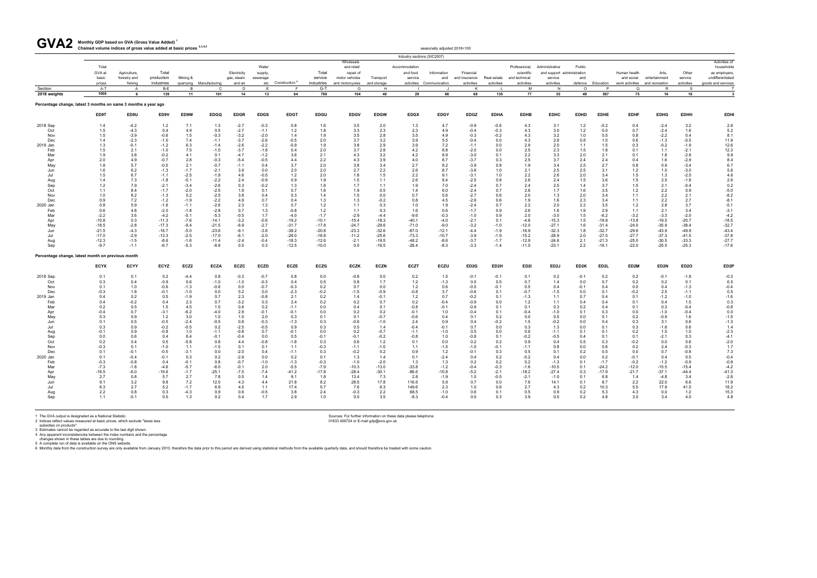#### **Monthly GDP based on GVA (Gross Value Added) <sup>1</sup>** GVA2 Monthly GDP based on GVA (Gross Value Added)<sup>1</sup><br>Chained volume indices of gross value added at basic prices <sup>2,3,4,5</sup>

| UVMZ                                                           | Chained volume indices of gross value added at basic prices 2,3,4,6 |                              |                     |                |               |                           |                              |                  |                  |                                                         |             |                                      | seasonally adjusted 2018=100 |                            |               |                                              |                                                         |                   |                   |                            |                        |                  |                                                                  |
|----------------------------------------------------------------|---------------------------------------------------------------------|------------------------------|---------------------|----------------|---------------|---------------------------|------------------------------|------------------|------------------|---------------------------------------------------------|-------------|--------------------------------------|------------------------------|----------------------------|---------------|----------------------------------------------|---------------------------------------------------------|-------------------|-------------------|----------------------------|------------------------|------------------|------------------------------------------------------------------|
|                                                                |                                                                     |                              |                     |                |               |                           |                              |                  |                  |                                                         |             | Industry sections (SIC2007)          |                              |                            |               |                                              |                                                         |                   |                   |                            |                        |                  |                                                                  |
|                                                                | Total<br>GVA at<br>basic                                            | Agriculture,<br>forestry and | Total<br>production | Mining &       |               | Electricity<br>gas, steam | Water<br>supply,<br>sewerage |                  | Total<br>service | Wholesale<br>and retail:<br>repair of<br>motor vehicles | Transport   | Accommodation<br>and food<br>service | Information<br>and           | Financial<br>and insurance | Real estate   | Professional,<br>scientific<br>and technical | Administrative<br>and support administration<br>service | Public<br>and     |                   | Human health<br>and social | Arts,<br>entertainment | Other<br>service | Activities of<br>households<br>as employers,<br>undifferentiated |
|                                                                | prices                                                              | fishing                      | industries          | quarrying      | Manufacturing | and air                   |                              | etc Construction | industries       | and motorcycles                                         | and storage | activities                           | Communication                | activities                 | activities    | activities                                   | activities                                              | defence           | Education         | work activities            | and recreation         | activities       | goods and services                                               |
| Section<br>2018 weights                                        | A-T<br>1000                                                         | A<br>- 6                     | B-E<br>139          | <b>B</b><br>11 | C.<br>101     | D<br>14                   | F<br>13                      | F.<br>64         | G-T<br>790       | G<br>104                                                | H<br>40     | 29                                   | 66                           | K<br>68                    | 135           | M<br>77                                      | N<br>53                                                 | $\Omega$<br>49    | P<br>587          | $\Omega$<br>75             | R.<br>16               | <b>S</b><br>18   | $\overline{\mathbf{3}}$                                          |
|                                                                |                                                                     |                              |                     |                |               |                           |                              |                  |                  |                                                         |             |                                      |                              |                            |               |                                              |                                                         |                   |                   |                            |                        |                  |                                                                  |
| Percentage change, latest 3 months on same 3 months a year ago |                                                                     |                              |                     |                |               |                           |                              |                  |                  |                                                         |             |                                      |                              |                            |               |                                              |                                                         |                   |                   |                            |                        |                  |                                                                  |
|                                                                | ED9T                                                                | ED9U                         | ED9V                | ED9W           | <b>EDGQ</b>   | <b>EDGR</b>               | <b>EDGS</b>                  | <b>EDGT</b>      | <b>EDGU</b>      | <b>EDGV</b>                                             | <b>EDGW</b> | <b>EDGX</b>                          | <b>EDGY</b>                  | <b>EDGZ</b>                | <b>EDHA</b>   | <b>EDHB</b>                                  | <b>EDHC</b>                                             | <b>EDHD</b>       | <b>EDHE</b>       | <b>EDHF</b>                | <b>EDHG</b>            | <b>EDHH</b>      | <b>EDHI</b>                                                      |
| 2018 Sep                                                       | 1.4                                                                 | $-4.2$                       | 1.2                 | 7.1            | 1.3           | $-2.7$                    | $-0.3$                       | 0.8              | 1.6              | 3.5                                                     | 2.0         | 1.3                                  | 4.7                          | $-0.9$                     | $-0.6$        | 4.3                                          | 3.1                                                     | 1.2               | $-0.2$            | 0.4                        | $-2.4$                 | 3.2              | 2.6                                                              |
| Oct                                                            | 1.5                                                                 | $-4.3$                       | 0.4                 | 4.9            | 0.5           | $-2.7$                    | $-1.1$                       | 1.2              | 1.8              | 3.3                                                     | 2.3         | 2.3                                  | 4.9                          | $-0.4$                     | $-0.3$        | 4.3                                          | 3.0                                                     | 1.2               | 0.0               | 0.7                        | $-2.4$                 | 1.6              | $5.2\,$                                                          |
| Nov                                                            | 1.5                                                                 | $-3.9$                       | $-0.6$              | 1.5            | $-0.3$        | $-3.2$                    | $-2.0$                       | 1.4              | 1.9              | 3.5                                                     | 2.8         | 3.5                                  | 4.9                          | $-0.3$                     | $-0.2$        | 4.3                                          | 3.2                                                     | 1.0               | 0.5               | 0.8                        | $-2.2$                 | 0.4              | 8.1                                                              |
| Dec                                                            | 1.4                                                                 | $-2.3$                       | $-1.0$              | 7.4            | $-1.1$        | $-3.7$                    | $-2.6$                       | $-0.5$           | 2.0              | 3.7                                                     | 3.2         | 3.9                                  | 5.5                          | $-0.4$                     | 0.0           | 4.3                                          | 2.6                                                     | 0.8               | 1.0               | 0.6                        | $-1.3$                 | $-0.5$           | 11.9                                                             |
| 2019 Jan                                                       | 1.3                                                                 | $-0.1$                       | $-1.2$              | 6.3            | $-1.4$        | $-2.6$                    | $-2.2$                       | $-0.9$           | 1.9              | 3.8                                                     | 2.9         | 3.9                                  | 7.2                          | $-1.1$                     | 0.0           | 2.9                                          | 2.0                                                     | 1.1               | 1.5               | 0.3                        | $-0.2$                 | $-1.9$           | 12.6                                                             |
| Feb                                                            | 1.5                                                                 | 2.1                          | $-1.0$              | 7.5            | $-1.0$        | $-3.7$                    | $-1.8$                       | 0.4              | 2.0              | 3.7                                                     | 2.8         | 4.2                                  | 8.8                          | $-2.0$                     | 0.0           | 2.5                                          | 2.3                                                     | 1.5               | 1.8               | 0.1                        | 1.1                    | $-2.1$           | 12.3                                                             |
| Mar                                                            | 1.9                                                                 | 3.8                          | $-0.2$              | 4.1            | 0.1           | $-4.7$                    | $-1.2$                       | 3.6              | 2.1              | 4.3                                                     | 3.2         | 4.2                                  | 8.9                          | $-3.0$                     | 0.1           | 2.2                                          | 3.3                                                     | 2.0               | 2.1               | 0.1                        | 1.8                    | $-2.8$           | 9.9                                                              |
| Apr                                                            | 2.0                                                                 | 4.9                          | $-0.7$              | 2.8            | $-0.3$        | $-5.4$                    | $-0.5$                       | 4.4              | 2.2              | 4.3                                                     | 3.9         | 4.0                                  | 8.7                          | $-3.7$                     | 0.3           | 2.5                                          | 3.7                                                     | 2.4               | 2.4               | 0.4                        | 1.6                    | $-2.9$           | 8.4                                                              |
| May                                                            | 1.8                                                                 | 5.7                          | $-0.5$              | 2.1            | $-0.7$        | $-1.1$                    | 0.4                          | 3.7              | 2.0              | 3.8                                                     | 3.4         | 2.7                                  | 8.2                          | $-3.9$                     | 0.8           | 1.9                                          | 3.4                                                     | 2.5               | 2.7               | 0.8                        | 0.9                    | $-3.4$           | 6.7                                                              |
| Jun                                                            | 1.6                                                                 | 6.2                          | $-1.3$              | $-1.7$         | $-2.1$        | 3.9                       | 0.0                          | 2.0              | 2.0              | 2.7                                                     | 2.2         | 2.6                                  | 8.7                          | $-3.6$                     | 1.0           | 2.1                                          | 2.5                                                     | 2.5               | 3.1               | 1.2                        | 1.0                    | $-3.0$           | 5.6                                                              |
| Jul                                                            | 1.5                                                                 | 6.7                          | $-1.1$              | $-2.5$         | $-1.9$        | 4.6                       | $-0.5$                       | 1.2              | 2.0              | 1.8                                                     | 1.5         | 2.2                                  | 9.1                          | $-3.1$                     | 1.0           | 2.2                                          | 2.6                                                     | 2.0               | 3.4               | 1.5                        | 1.3                    | $-2.5$           | 4.6                                                              |
| Aug                                                            | 1.4                                                                 | 7.3                          | $-1.8$              | $-5.1$         | $-2.2$        | 2.4                       | $-0.9$                       | 0.9              | 1.9              | 1.5                                                     | 1.1         | 2.6                                  | 8.4                          | $-2.5$                     | 0.8           | 2.6                                          | 2.4                                                     | 1.5               | 3.6               | 1.5                        | 2.5                    | $-1.8$           | 2.6                                                              |
| Sep                                                            | 1.2                                                                 | 7.9                          | $-2.1$              | $-3.4$         | $-2.6$        | 0.3                       | $-0.2$                       | 1.3              | 1.8              | 1.7                                                     | 1.1         | 1.9                                  | 7.0                          | $-2.4$                     | 0.7           | 2.4                                          | 2.5                                                     | 1.4               | 3.7               | 1.5                        | 2.1                    | $-0.4$           | 0.2                                                              |
| Oct                                                            | 1.1                                                                 | 8.4                          | $-1.7$              | $-2.0$         | $-2.5$        | 1.9                       | 0.1                          | 0.7              | 1.6              | 1.9                                                     | 0.5         | 1.4                                  | 6.0                          | $-2.4$                     | 0.7           | 2.6                                          | 1.7                                                     | 1.6               | 3.5               | 1.2                        | 2.2                    | 0.9              | $-5.0$                                                           |
| Nov                                                            | 1.0                                                                 | 8.2                          | $-1.3$              | 0.2            | $-2.5$        | 3.8                       | 0.4                          | 0.3              | 1.4              | 1.5                                                     | 0.0         | 0.7                                  | 5.6                          | $-2.7$                     | 0.6           | 2.0                                          | 1.3                                                     | 2.0               | 3.4               | 1.1                        | 2.2                    | 2.1              | $-8.2$                                                           |
| Dec                                                            | 0.9                                                                 | 7.2                          | $-1.2$              | $-1.9$         | $-2.2$        | 4.9                       | 0.7                          | 0.4              | 1.3              | 1.3                                                     | $-0.2$      | 0.8                                  | 4.5                          | $-2.6$                     | 0.6           | 1.9                                          | 1.6                                                     | 2.3               | 3.4               | 1.1                        | 2.2                    | 2.7              | $-8.1$                                                           |
| 2020 Jan                                                       | 0.8                                                                 | 5.9                          | $-1.6$              | $-1.1$         | $-2.6$        | 2.3                       | 1.3                          | 0.7              | 1.2              | 1.1                                                     | 0.3         | 1.0                                  | 1.9                          | $-2.4$                     | 0.7           | 2.2                                          | 2.0                                                     | 2.2               | 3.5               | 1.2                        | 2.8                    | 3.7              | $-5.1$                                                           |
| Feb                                                            | 0.6                                                                 | 4.8                          | $-2.0$              | $-1.8$         | $-2.8$        | 0.7                       | 1.3                          | $-0.8$           | 1.2              | 1.1                                                     | 0.3         | 1.6                                  | 0.6                          | $-1.7$                     | 0.9           | 2.6                                          | 1.6                                                     | 1.9               | 2.9               | 1.1                        | 2.1                    | 3.4              | $-3.1$                                                           |
| Mar                                                            | $-2.2$                                                              | 3.6                          | $-4.2$              | $-5.1$         | $-5.3$        | $-0.5$                    | 1.7                          | $-4.0$           | $-1.7$           | $-2.9$                                                  | $-4.4$      | $-9.6$                               | $-0.3$                       | $-1.0$                     | 0.9           | 2.0                                          | $-3.0$                                                  | 1.5               | $-6.2$            | $-3.2$                     | $-3.3$                 | $-2.0$           | $-4.2$                                                           |
| Apr                                                            | $-10.8$                                                             | 0.3                          | $-11.3$             | $-7.6$         | $-14.1$       | $-3.2$                    | $-0.6$                       | $-19.2$          | $-10.1$          | $-15.4$                                                 | $-18.3$     | $-40.1$                              | $-4.0$                       | $-2.1$                     | 0.1           | $-4.8$                                       | $-15.3$                                                 | 1.5               | $-19.9$           | $-13.8$                    | $-19.5$                | $-20.7$          | $-18.5$                                                          |
| May                                                            | $-18.5$                                                             | $-2.8$                       | $-17.3$             | $-9.4$         | $-21.5$       | $-6.9$                    | $-2.7$                       | $-31.7$          | $-17.8$          | $-24.7$                                                 | $-29.6$     | $-71.0$                              | $-9.0$                       | $-3.2$                     | $-1.0$        | $-12.0$                                      | $-27.1$                                                 | 1.6               | $-31.4$           | $-24.0$                    | $-35.9$                | $-38.4$          | $-32.7$                                                          |
| Jun                                                            | $-21.5$                                                             | $-4.3$                       | $-18.7$             | $-5.0$         | $-23.6$       | $-9.1$                    | $-3.8$                       | $-38.2$          | $-20.8$          | $-23.3$                                                 | $-32.6$     | $-87.0$                              | $-12.1$                      | $-4.4$                     | $-1.9$        | $-16.9$                                      | $-32.3$                                                 | 1.8               | $-32.7$           | $-29.6$                    | $-43.9$                | $-49.9$          | $-43.4$                                                          |
|                                                                | $-17.0$                                                             | $-2.9$                       |                     |                |               |                           |                              |                  |                  |                                                         |             |                                      |                              | $-3.9$                     | $-1.9$        |                                              | $-28.9$                                                 |                   | $-27.0$           |                            |                        |                  | $-37.8$                                                          |
| Jul                                                            |                                                                     |                              | $-13.3$             | $-2.5$         | $-17.0$       | $-6.1$                    | $-2.0$                       | $-28.0$          | $-16.8$          | $-11.2$                                                 | $-25.6$     | $-73.3$                              | $-10.7$                      |                            |               | $-15.2$                                      |                                                         | 2.0               |                   | $-27.7$                    | $-37.3$                | $-41.5$          |                                                                  |
| Aug                                                            | $-12.3$                                                             | $-1.5$                       | $-8.6$              | $-1.6$         | $-11.4$       | $-2.4$                    | $-0.4$                       | $-18.3$          | $-12.6$          | $-2.1$                                                  | $-19.5$     | $-48.2$                              | $-8.6$                       | $-3.7$                     | $-1.7$        | $-12.9$                                      | $-24.6$                                                 | 2.1               | $-21.3$           | $-25.0$                    | $-30.5$                | $-33.3$          | $-27.7$                                                          |
| Sep                                                            | $-9.7$                                                              | $-1.1$                       | $-6.7$              | $-5.3$         | $-8.8$        | 0.5                       | 0.3                          | $-12.5$          | $-10.0$          | 0.0                                                     | $-16.5$     | $-28.4$                              | $-8.3$                       | $-3.3$                     | $-1.4$        | $-11.0$                                      | $-23.1$                                                 | 2.2               | $-16.1$           | $-22.0$                    | $-25.5$                | $-25.3$          | $-17.6$                                                          |
| Percentage change, latest month on previous month              |                                                                     |                              |                     |                |               |                           |                              |                  |                  |                                                         |             |                                      |                              |                            |               |                                              |                                                         |                   |                   |                            |                        |                  |                                                                  |
|                                                                | <b>ECYX</b>                                                         | ECYY                         | <b>ECYZ</b>         | ECZ2           | <b>ECZA</b>   | <b>ECZC</b>               | <b>ECZD</b>                  | <b>ECZE</b>      | <b>ECZG</b>      | <b>ECZK</b>                                             | <b>ECZN</b> | <b>ECZT</b>                          | <b>ECZU</b>                  | ED <sub>2G</sub>           | ED2H          | ED <sub>21</sub>                             | ED2J                                                    | ED <sub>2</sub> K | ED <sub>2</sub> L | ED <sub>2</sub> M          | ED <sub>2N</sub>       | ED <sub>20</sub> | ED <sub>2</sub> P                                                |
| 2018 Sep                                                       | 0.1                                                                 | 0.1                          | 0.2                 | $-4.4$         | 0.8           | $-0.3$                    | $-0.7$                       | 0.8              | 0.0              | $-0.8$                                                  | 0.0         | 0.2                                  | 1.5                          | $-0.1$                     | $-0.1$        | 0.1                                          | 0.2                                                     | $-0.1$            | 0.2               | 0.2                        | $-0.1$                 | $-1.8$           | $-0.3$                                                           |
| Oct                                                            | 0.3                                                                 | 0.4                          | $-0.9$              | 0.6            | $-1.0$        | $-1.0$                    | $-0.3$                       | 0.4              | 0.5              | 0.8                                                     | 1.7         | 1.2                                  | $-1.3$                       | 0.0                        | 0.5           | 0.7                                          | 1.4                                                     | 0.0               | 0.7               | 0.2                        | 0.2                    | 0.1              | 6.5                                                              |
| Nov                                                            | 0.1                                                                 | 1.0                          | $-0.6$              | $-1.3$         | $-0.6$        | 0.0                       | $-0.7$                       | $-0.3$           | 0.2              | 0.7                                                     | 0.0         | 1.2                                  | 0.6                          | $-0.5$                     | $-0.1$        | 0.5                                          | 0.4                                                     | $-0.1$            | 0.4               | 0.0                        | 0.4                    | $-1.3$           | $-0.4$                                                           |
| Dec                                                            | $-0.3$                                                              | 1.8                          | $-0.1$              | $-1.0$         | 0.0           | 0.2                       | 0.0                          | $-2.3$           | $-0.2$           | $-1.5$                                                  | $-0.9$      | $-0.8$                               | 3.7                          | $-0.6$                     | 0.1           | $-0.7$                                       | $-1.5$                                                  | 0.0               | 0.1               | $-0.2$                     | 2.5                    | $-1.1$           | 0.5                                                              |
| 2019 Jan                                                       | 0.4                                                                 | 0.2                          | 0.5                 | $-1.9$         | 0.7           | 2.3                       | $-0.8$                       | 2.1              | 0.2              | 1.4                                                     | $-0.1$      | 1.2                                  | 0.7                          | $-0.2$                     | 0.1           | $-1.3$                                       | 1.1                                                     | 0.7               | 0.4               | 0.1                        | $-1.2$                 | $-1.0$           | $-1.6$                                                           |
| Feb                                                            | 0.4                                                                 | $-0.2$                       | 0.4                 | 2.3            | 0.7           | $-3.2$                    | 0.3                          | 2.4              | 0.2              | 0.2                                                     | 0.7         | 0.2                                  | $-0.4$                       | $-0.9$                     | 0.0           | 1.2                                          | 1.1                                                     | 0.4               | 0.4               | 0.1                        | 0.4                    | 1.5              | 0.3                                                              |
| Mar                                                            | 0.2                                                                 | 0.5                          | 1.5                 | 4.5            | 1.5           | 0.8                       | 0.2                          | $-1.1$           | 0.0              | 0.4                                                     | 0.1         | $-0.8$                               | $-0.1$                       | $-0.9$                     | 0.1           | 0.1                                          | 0.3                                                     | 0.2               | 0.4               | 0.1                        | 0.3                    | $-0.4$           | $-0.8$                                                           |
| Apr                                                            | $-0.4$                                                              | 0.7                          | $-3.1$              | $-6.2$         | $-4.0$        | 2.9                       | $-0.1$                       | $-0.1$           | 0.0              | 0.2                                                     | 0.2         | $-0.1$                               | 1.0                          | $-0.4$                     | 0.1           | $-0.4$                                       | $-1.0$                                                  | 0.1               | 0.3               | 0.0                        | $-1.0$                 | $-0.4$           | 0.0                                                              |
| May                                                            | 0.3                                                                 | 0.9                          | 1.2                 | 3.0            | 1.0           | 1.0                       | 2.0                          | 0.3              | 0.1              | 0.1                                                     | $-0.7$      | $-0.6$                               | 0.4                          | 0.1                        | 0.2           | 0.0                                          | 0.5                                                     | 0.0               | 0.1               | 0.2                        | $-0.9$                 | 1.6              | $-1.5$                                                           |
| Jun                                                            | 0.1                                                                 | 0.5                          | $-0.5$              | $-2.4$         | $-0.5$        | 0.8                       | $-0.3$                       | $-1.3$           | 0.3              | $-0.6$                                                  | $-1.0$      | 2.4                                  | 0.9                          | 0.4                        |               | 1.5                                          | $-0.2$                                                  | 0.0               | 0.4               | 0.3                        | 3.1                    | 0.6              | $-1.3$                                                           |
| Jul                                                            | 0.3                                                                 | 0.9                          | $-0.2$              | $-0.5$         | 0.2           | $-2.5$                    | $-0.5$                       | 0.9              | 0.3              | 0.5                                                     | 1.4         | $-0.4$                               | $-0.1$                       | 0.7                        | $-0.2$<br>0.0 | 0.3                                          | 1.3                                                     | 0.0               | 0.1               | 0.3                        | $-1.6$                 | 0.6              | 1.4                                                              |
|                                                                |                                                                     | 0.9                          |                     |                |               |                           | 0.7                          |                  |                  |                                                         | $-0.7$      |                                      |                              |                            |               |                                              |                                                         | 0.1               |                   |                            |                        |                  |                                                                  |
| Aug                                                            | $-0.1$                                                              |                              | $-0.8$              | 1.0            | $-1.1$        | $-0.8$                    |                              | $-0.1$           | 0.0              | 0.2                                                     |             | $-1.1$                               | $-1.0$                       | 0.5                        | 0.0           | 0.6                                          | $-1.1$                                                  |                   | 0.1               | 0.2                        | 1.5                    | 1.0              | $-2.3$                                                           |
| Sep                                                            | 0.0                                                                 | 0.6                          | 0.4                 | 6.4            | $-0.1$        | $-0.4$                    | 0.0                          | 0.5              | $-0.1$           | $-0.1$                                                  | $-0.2$      | $-0.8$                               | 1.0                          | $-0.8$                     | 0.1           | $-0.2$                                       | $-0.5$                                                  | $0.4^{\circ}$     | 0.1               | 0.1                        | $-2.1$                 | 0.3              | $-4.1$                                                           |
| Oct                                                            | 0.2                                                                 | 0.4                          | 0.5                 | $-5.8$         | 0.8           | 4.4                       | $-0.8$                       | $-1.8$           | 0.3              | 0.6                                                     | 1.2         | 0.1                                  | 0.0                          | 0.2                        | 0.2           | 0.9                                          | 0.4                                                     | 0.5               | 0.3               | $-0.2$                     | 0.0                    | 0.6              | $-2.0$                                                           |
| Nov                                                            | $-0.3$                                                              | 0.1                          | $-1.0$              | 1.1            | $-1.5$        | 0.1                       | 0.1                          | 1.1              | $-0.3$           | $-1.1$                                                  | $-1.0$      | 1.1                                  | $-1.5$                       | $-1.0$                     | $-0.1$        | $-1.1$                                       | 0.8                                                     | 0.0               | 0.6               | 0.2                        | 2.4                    | $-0.3$           | 1.7                                                              |
| Dec                                                            | 0.1                                                                 | $-0.1$                       | $-0.5$              | $-3.1$         | 0.0           | $-2.0$                    | 0.4                          | -1.1             | 0.3              | $-0.2$                                                  | 0.2         | 0.9                                  | 1.2                          | $-0.1$                     | 0.3           | 0.5                                          | 0.1                                                     | 0.2               | 0.5               | 0.0                        | 0.7                    | -0.8             | 7.3                                                              |
| 2020 Jan                                                       | 0.1                                                                 | $-0.4$                       | $-0.1$              | 0.3            | 0.2           | $-2.9$                    | 0.0                          | 0.2              | 0.1              | 1.3                                                     | 1.4         | 0.1                                  | $-2.4$                       | 0.4                        | 0.2           | $-0.2$                                       | 0.4                                                     | 0.0               | 0.2               | $-0.1$                     | 0.4                    | 0.5              | $-0.4$                                                           |
| Feb                                                            | $-0.3$                                                              | $-0.8$                       | 0.4                 | $-0.1$         | 0.8           | $-0.7$                    | $-1.0$                       | $-1.3$           | $-0.3$           | $-1.0$                                                  | $-2.0$      | 1.3                                  | 1.3                          | 0.2                        | 0.2           | 0.2                                          | $-1.3$                                                  | 0.1               | $-1.7$            | $-0.2$                     | $-1.2$                 | $-0.9$           | $-0.9$                                                           |
| Mar                                                            | $-7.3$                                                              | $-1.8$                       | $-4.6$              | $-5.7$         | $-6.0$        | $-0.1$                    | 2.0                          | $-5.5$           | $-7.9$           | $-10.3$                                                 | $-13.0$     | $-33.8$                              | $-1.2$                       | $-0.4$                     | $-0.3$        | $-1.6$                                       | $-10.5$                                                 | 0.1               | $-24.2$           | $-12.0$                    | $-15.5$                | $-15.4$          | $-4.2$                                                           |
| Apr                                                            | $-19.5$                                                             | $-6.0$                       | $-19.6$             | $-1.7$         | $-25.1$       | $-7.0$                    | $-7.4$                       | $-41.2$          | $-17.8$          | $-28.4$                                                 | $-30.1$     | $-86.6$                              | $-10.8$                      | $-5.2$                     | $-2.1$        | $-18.2$                                      | $-27.4$                                                 | 0.3               | $-17.9$           | $-21.7$                    | $-37.1$                | $-44.4$          | $-41.3$                                                          |
| May                                                            | 2.7                                                                 | 0.8                          | 5.7                 | 2.7            | 7.8           | 0.5                       | 1.4                          | 9.1              | 1.8              | 13.4                                                    | 7.3         | 2.8                                  | $-1.9$                       | 1.0                        | $-0.5$        | $-2.1$                                       | $-1.0$                                                  | 0.1               | 6.8               | 1.4                        | $-4.8$                 | 3.4              | $-2.8$                                                           |
| Jun                                                            | 9.1                                                                 | 3.2                          | 9.8                 | 7.2            | 12.0          | 4.3                       | 4.4                          | 21.8             | 8.2              | 28.5                                                    | 17.8        | 116.6                                | 5.9                          | 0.7                        | 0.0           | 7.6                                          | 14.1                                                    | 0.1               | 8.7               | 2.2                        | 22.0                   | 6.6              | 11.9                                                             |
| Jul                                                            | 6.3                                                                 | 2.7                          | 5.2                 | $-1.7$         | 6.9           | 4.5                       | 1.1                          | 17.4             | 5.7              | 7.6                                                     | 6.3         | 149.6                                | 2.3                          | 1.0                        | 0.6           | 2.7                                          | 4.3                                                     | 0.2               | 10.3              | $5.5$                      | 17.9                   | 41.5             | 18.2                                                             |
| Aug                                                            | 2.2                                                                 | 0.8                          | 0.3                 | $-4.3$         | 0.9           | 0.6                       | $-0.5$                       | 3.8              | 2.4              | $-0.3$                                                  | 2.2         | 68.5                                 | $-1.0$                       | 0.6                        | 0.1           | 0.5                                          | 0.9                                                     | 0.2               | 5.3               | 4.3                        | 0.0                    | 1.2              |                                                                  |
| Sep                                                            | 1.1                                                                 | $-0.1$                       | 0.5                 | 1.3            | 0.2           | 0.4                       | 1.7                          | 2.9              | 1.0              | 0.0                                                     | 3.5         | $-8.3$                               | $-0.4$                       | 0.0                        | 0.3           | 3.9                                          | 0.5                                                     | 0.2               | 4.8               | 3.0                        | 3.4                    | 4.0              | $\frac{15.3}{4.8}$                                               |
|                                                                |                                                                     |                              |                     |                |               |                           |                              |                  |                  |                                                         |             |                                      |                              |                            |               |                                              |                                                         |                   |                   |                            |                        |                  |                                                                  |
|                                                                |                                                                     |                              |                     |                |               |                           |                              |                  |                  |                                                         |             |                                      |                              |                            |               |                                              |                                                         |                   |                   |                            |                        |                  |                                                                  |

1 The GVA output is designated as a National Statistic.<br>2 Indices reflect values measured at basic prices, which exclude "taxes less<br>3 Istimates cannot be regarded as accurate to the last digit shown.<br>4 Any apparent incons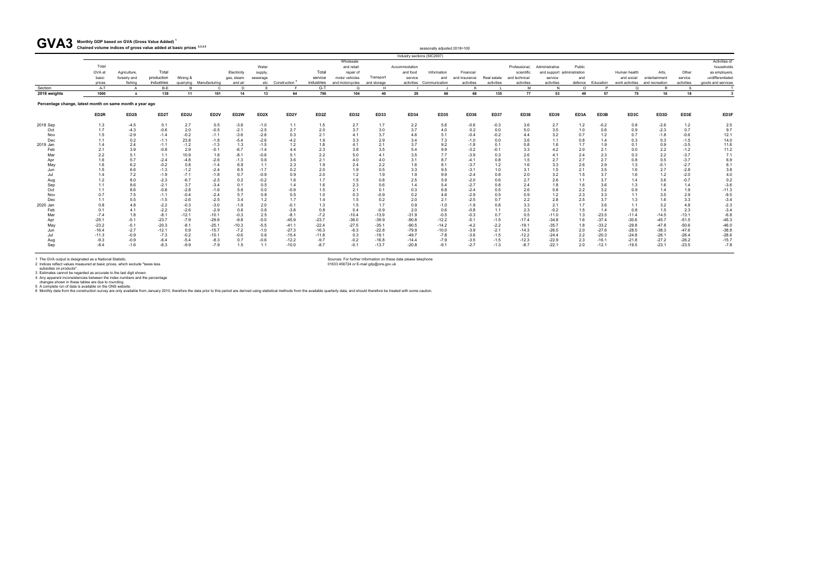#### **Monthly GDP based on GVA (Gross Value Added) <sup>1</sup>** GVA3 Monthly GDP based on GVA (Gross Value Added)<sup>1</sup><br>Chained volume indices of gross value added at basic prices <sup>2,3,4,5</sup>

| <b>UVAJ</b>                                              | Chained volume indices of gross value added at basic prices 2,3,4,5 |                                         |                                   |                  |                         |                                      |                    |                               |                                |                                                |                          |                     | seasonally adjusted 2018=100                   |                                          |                           |                                           |                                                     |                |           |                            |                                                          |                                |                                  |
|----------------------------------------------------------|---------------------------------------------------------------------|-----------------------------------------|-----------------------------------|------------------|-------------------------|--------------------------------------|--------------------|-------------------------------|--------------------------------|------------------------------------------------|--------------------------|---------------------|------------------------------------------------|------------------------------------------|---------------------------|-------------------------------------------|-----------------------------------------------------|----------------|-----------|----------------------------|----------------------------------------------------------|--------------------------------|----------------------------------|
|                                                          |                                                                     |                                         |                                   |                  |                         |                                      |                    |                               |                                |                                                |                          |                     | Industry sections (SIC2007)                    |                                          |                           |                                           |                                                     |                |           |                            |                                                          |                                |                                  |
|                                                          | Total                                                               |                                         |                                   |                  |                         |                                      | Water              |                               |                                | Wholesale<br>and retail:                       |                          | Accommodation       |                                                |                                          |                           | Professional.                             | Administrative                                      | Public         |           |                            |                                                          |                                | Activities of<br>households      |
|                                                          | GVA at<br>basic<br>prices                                           | Agriculture,<br>forestry and<br>fishing | Total<br>production<br>industries | Mining &         | quarrying Manufacturing | Electricity<br>gas, steam<br>and air | supply<br>sewerage | etc Construction <sup>t</sup> | Total<br>service<br>industries | repair of<br>motor vehicles<br>and motorcycles | Transport<br>and storage | and food<br>service | Information<br>and<br>activities Communication | Financial<br>and insurance<br>activities | Real estate<br>activities | scientific<br>and technical<br>activities | and support administration<br>service<br>activities | and<br>defence | Education | Human health<br>and social | Arts.<br>entertainment<br>work activities and recreation | Other<br>service<br>activities | as employers<br>undifferentiated |
| Section                                                  | A-T                                                                 |                                         | $B-E$                             |                  | $\Gamma$                | D                                    |                    |                               | $G-T$                          | G                                              |                          |                     |                                                |                                          |                           | M                                         |                                                     | $\Omega$       | D         | $\Omega$                   | P                                                        | <b>S</b>                       | goods and services               |
| 2016 weights                                             | 1000                                                                | -6                                      | 139                               | 11               | 101                     | 14                                   | 13                 | 64                            | 790                            | 104                                            | 40                       | 29                  | 66                                             | 68                                       | 135                       | 77                                        | 53                                                  | 49             | 57        | 75                         | 16                                                       | 18                             |                                  |
| Percentage change, latest month on same month a year ago |                                                                     |                                         |                                   |                  |                         |                                      |                    |                               |                                |                                                |                          |                     |                                                |                                          |                           |                                           |                                                     |                |           |                            |                                                          |                                |                                  |
|                                                          | ED <sub>2R</sub>                                                    | ED2S                                    | ED <sub>2</sub> T                 | ED <sub>2U</sub> | ED <sub>2V</sub>        | ED <sub>2</sub> W                    | ED <sub>2</sub> X  | ED <sub>2</sub> Y             | ED <sub>2</sub> Z              | <b>ED32</b>                                    | ED33                     | <b>ED34</b>         | <b>ED35</b>                                    | <b>ED36</b>                              | <b>ED37</b>               | <b>ED38</b>                               | ED39                                                | ED3A           | ED3B      | ED3C                       | ED3D                                                     | ED3E                           | ED3F                             |
| 2018 Sep                                                 | 1.3                                                                 | $-4.5$                                  | 0.1                               | 2.7              | 0.5                     | $-3.8$                               | $-1.0$             | 1.1                           | 1.5                            | 2.7                                            | 1.7                      | 2.2                 | 5.6                                            | $-0.6$                                   | $-0.3$                    | 3.6                                       | 2.7                                                 | 1.2            | $-0.2$    | 0.8                        | $-2.6$                                                   | 1.2                            | 2.5                              |
| Oct                                                      | 1.7                                                                 | $-4.3$                                  | $-0.6$                            | 2.0              | $-0.5$                  | $-2.1$                               | $-2.5$             | 2.7                           | 2.0                            | 3.7                                            | 3.0                      | 3.7                 | 4.0                                            | 0.2                                      | 0.0                       | 5.0                                       | 3.5                                                 | 1.0            | 0.6       | 0.9                        | $-2.3$                                                   | 0.7                            | 9.7                              |
| Nov                                                      | 1.5                                                                 | $-2.9$                                  | $-1.4$                            | $-0.2$           | $-1.1$                  | $-3.6$                               | $-2.6$             | 0.3                           | 2.1                            | 4.1                                            | 3.7                      | 4.6                 | 5.1                                            | $-0.4$                                   | $-0.2$                    | 4.4                                       | 3.2                                                 | 0.7            | 1.2       | 0.7                        | $-1.8$                                                   | $-0.6$                         | 12.1                             |
| Dec                                                      |                                                                     | 0.2                                     | $-1.1$                            | 23.8             | $-1.8$                  | $-5.4$                               | $-2.6$             | $-4.2$                        | 1.9                            | 3.3                                            | 2.9                      | 3.4                 | 7.3                                            | $-1.0$                                   | 0.0                       | 3.6                                       | 1.1                                                 | 0.8            | 1.4       | 0.3                        | 0.3                                                      | $-1.5$                         | 14.0                             |
| 2019 Jan                                                 | 14                                                                  | 2.4                                     | $-1.1$                            | $-1.2$           | $-1.3$                  | 1.3                                  | $-1.5$             | 1.2                           | 1.8                            | 4.1                                            | 2.1                      | 3.7                 | 9.2                                            | $-1.8$                                   | 0.1                       | 0.8                                       | 1.6                                                 | 1.7            | 1.9       | 0.1                        | 0.9                                                      | $-3.5$                         | 11.6                             |
| Feb                                                      | 2.1                                                                 | 3.9                                     | $-0.8$                            | 2.9              | $-0.1$                  | $-6.7$                               | $-1.4$             | 4.4                           | 2.3                            | 3.8                                            | 3.5                      | 5.4                 | 9.9                                            | $-3.2$                                   | $-0.1$                    | 3.3                                       | 4.2                                                 | 2.0            | 2.1       | 0.0                        | 2.2                                                      | $-1.2$                         | 11.2                             |
| Mar                                                      | 2.2                                                                 | 5.1                                     | 1.1                               | 10.9             | 1.8                     | $-8.1$                               | $-0.6$             | 5.1                           | 2.2                            | 5.0                                            | 4.1                      | 3.5                 | 7.7                                            | $-3.9$                                   | 0.3                       | 2.6                                       | 4.1                                                 | 2.4            | 2.3       | 0.3                        | 2.2                                                      | $-3.7$                         | 7.1                              |
| Apr                                                      | 1.6                                                                 | 5.7                                     | $-2.4$                            | $-4.8$           | $-2.6$                  | $-1.3$                               | 0.6                | 3.6                           | 2.1                            | 4.0                                            | 4.0                      | 3.1                 | 8.7                                            | $-4.1$                                   | 0.8                       | 1.5                                       | 2.7                                                 | 2.7            | 2.7       | 0.8                        | 0.5                                                      | $-3.7$                         | 6.9                              |
| May                                                      |                                                                     | 6.2                                     | $-0.2$                            | 0.8              | $-1.4$                  | 6.8                                  | 1.1                | 2.3                           | 1.9                            | 2.4                                            | 2.2                      | 1.6                 | 8.1                                            | $-3.7$                                   | 1.2                       | 1.6                                       | 3.3                                                 | 2.6            | 2.9       | 1.3                        | $-0.1$                                                   | $-2.7$                         | 6.1                              |
| Jun                                                      | 1.5                                                                 | 6.6                                     | $-1.3$                            | $-1.2$           | $-2.4$                  | 6.5                                  | $-1.7$             | 0.2                           | 2.0                            | 1.9                                            | 0.5                      | 3.3                 | 9.5                                            | $-3.1$                                   | 1.0                       | 3.1                                       | 1.5                                                 | 2.1            | 3.5       | 1.6                        | 2.7                                                      | $-2.8$                         | 3.8                              |
| Jul                                                      | 1.4                                                                 | 7.2                                     | $-1.9$                            | $-7.1$           | $-1.8$                  | 0.7                                  | $-0.9$             | 0.9                           | 2.0                            | 1.2                                            | 1.9                      | 1.9                 | 9.9                                            | $-2.4$                                   | 0.8                       | 2.0                                       | 3.2                                                 | 1.5            | 3.7       | 1.6                        | 1.2                                                      | $-2.0$                         | 4.0                              |
| Aua                                                      | 1.2                                                                 | 8.0                                     | $-2.3$                            | $-6.7$           | $-2.5$                  | 0.2                                  | $-0.2$             | 1.6                           | 1.7                            | 1.5                                            | 0.8                      | 2.5                 | 5.9                                            | $-2.0$                                   | 0.6                       | 2.7                                       | 2.6                                                 | 1.1            | 3.7       | 1.4                        | 3.6                                                      | $-0.7$                         | 0.2                              |
| Sep                                                      | 1.1                                                                 | 8.6                                     | $-2.1$                            | 3.7              | $-3.4$                  | 0.1                                  | 0.5                | 1.4                           | 1.6                            | 2.3                                            | 0.6                      | 1.4                 | 5.4                                            | $-2.7$                                   | 0.8                       | 2.4                                       | 1.8                                                 | 1.6            | 3.6       | 1.3                        | 1.6                                                      | 1.4                            | $-3.6$                           |
| Oct                                                      |                                                                     | 8.6                                     | $-0.8$                            | $-2.8$           | $-1.6$                  | 5.6                                  | 0.0                | $-0.9$                        | 1.5                            | 2.1                                            | 0.1                      | 0.3                 | 6.8                                            | $-2.4$                                   | 0.5                       | 2.6                                       | 0.8                                                 | 2.2            | 3.2       | 0.9                        |                                                          | 1.9                            | $-11.3$                          |
| Nov                                                      | 0.7                                                                 | 7.5                                     | $-1.1$                            | $-0.4$           | $-2.4$                  | 5.7                                  | 0.8                | 0.5                           | 1.0                            | 0.3                                            | $-0.9$                   | 0.2                 | 4.6                                            | $-2.9$                                   | 0.5                       | 0.9                                       | 1.2                                                 | 2.3            | 3.3       | 1.1                        | 3.5                                                      | 2.9                            | $-9.5$                           |
| Dec                                                      | 1.1                                                                 | 5.5                                     | $-1.5$                            | $-2.6$           | $-2.5$                  | 3.4                                  | 1.2                | 1.7                           | 1.4                            | 1.5                                            | 0.2                      | 2.0                 | 2.1                                            | $-2.5$                                   | 0.7                       | 2.2                                       | 2.8                                                 | 2.5            | 3.7       | 1.3                        | 1.6                                                      | 3.3                            | $-3.4$                           |
| 2020 Jan                                                 | 0.8                                                                 | 4.8                                     | $-2.2$                            | $-0.3$           | $-3.0$                  | $-1.9$                               | 2.0                | $-0.1$                        | 1.3                            | 1.5                                            | 1.7                      | 0.9                 | $-1.0$                                         | $-1.9$                                   | 0.8                       | 3.3                                       | 2.1                                                 | 1.7            | 3.6       | 1.1                        | 3.2                                                      | 4.8                            | $-2.3$                           |
| Feb                                                      | 0.2                                                                 | 4.1                                     | $-2.2$                            | $-2.6$           | $-2.9$                  | 0.6                                  | 0.6                | $-3.8$                        | 0.8                            | 0.4                                            | $-0.9$                   | 2.0                 | 0.6                                            | $-0.8$                                   | 1.1                       | 2.3                                       | $-0.2$                                              | 1.5            | 1.4       | 0.8                        | 1.5                                                      | 2.3                            | $-3.4$                           |
| Mar                                                      | $-7.4$                                                              | 1.8                                     | $-8.1$                            | $-12.1$          | $-10.1$                 | $-0.3$                               | 2.5                | $-8.1$                        | $-7.2$                         | $-10.4$                                        | $-13.9$                  | $-31.9$             | $-0.5$                                         | $-0.3$                                   | 0.7                       | 0.5                                       | $-11.0$                                             | 1.3            | $-23.5$   | $-11.4$                    | $-14.5$                                                  | $-13.1$                        | $-6.8$                           |
| Apr                                                      | $-25.1$                                                             | $-5.1$                                  | $-23.7$                           | $-7.9$           | $-29.9$                 | $-9.8$                               | $-5.0$             | $-45.9$                       | $-23.7$                        | $-36.0$                                        | $-39.9$                  | $-90.8$             | $-12.2$                                        | $-5.1$                                   | $-1.5$                    | $-17.4$                                   | $-34.8$                                             | 1.6            | $-37.4$   | $-30.6$                    | $-45.7$                                                  | $-51.5$                        | $-45.3$                          |
| Mav                                                      | $-23.2$                                                             | $-5.1$                                  | $-20.3$                           | $-8.1$           | $-25.1$                 | $-10.3$                              | $-5.5$             | $-41.1$                       | $-22.4$                        | $-27.5$                                        | $-35.1$                  | $-90.5$             | $-14.2$                                        | $-4.2$                                   | $-2.2$                    | $-19.1$                                   | $-35.7$                                             | 1.8            | $-33.2$   | $-29.8$                    | $-47.8$                                                  | $-50.6$                        | $-46.0$                          |
| Jun                                                      | $-16.4$                                                             | $-2.7$                                  | $-12.1$                           | 0.9              | $-15.7$                 | $-7.2$                               | $-1.0$             | $-27.3$                       | $-16.3$                        | $-6.3$                                         | $-22.8$                  | $-79.9$             | $-10.0$                                        | $-3.9$                                   | $-2.1$                    | $-14.3$                                   | $-26.5$                                             | 2.0            | $-27.6$   | $-28.5$                    | $-38.3$                                                  | $-47.6$                        | $-38.8$                          |
| Jul                                                      | $-11.3$                                                             | $-0.9$                                  | $-7.3$                            | $-0.2$           | $-10.1$                 | $-0.6$                               | 0.6                | $-15.4$                       | $-11.8$                        | 0.3                                            | $-19.1$                  | $-49.7$             | $-7.8$                                         | $-3.6$                                   | $-1.5$                    | $-12.2$                                   | $-24.4$                                             | 2.2            | $-20.3$   | $-24.8$                    | $-26.1$                                                  | $-26.4$                        | $-28.6$                          |
| Aug                                                      | $-9.3$                                                              | $-0.9$                                  | $-6.4$                            | $-5.4$           | $-8.3$                  | 0.7                                  | $-0.6$             | $-12.2$                       | $-9.7$                         | $-0.2$                                         | $-16.8$                  | $-14.4$             | $-7.9$                                         | $-3.5$                                   | $-1.5$                    | $-12.3$                                   | $-22.9$                                             | 2.3            | $-16.1$   | $-21.8$                    | $-27.2$                                                  | $-26.2$                        | $-15.7$                          |
| Sep                                                      | $-84$                                                               | $-1.6$                                  | $-6.3$                            | $-9.9$           | $-7.9$                  | 1.5                                  | 1.1                | $-10.0$                       | $-8.7$                         | $-0.1$                                         | $-13.7$                  | $-20.8$             | $-9.1$                                         | $-2.7$                                   | $-1.3$                    | $-8.7$                                    | $-22.1$                                             | 2.0            | $-12.1$   | $-19.5$                    | $-23.7$                                                  | $-23.5$                        | $-7.8$                           |
|                                                          |                                                                     |                                         |                                   |                  |                         |                                      |                    |                               |                                |                                                |                          |                     |                                                |                                          |                           |                                           |                                                     |                |           |                            |                                                          |                                |                                  |

1 The GVA output is designated as a National Statistic.<br>2 Indices reflect values measured at basic prices, which exclude "taxes less<br>3 Istimates cannot be regarded as accurate to the last digit shown.<br>4 Any apparent incons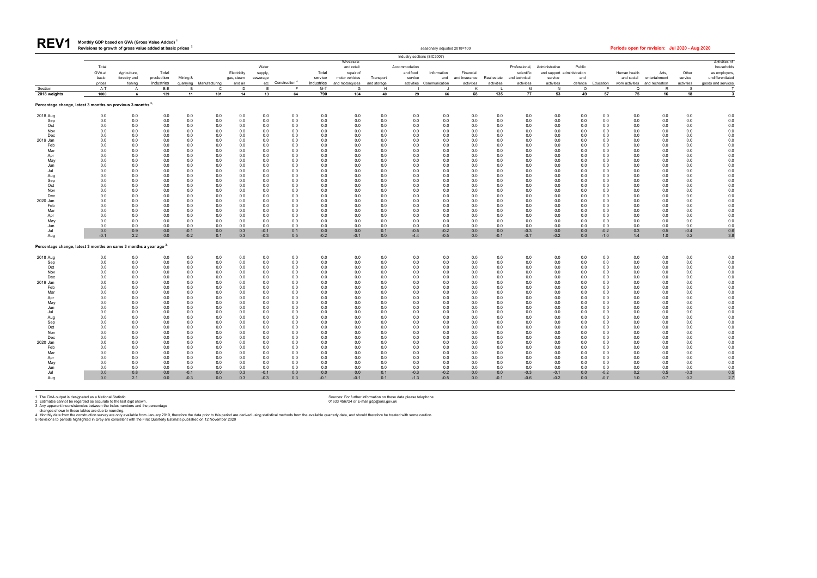| <b>REV1</b> | Monthly GDP based on GVA (Gross Value Added) <sup>1</sup>             |
|-------------|-----------------------------------------------------------------------|
|             | Revisions to growth of gross value added at basic prices <sup>2</sup> |

| <b>NLVI</b>     |                                                                              | Revisions to growth of gross value added at basic prices |                   |                  |                                         |              |                  |                                     |                     |                          |                  |                             | seasonally adjusted 2018=100       |                 |               |                  |                            |                     |                           |                             | Periods open for revision: Jul 2020 - Aug 2020 |                  |                             |
|-----------------|------------------------------------------------------------------------------|----------------------------------------------------------|-------------------|------------------|-----------------------------------------|--------------|------------------|-------------------------------------|---------------------|--------------------------|------------------|-----------------------------|------------------------------------|-----------------|---------------|------------------|----------------------------|---------------------|---------------------------|-----------------------------|------------------------------------------------|------------------|-----------------------------|
|                 |                                                                              |                                                          |                   |                  |                                         |              |                  |                                     |                     |                          |                  | Industry sections (SIC2007) |                                    |                 |               |                  |                            |                     |                           |                             |                                                |                  |                             |
|                 | Total                                                                        |                                                          |                   |                  |                                         |              | Water            |                                     |                     | Wholesale<br>and retail: |                  | Accommodation               |                                    |                 |               | Professional,    | Administrative             | Public              |                           |                             |                                                |                  | Activities of<br>households |
|                 | GVA at                                                                       | Agriculture,                                             | Total             |                  |                                         | Electricity  | supply,          |                                     | Total               | repair of                |                  | and food                    | Information                        | Financial       |               | scientific       | and support administration |                     |                           | Human health                | Arts,                                          | Other            | as employers                |
|                 | basic                                                                        | forestry and                                             | production        | Mining &         |                                         | gas, steam   | sewerage         |                                     | service             | motor vehicles           | Transport        | service                     | and                                | and insurance   | Real estate   | and technical    | service                    | and                 |                           | and social                  | entertainment                                  | service          | undifferentiated            |
| Section         | prices<br>$A-T$                                                              | fishing<br>$\overline{A}$                                | industries<br>B-E |                  | quarrying Manufacturing<br>$\mathsf{C}$ | and air<br>D | F                | etc Construction <sup>4</sup><br>F. | industries<br>$G-T$ | and motorcycles<br>G     | and storage<br>H |                             | activities Communication<br>$\Box$ | activities<br>K | activities    | activities<br>M  | activities<br>N            | defence<br>$\Omega$ | Education<br>$\mathsf{P}$ | work activities<br>$\Omega$ | and recreation<br>$\mathsf{R}$                 | activities<br>S. | goods and services          |
| 2018 weights    | 1000                                                                         | 6                                                        | 139               | 11               | 101                                     | 14           | 13               | 64                                  | 790                 | 104                      | 40               | 29                          | 66                                 | 68              | 135           | 77               | 53                         | 49                  | 57                        | 75                          | 16                                             | 18               | 3                           |
|                 | Percentage change, latest 3 months on previous 3 months 3,                   |                                                          |                   |                  |                                         |              |                  |                                     |                     |                          |                  |                             |                                    |                 |               |                  |                            |                     |                           |                             |                                                |                  |                             |
| 2018 Aug        | 0.0                                                                          | 0.0                                                      | 0.0               | 0.0              | 0.0                                     | 0.0          | 0.0              | 0.0                                 | 0.0                 | 0.0                      | 0.0              | 0.0                         | 0.0                                | 0.0             | 0.0           | 0.0              | 0.0                        | 0.0                 | 0.0                       | 0.0                         | 0.0                                            | 0.0              | 0.0                         |
| Sep             | 0.0                                                                          | 0.0                                                      | 0.0               | 0.0              | 0.0                                     | 0.0          | 0.0              | 0.0                                 | 0.0                 | 0.0                      | 0.0              | 0.0                         | 0.0                                | 0.0             | 0.0           | 0.0              | 0.0                        | 0.0                 | 0.0                       | 0.0                         | 0.0                                            | 0.0              | 0.0                         |
| Oct             | 0.0                                                                          | 0.0                                                      | 0.0               | 0.0              | 0.0                                     | 0.0          | 0.0              | 0.0                                 | 0.0                 | 0.0                      | 0.0              | 0.0                         | 0.0                                | 0.0             | 0.0           | 0.0              | 0.0                        | 0.0                 | 0.0                       | 0.0                         | 0.0                                            | 0.0              | 0.0                         |
| Nov             | 0.0                                                                          | 0.0                                                      | 0.0               | 0.0              | 0.0                                     | 0.0          | 0.0              | 0.0                                 | 0.0                 | 0.0                      | 0.0              | 0.0                         | 0.0                                | 0.0             | 0.0           | 0.0              | 0.0                        | 0.0                 | 0.0                       | 0.0                         | 0.0                                            | 0.0              | 0.0                         |
| Dec<br>2019 Jan | 0.0<br>0.0                                                                   | 0.0<br>0.0                                               | 0.0<br>0.0        | 0.0<br>0.0       | 0.0<br>0.0                              | 0.0<br>0.0   | 0.0<br>0.0       | 0.0<br>0.0                          | 0.0<br>0.0          | 0.0<br>0.0               | 0.0<br>0.0       | 0.0<br>0.0                  | 0.0<br>0.0                         | 0.0<br>0.0      | 0.0<br>0.0    | 0.0<br>0.0       | 0.0<br>0.0                 | 0.0<br>0.0          | 0.0<br>0.0                | 0.0<br>0.0                  | 0.0<br>0.0                                     | 0.0<br>0.0       | 0.0<br>0.0                  |
| Feb             | 0.0                                                                          | 0.0                                                      | 0.0               | 0.0              | 0.0                                     | 0.0          | 0.0              | 0.0                                 | 0.0                 | 0.0                      | 0.0              | 0.0                         | 0.0                                | 0.0             | 0.0           | 0.0              | 0.0                        | 0.0                 | 0.0                       | 0.0                         | 0.0                                            | 0.0              | 0.0                         |
| Mar             | 0.0                                                                          | 0.0                                                      | 0.0               | 0.0              | 0.0                                     | 0.0          | 0.0              | 0.0                                 | 0.0                 | 0.0                      | 0.0              | 0.0                         | 0.0                                | 0.0             | 0.0           | 0.0              | 0.0                        | 0.0                 | 0.0                       | 0.0                         | 0.0                                            | 0.0              | 0.0                         |
| Apr             | 0.0                                                                          | 0.0                                                      | 0.0               | 0.0              | 0.0                                     | 0.0          | 0.0              | 0.0                                 | 0.0                 | 0.0                      | 0.0              | 0.0                         | 0.0                                | 0.0             | 0.0           | 0.0              | 0.0                        | 0.0                 | 0.0                       | 0.0                         | 0.0                                            | 0.0              | 0.0                         |
| May             | 0.0                                                                          | 0.0                                                      | 0.0               | 0.0              | 0.0                                     | 0.0          | 0.0              | 0.0                                 | 0.0                 | 0.0                      | 0.0              | 0.0                         | 0.0                                | 0.0             | 0.0           | 0.0              | 0.0                        | 0.0                 | 0.0                       | 0.0                         | 0.0                                            | 0.0              | 0.0                         |
| Jun             | 0.0                                                                          | 0.0                                                      | 0.0               | 0.0              | 0.0                                     | 0.0          | 0.0              | 0.0                                 | 0.0                 | 0.0                      | 0.0              | 0.0                         | 0.0                                | 0.0             | 0.0           | 0.0              | 0.0                        | 0.0                 | 0.0                       | 0.0                         | 0.0                                            | 0.0              | 0.0                         |
| Jul             | 0.0                                                                          | 0.0                                                      | 0.0               | 0.0              | 0.0                                     | 0.0          | 0.0              | 0.0                                 | 0.0                 | 0.0                      | 0.0              | 0.0                         | 0.0                                | 0.0             | 0.0           | 0.0              | 0.0                        | 0.0                 | 0.0                       | 0.0                         | 0.0                                            | 0.0              | 0.0                         |
| Aug             | 0.0<br>0.0                                                                   | 0.0<br>0.0                                               | 0.0<br>0.0        | 0.0<br>0.0       | 0.0<br>0.0                              | 0.0<br>0.0   | 0.0<br>0.0       | 0.0<br>0.0                          | 0.0                 | 0.0<br>0.0               | 0.0<br>0.0       | 0.0<br>0.0                  | 0.0<br>0.0                         | 0.0<br>0.0      | 0.0<br>0.0    | 0.0<br>0.0       | 0.0<br>0.0                 | 0.0<br>0.0          | 0.0<br>0.0                | 0.0<br>0.0                  | 0.0<br>0.0                                     | 0.0<br>0.0       | 0.0<br>0.0                  |
| Sep<br>Oct      | 0.0                                                                          | 0.0                                                      | 0.0               | 0.0              | 0.0                                     | 0.0          | 0.0              | 0.0                                 | 0.0<br>0.0          | 0.0                      | 0.0              | 0.0                         | 0.0                                | 0.0             | 0.0           | 0.0              | 0.0                        | 0.0                 | 0.0                       | 0.0                         | 0.0                                            | 0.0              | 0.0                         |
| Nov             | 0.0                                                                          | 0.0                                                      | 0.0               | 0.0              | 0.0                                     | 0.0          | 0.0              | 0.0                                 | 0.0                 | 0.0                      | 0.0              | 0.0                         | 0.0                                | 0.0             | 0.0           | 0.0              | 0.0                        | 0.0                 | 0.0                       | 0.0                         | 0.0                                            | 0.0              | 0.0                         |
| Dec             | 0.0                                                                          | 0.0                                                      | 0.0               | 0.0              | 0.0                                     | 0.0          | 0.0              | 0.0                                 | 0.0                 | 0.0                      | 0.0              | 0.0                         | 0.0                                | 0.0             | 0.0           | 0.0              | 0.0                        | 0.0                 | 0.0                       | 0.0                         | 0.0                                            | 0.0              | 0.0                         |
| 2020 Jan        | 0.0                                                                          | 0.0                                                      | 0.0               | 0.0              | 0.0                                     | 0.0          | 0.0              | 0.0                                 | 0.0                 | 0.0                      | 0.0              | 0.0                         | 0.0                                | 0.0             | 0.0           | 0.0              | 0.0                        | 0.0                 | 0.0                       | 0.0                         | 0.0                                            | 0.0              | 0.0                         |
| Feb             | 0.0                                                                          | 0.0                                                      | 0.0               | 0.0              | 0.0                                     | 0.0          | 0.0              | 0.0                                 | 0.0                 | 0.0                      | 0.0              | 0.0                         | 0.0                                | 0.0             | 0.0           | 0.0              | 0.0                        | 0.0                 | 0.0                       | 0.0                         | 0.0                                            | 0.0              | 0.0                         |
| Mar             | 0.0                                                                          | 0.0                                                      | 0.0               | 0.0              | 0.0                                     | 0.0          | 0.0              | 0.0                                 | 0.0                 | 0.0                      | 0.0              | 0.0                         | 0.0                                | 0.0             | 0.0           | 0.0              | 0.0                        | 0.0                 | 0.0                       | 0.0                         | 0.0                                            | 0.0              | 0.0                         |
| Apr             | 0.0                                                                          | 0.0                                                      | 0.0               | 0.0              | 0.0                                     | 0.0          | 0.0              | 0.0                                 | 0.0                 | 0.0                      | 0.0              | 0.0                         | 0.0                                | 0.0             | 0.0           | 0.0              | 0.0                        | 0.0                 | 0.0                       | 0.0                         | 0.0                                            | 0.0              | 0.0                         |
| May             | 0.0                                                                          | 0.0                                                      | 0.0               | 0.0              | 0.0                                     | 0.0          | 0.0              | 0.0                                 | 0.0                 | 0.0                      | 0.0              | 0.0                         | 0.0                                | 0.0             | 0.0           | 0.0              | 0.0                        | 0.0                 | 0.0                       | 0.0                         | 0.0                                            | 0.0              | 0.0                         |
| Jun<br>Jul      | 0.0<br>0.0                                                                   | 0.0<br>0.9                                               | 0.0<br>0.0        | 0.0<br>$-0.1$    | 0.0<br>0.0                              | 0.0<br>0.3   | 0.0<br>$-0.1$    | 0.0<br>0.1                          | 0.0<br>0.0          | 0.0<br>0.0               | 0.0<br>0.1       | 0.0<br>$-0.5$               | 0.0<br>$-0.2$                      | 0.0<br>0.0      | 0.0<br>0.0    | 0.0<br>$-0.3$    | 0.0<br>0.0                 | 0.0<br>0.0          | 0.0<br>$-0.2$             | 0.0<br>0.3                  | 0.0<br>0.5                                     | 0.0<br>$-0.4$    | 0.0<br>0.6                  |
| Aug             | $-0.1$                                                                       | 2.2                                                      | 0.0               | $-0.2$           | 0.1                                     | 0.3          | $-0.3$           | 0.5                                 | $-0.2$              | $-0.1$                   | 0.0              | $-4.4$                      | $-0.5$                             | 0.0             | $-0.1$        | $-0.7$           | $-0.2$                     | 0.0                 | $-1.0$                    | 1.4                         | 1.0                                            | 0.2              | 3.8                         |
|                 | Percentage change, latest 3 months on same 3 months a year ago <sup>3,</sup> |                                                          |                   |                  |                                         |              |                  |                                     |                     |                          |                  |                             |                                    |                 |               |                  |                            |                     |                           |                             |                                                |                  |                             |
| 2018 Aug        | 0.0                                                                          | 0.0                                                      | 0.0               | 0.0              | $0.0\,$                                 | 0.0          | 0.0              | 0.0                                 | 0.0                 | 0.0                      | 0.0              | 0.0                         | 0.0                                | 0.0             | 0.0           | 0.0              | 0.0                        | 0.0                 | 0.0                       | $0.0\,$                     | 0.0                                            | 0.0              | 0.0                         |
| Sep             | 0.0                                                                          | 0.0                                                      | 0.0               | 0.0              | 0.0                                     | 0.0          | 0.0              | 0.0                                 | 0.0                 | 0.0                      | 0.0              | 0.0                         | 0.0                                | 0.0             | 0.0           | 0.0              | 0.0                        | 0.0                 | 0.0                       | 0.0                         | 0.0                                            | 0.0              | 0.0                         |
| Oct             | 0.0                                                                          | 0.0                                                      | 0.0               | 0.0              | 0.0                                     | 0.0          | 0.0              | 0.0                                 | 0.0                 | 0.0                      | 0.0              | 0.0                         | 0.0                                | 0.0             | 0.0           | 0.0              | 0.0                        | 0.0                 | 0.0                       | 0.0                         | 0.0                                            | 0.0              | 0.0                         |
| Nov             | 0.0                                                                          | 0.0                                                      | 0.0               | 0.0              | 0.0                                     | 0.0          | 0.0              | 0.0                                 | 0.0                 | 0.0                      | 0.0              | 0.0                         | 0.0                                | 0.0             | 0.0           | 0.0              | 0.0                        | 0.0                 | 0.0                       | 0.0                         | 0.0                                            | 0.0              | 0.0                         |
| Dec             | 0.0                                                                          | 0.0                                                      | 0.0               | 0.0              | 0.0                                     | 0.0          | 0.0              | 0.0                                 | 0.0                 | 0.0                      | 0.0              | 0.0                         | 0.0                                | 0.0             | 0.0           | 0.0              | 0.0                        | 0.0                 | 0.0                       | 0.0                         | 0.0                                            | 0.0              | 0.0                         |
| 2019 Jan<br>Feb | 0.0<br>0.0                                                                   | 0.0<br>0.0                                               | 0.0<br>0.0        | 0.0<br>0.0       | 0.0<br>0.0                              | 0.0<br>0.0   | 0.0<br>0.0       | 0.0<br>0.0                          | 0.0<br>0.0          | 0.0<br>0.0               | 0.0<br>0.0       | 0.0<br>0.0                  | 0.0<br>0.0                         | 0.0<br>0.0      | 0.0<br>0.0    | 0.0<br>0.0       | 0.0<br>0.0                 | 0.0<br>0.0          | 0.0<br>0.0                | 0.0<br>0.0                  | 0.0<br>0.0                                     | 0.0<br>0.0       | 0.0<br>0.0                  |
| Mar             | 0.0                                                                          | 0.0                                                      | 0.0               | 0.0              | 0.0                                     | 0.0          | 0.0              | 0.0                                 | 0.0                 | 0.0                      | 0.0              | 0.0                         | 0.0                                | $0.0\,$         | 0.0           | $0.0\,$          | 0.0                        | 0.0                 | 0.0                       | 0.0                         | 0.0                                            | 0.0              | 0.0                         |
| Apr             | 0.0                                                                          | 0.0                                                      | 0.0               | 0.0              | 0.0                                     | 0.0          | 0.0              | 0.0                                 | 0.0                 | 0.0                      | 0.0              | 0.0                         | 0.0                                | 0.0             | 0.0           | 0.0              | 0.0                        | 0.0                 | 0.0                       | 0.0                         | 0.0                                            | 0.0              | 0.0                         |
| May             | 0.0                                                                          | 0.0                                                      | 0.0               | 0.0              | 0.0                                     | 0.0          | 0.0              | 0.0                                 | 0.0                 | 0.0                      | 0.0              | 0.0                         | 0.0                                | 0.0             | 0.0           | 0.0              | 0.0                        | 0.0                 | 0.0                       | 0.0                         | 0.0                                            | 0.0              | 0.0                         |
| Jun             | 0.0                                                                          | 0.0                                                      | 0.0               | 0.0              | 0.0                                     | 0.0          | 0.0              | 0.0                                 | 0.0                 | 0.0                      | 0.0              | 0.0                         | 0.0                                | 0.0             | 0.0           | 0.0              | 0.0                        | 0.0                 | 0.0                       | 0.0                         | 0.0                                            | 0.0              | 0.0                         |
| Jul             | 0.0                                                                          | 0.0                                                      | 0.0               | 0.0              | 0.0                                     | 0.0          | 0.0              | 0.0                                 | 0.0                 | 0.0                      | 0.0              | 0.0                         | 0.0                                | 0.0             | 0.0           | 0.0              | 0.0                        | 0.0                 | 0.0                       | 0.0                         | 0.0                                            | 0.0              | 0.0                         |
| Aug             | 0.0                                                                          | 0.0                                                      | 0.0               | 0.0              | 0.0                                     | 0.0          | 0.0              | 0.0                                 | 0.0                 | 0.0                      | 0.0              | 0.0                         | 0.0                                | 0.0             | 0.0           | 0.0              | 0.0                        | 0.0                 | 0.0                       | 0.0                         | 0.0                                            | 0.0              | 0.0                         |
| Sep<br>Oct      | 0.0<br>0.0                                                                   | 0.0<br>0.0                                               | 0.0<br>0.0        | 0.0<br>0.0       | 0.0<br>0.0                              | 0.0<br>0.0   | 0.0<br>0.0       | 0.0<br>0.0                          | 0.0<br>0.0          | 0.0<br>0.0               | 0.0<br>0.0       | 0.0<br>0.0                  | 0.0<br>0.0                         | 0.0<br>0.0      | 0.0<br>0.0    | 0.0<br>0.0       | 0.0<br>0.0                 | 0.0<br>0.0          | 0.0<br>0.0                | 0.0<br>0.0                  | 0.0<br>0.0                                     | 0.0<br>0.0       | 0.0<br>0.0                  |
| Nov             | 0.0                                                                          | 0.0                                                      | 0.0               | 0.0              | 0.0                                     | 0.0          | 0.0              | 0.0                                 | 0.0                 | 0.0                      | 0.0              | 0.0                         | 0.0                                | 0.0             | 0.0           | 0.0              | 0.0                        | 0.0                 | 0.0                       | 0.0                         | 0.0                                            | 0.0              | 0.0                         |
| Dec             | 0.0                                                                          | 0.0                                                      | 0.0               | 0.0              | 0.0                                     | 0.0          | 0.0              | 0.0                                 | 0.0                 | 0.0                      | 0.0              | 0.0                         | 0.0                                | 0.0             | 0.0           | 0.0              | 0.0                        | 0.0                 | 0.0                       | 0.0                         | 0.0                                            | 0.0              | 0.0                         |
| 2020 Jan        | 0.0                                                                          | 0.0                                                      | 0.0               | 0.0              | 0.0                                     | 0.0          | 0.0              | 0.0                                 | 0.0                 | 0.0                      | 0.0              | 0.0                         | 0.0                                | 0.0             | 0.0           | 0.0              | 0.0                        | 0.0                 | 0.0                       | 0.0                         | 0.0                                            | 0.0              | 0.0                         |
| Feb             | 0.0                                                                          | 0.0                                                      | 0.0               | 0.0              | 0.0                                     | 0.0          | 0.0              | 0.0                                 | 0.0                 | 0.0                      | 0.0              | 0.0                         | 0.0                                | 0.0             | 0.0           | 0.0              | 0.0                        | 0.0                 | 0.0                       | 0.0                         | 0.0                                            | 0.0              | 0.0                         |
| Mar             | 0.0                                                                          | 0.0                                                      | 0.0               | 0.0              | 0.0                                     | 0.0          | 0.0              | 0.0                                 | 0.0                 | 0.0                      | 0.0              | 0.0                         | 0.0                                | 0.0             | 0.0           | 0.0              | 0.0                        | 0.0                 | 0.0                       | 0.0                         | 0.0                                            | 0.0              | 0.0                         |
| Apr             | 0.0                                                                          | 0.0                                                      | 0.0               | 0.0              | 0.0                                     | 0.0          | 0.0              | 0.0                                 | 0.0                 | 0.0                      | 0.0              | 0.0                         | 0.0                                | 0.0             | 0.0           | 0.0              | 0.0                        | 0.0                 | 0.0                       | 0.0                         | 0.0                                            | 0.0              | 0.0                         |
| May             | 0.0                                                                          | 0.0                                                      | 0.0               | 0.0              | 0.0                                     | 0.0          | 0.0              | 0.0                                 | 0.0                 | 0.0                      | 0.0              | 0.0                         | 0.0                                | 0.0             | 0.0           | 0.0              | 0.0                        | 0.0                 | 0.0                       | 0.0                         | 0.0                                            | 0.0              | 0.0                         |
| Jun             | 0.0                                                                          | 0.0                                                      | 0.0               | 0.0              | 0.0                                     | 0.0          | 0.0              | 0.0                                 | 0.0                 | 0.0                      | 0.0              | 0.0                         | 0.0                                | 0.0             | 0.0           | 0.0              | 0.0                        | 0.0                 | 0.0                       | 0.0                         | 0.0                                            | 0.0              | 0.0                         |
| Jul<br>Aug      | 0.0<br>0.0                                                                   | 0.8<br>2.1                                               | 0.0<br>0.0        | $-0.1$<br>$-0.3$ | 0.0<br>0.0                              | 0.3<br>0.3   | $-0.1$<br>$-0.3$ | 0.0<br>0.3                          | 0.0<br>$-0.1$       | 0.0<br>$-0.1$            | 0.1<br>0.1       | $-0.3$<br>$-1.3$            | $-0.2$<br>$-0.5$                   | 0.0<br>0.0      | 0.0<br>$-0.1$ | $-0.3$<br>$-0.6$ | $-0.1$<br>$-0.2$           | 0.0<br>0.0          | $-0.2$<br>$-0.7$          | 0.2<br>1.0                  | 0.5<br>0.7                                     | $-0.3$<br>0.2    | 0.5<br>2.7                  |
|                 |                                                                              |                                                          |                   |                  |                                         |              |                  |                                     |                     |                          |                  |                             |                                    |                 |               |                  |                            |                     |                           |                             |                                                |                  |                             |

1 The GVA output is designated as a National Statistic.<br>2 Estimates cannot be regarded as accurate to the last digit shown. Sources: For further information on these data please telephone<br>3 Any apparent inconsistencies bet

|  | iods open for revision: Jul 2020 - Aug 2020 |  |  |
|--|---------------------------------------------|--|--|
|  |                                             |  |  |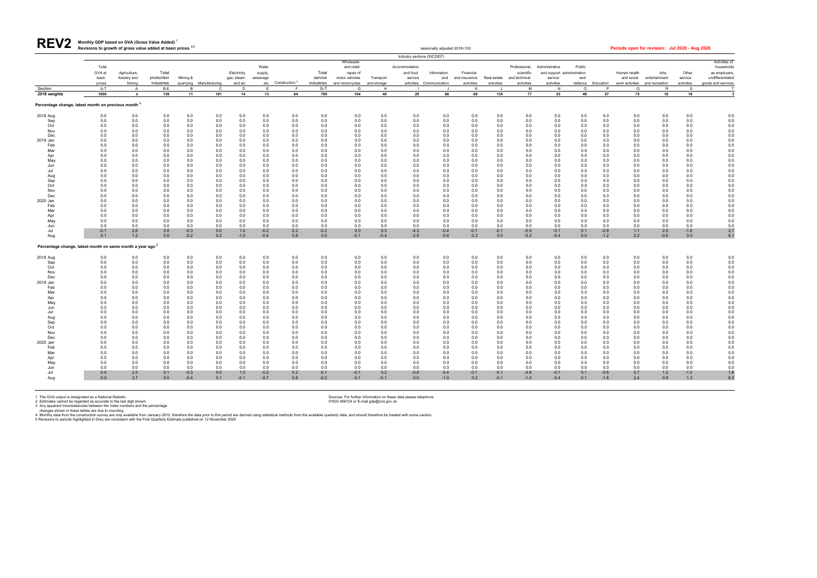| Revisions to growth of gross value added at basic prices <sup>2,3</sup> | seasonally adjusted 2018=100 | Periods open for revision: Jul 2020 - Aug 2020 |
|-------------------------------------------------------------------------|------------------------------|------------------------------------------------|

**Monthly GDP based on GVA (Gross Value Added) <sup>1</sup> REV2**

1 The GVA output is designated as a National Statistic.<br>2 Estimates cannot be regarded as accurate to the last digit shown. Sources: For further information on these data please telephone<br>3 Any apparent inconsistencies bet

|                                                                       |                 |                         |                          |            |                         |                       |                  |                               |                       |                                       |                          | Industry sections (SIC2007) |                                 |                             |                           |                             |                       |                                      |                   |              |                                                 |                       |                                              |
|-----------------------------------------------------------------------|-----------------|-------------------------|--------------------------|------------|-------------------------|-----------------------|------------------|-------------------------------|-----------------------|---------------------------------------|--------------------------|-----------------------------|---------------------------------|-----------------------------|---------------------------|-----------------------------|-----------------------|--------------------------------------|-------------------|--------------|-------------------------------------------------|-----------------------|----------------------------------------------|
|                                                                       | Total<br>GVA at | Agriculture,            | Total                    |            |                         | Electricity           | Water<br>supply, |                               | Total                 | Wholesale<br>and retail:<br>repair of |                          | Accommodation<br>and food   | Information                     | Financial                   |                           | Professional,<br>scientific | Administrative        | Public<br>and support administration |                   | Human health | Arts,                                           | Other                 | Activities of<br>households<br>as employers, |
|                                                                       | basic<br>prices | forestry and<br>fishing | production<br>industries | Mining &   | quarrying Manufacturing | gas, steam<br>and air | sewerage         | etc Construction <sup>4</sup> | service<br>industries | motor vehicles<br>and motorcycles     | Transport<br>and storage | service                     | and<br>activities Communication | and insurance<br>activities | Real estate<br>activities | and technical<br>activities | service<br>activities | and                                  | defence Education | and social   | entertainment<br>work activities and recreation | service<br>activities | undifferentiated<br>goods and services       |
| ection                                                                | A-T             | $\mathsf{A}$            | B-E                      | <b>B</b>   | $\mathbf{C}$            | D                     | E                | F                             | $G-T$                 | G                                     | H                        |                             |                                 | K                           |                           | M                           | N                     | $\circ$                              | P                 | $\mathsf Q$  | R                                               | $\mathbf{s}$          |                                              |
| 18 weights                                                            | 1000            | 6                       | 139                      | 11         | 101                     | 14                    | 13               | 64                            | 790                   | 104                                   | 40                       | 29                          | 66                              | 68                          | 135                       | 77                          | 53                    | 49                                   | 57                | 75           | 16                                              | 18                    | $\overline{\mathbf{3}}$                      |
| centage change, latest month on previous month $^{\mathbf{3},}$       |                 |                         |                          |            |                         |                       |                  |                               |                       |                                       |                          |                             |                                 |                             |                           |                             |                       |                                      |                   |              |                                                 |                       |                                              |
| 18 Aug                                                                | 0.0             | 0.0                     | 0.0                      | 0.0        | 0.0                     | 0.0                   | 0.0              | 0.0                           | 0.0                   | 0.0                                   | 0.0                      | 0.0                         | 0.0                             | 0.0                         | 0.0                       | 0.0                         | 0.0                   | 0.0                                  | 0.0               | 0.0          | 0.0                                             | 0.0                   | 0.0                                          |
| Sep<br>Oct                                                            | 0.0<br>0.0      | 0.0<br>0.0              | 0.0<br>0.0               | 0.0<br>0.0 | 0.0<br>0.0              | 0.0<br>0.0            | 0.0<br>0.0       | 0.0<br>0.0                    | 0.0<br>0.0            | 0.0<br>0.0                            | 0.0<br>0.0               | 0.0<br>0.0                  | 0.0<br>0.0                      | 0.0<br>0.0                  | 0.0<br>0.0                | 0.0<br>0.0                  | 0.0<br>0.0            | 0.0<br>0.0                           | 0.0<br>0.0        | 0.0<br>0.0   | 0.0<br>0.0                                      | 0.0<br>0.0            | 0.0<br>0.0                                   |
| Nov                                                                   | 0.0             | 0.0                     | 0.0                      | 0.0        | 0.0                     | 0.0                   | 0.0              | 0.0                           | 0.0                   | 0.0                                   | 0.0                      | 0.0                         | 0.0                             | 0.0                         | 0.0                       | 0.0                         | 0.0                   | 0.0                                  | 0.0               | 0.0          | 0.0                                             | 0.0                   | 0.0                                          |
| Dec                                                                   | 0.0             | 0.0                     | 0.0                      | 0.0        | 0.0                     | 0.0                   | 0.0              | 0.0                           | 0.0                   | 0.0                                   | 0.0                      | 0.0                         | 0.0                             | 0.0                         | 0.0                       | 0.0                         | 0.0                   | 0.0                                  | 0.0               | 0.0          | 0.0                                             | 0.0                   | 0.0                                          |
| 9 Jan<br>Feb                                                          | 0.0<br>0.0      | 0.0<br>0.0              | 0.0<br>0.0               | 0.0<br>0.0 | 0.0<br>0.0              | 0.0<br>0.0            | 0.0<br>0.0       | 0.0<br>0.0                    | 0.0<br>0.0            | 0.0<br>0.0                            | 0.0<br>0.0               | 0.0<br>0.0                  | 0.0<br>0.0                      | 0.0<br>0.0                  | 0.0                       | 0.0                         | 0.0<br>0.0            | 0.0<br>0.0                           | 0.0<br>0.0        | 0.0<br>0.0   | 0.0<br>0.0                                      | 0.0<br>0.0            | 0.0<br>0.0                                   |
| Mar                                                                   | 0.0             | 0.0                     | 0.0                      | 0.0        | 0.0                     | 0.0                   | 0.0              | 0.0                           | 0.0                   | 0.0                                   | 0.0                      | 0.0                         | 0.0                             | 0.0                         | 0.0<br>0.0                | 0.0<br>0.0                  | 0.0                   | 0.0                                  | 0.0               | 0.0          | 0.0                                             | 0.0                   | 0.0                                          |
| Apr                                                                   | 0.0             | 0.0                     | 0.0                      | 0.0        | 0.0                     | 0.0                   | 0.0              | 0.0                           | 0.0                   | 0.0                                   | 0.0                      | 0.0                         | 0.0                             | 0.0                         | 0.0                       | 0.0                         | 0.0                   | 0.0                                  | 0.0               | 0.0          | 0.0                                             | 0.0                   | 0.0                                          |
| May                                                                   | 0.0             | 0.0                     | 0.0                      | 0.0        | 0.0                     | 0.0                   | 0.0              | 0.0                           | 0.0                   | 0.0                                   | 0.0                      | 0.0                         | 0.0                             | 0.0                         | 0.0                       | 0.0                         | 0.0                   | 0.0                                  | 0.0               | 0.0          | 0.0                                             | 0.0                   | 0.0                                          |
| Jun                                                                   | 0.0<br>0.0      | 0.0                     | 0.0<br>0.0               | 0.0<br>0.0 | 0.0                     | 0.0<br>0.0            | 0.0<br>0.0       | 0.0<br>0.0                    | 0.0<br>0.0            | 0.0                                   | 0.0                      | 0.0<br>0.0                  | 0.0                             | 0.0<br>0.0                  | 0.0<br>0.0                | 0.0<br>0.0                  | 0.0                   | 0.0                                  | 0.0<br>0.0        | 0.0<br>0.0   | 0.0<br>0.0                                      | 0.0<br>0.0            | 0.0<br>0.0                                   |
| Jul<br>Aug                                                            | 0.0             | 0.0<br>0.0              | 0.0                      | 0.0        | 0.0<br>0.0              | 0.0                   | 0.0              | 0.0                           | 0.0                   | 0.0<br>0.0                            | 0.0<br>0.0               | 0.0                         | 0.0<br>0.0                      | 0.0                         | 0.0                       | 0.0                         | 0.0<br>0.0            | 0.0<br>0.0                           | 0.0               | 0.0          | 0.0                                             | 0.0                   | 0.0                                          |
| Sep                                                                   | 0.0             | 0.0                     | 0.0                      | 0.0        | 0.0                     | 0.0                   | 0.0              | 0.0                           | 0.0                   | 0.0                                   | 0.0                      | 0.0                         | 0.0                             | 0.0                         | 0.0                       | 0.0                         | 0.0                   | 0.0                                  | 0.0               | 0.0          | 0.0                                             | 0.0                   | 0.0                                          |
| Oct                                                                   | 0.0             | 0.0                     | 0.0                      | 0.0        | 0.0                     | 0.0                   | 0.0              | 0.0                           | 0.0                   | 0.0                                   | 0.0                      | 0.0                         | 0.0                             | 0.0                         | 0.0                       | 0.0                         | 0.0                   | 0.0                                  | 0.0               | 0.0          | 0.0                                             | 0.0                   | 0.0                                          |
| Nov<br>Dec                                                            | 0.0<br>0.0      | 0.0<br>0.0              | 0.0<br>0.0               | 0.0<br>0.0 | 0.0<br>0.0              | 0.0<br>0.0            | 0.0<br>0.0       | 0.0<br>0.0                    | 0.0<br>0.0            | 0.0<br>0.0                            | 0.0<br>0.0               | 0.0<br>0.0                  | 0.0<br>0.0                      | 0.0<br>0.0                  | 0.0<br>0.0                | 0.0<br>0.0                  | 0.0<br>0.0            | 0.0<br>0.0                           | 0.0<br>0.0        | 0.0<br>0.0   | 0.0<br>0.0                                      | 0.0<br>0.0            | 0.0<br>0.0                                   |
| 20 Jan                                                                | 0.0             | 0.0                     | 0.0                      | 0.0        | 0.0                     | 0.0                   | 0.0              | 0.0                           | 0.0                   | 0.0                                   | 0.0                      | 0.0                         | 0.0                             | 0.0                         | 0.0                       | 0.0                         | 0.0                   | 0.0                                  | 0.0               | 0.0          | 0.0                                             | 0.0                   | 0.0                                          |
| Feb                                                                   | 0.0             | 0.0                     | 0.0                      | 0.0        | 0.0                     | 0.0                   | 0.0              | 0.0                           | 0.0                   | 0.0                                   | 0.0                      | 0.0                         | 0.0                             | 0.0                         | 0.0                       | 0.0                         | 0.0                   | 0.0                                  | 0.0               | 0.0          | 0.0                                             | 0.0                   | 0.0                                          |
| Mar                                                                   | 0.0             | 0.0                     | 0.0                      | 0.0        | 0.0                     | 0.0                   | 0.0              | 0.0                           | 0.0                   | 0.0                                   | 0.0                      | 0.0                         | 0.0                             | 0.0                         | 0.0                       | 0.0                         | 0.0                   | 0.0                                  | 0.0               | 0.0          | 0.0                                             | 0.0                   | 0.0                                          |
| Apr<br>May                                                            | 0.0<br>0.0      | 0.0<br>0.0              | 0.0<br>0.0               | 0.0<br>0.0 | 0.0<br>0.0              | 0.0<br>0.0            | 0.0<br>0.0       | 0.0<br>0.0                    | 0.0<br>0.0            | 0.0<br>0.0                            | 0.0<br>0.0               | 0.0<br>0.0                  | 0.0<br>0.0                      | 0.0<br>0.0                  | 0.0<br>0.0                | 0.0<br>0.0                  | 0.0<br>0.0            | 0.0<br>0.0                           | 0.0<br>0.0        | 0.0<br>0.0   | 0.0<br>0.0                                      | 0.0<br>0.0            | 0.0<br>0.0                                   |
| Jun                                                                   | 0.0             | 0.0                     | 0.0                      | 0.0        | 0.0                     | 0.0                   | 0.0              | 0.0                           | 0.0                   | 0.0                                   | 0.0                      | 0.0                         | 0.0                             | 0.0                         | 0.0                       | 0.0                         | 0.0                   | 0.0                                  | 0.0               | 0.0          | 0.0                                             | 0.0                   | 0.0                                          |
| Jul                                                                   | $-0.1$          | 2.6                     | 0.0                      | $-0.3$     | 0.0                     | 1.0                   | $-0.2$           | 0.2                           | $-0.2$                | 0.0                                   | 0.3                      | $-4.3$                      | $-0.4$                          | $-0.1$                      | $-0.1$                    | $-0.9$                      | $-0.1$                | 0.1                                  | $-0.8$            | 1.1          | 2.0                                             | $-1.8$                | 2.7                                          |
| Aug                                                                   | 0.1             | 1.2                     | 0.0                      | $-0.2$     | 0.2                     | $-1.0$                | $-0.4$           | 0.8                           | 0.0                   | $-0.1$                                | $-0.4$                   | $-2.9$                      | $-0.6$                          | 0.3                         | 0.0                       | $-0.2$                      | $-0.4$                | 0.0                                  | $-1.2$            | 2.2          | $-0.6$                                          | 3.0                   | $6.1\,$                                      |
| ercentage change, latest month on same month a year ago <sup>3,</sup> |                 |                         |                          |            |                         |                       |                  |                               |                       |                                       |                          |                             |                                 |                             |                           |                             |                       |                                      |                   |              |                                                 |                       |                                              |
| 18 Aug                                                                | 0.0             | 0.0                     | 0.0                      | 0.0        | 0.0                     | 0.0                   | 0.0              | 0.0                           | 0.0                   | 0.0                                   | 0.0                      | 0.0                         | 0.0                             | 0.0                         | 0.0                       | 0.0                         | 0.0                   | 0.0                                  | 0.0               | 0.0          | 0.0                                             | 0.0                   | 0.0                                          |
| Sep                                                                   | 0.0             | 0.0                     | 0.0                      | 0.0        | 0.0                     | 0.0                   | 0.0              | 0.0                           | 0.0                   | 0.0                                   | 0.0                      | 0.0                         | 0.0                             | 0.0                         | 0.0                       | 0.0                         | 0.0                   | 0.0                                  | 0.0               | 0.0          | 0.0                                             | 0.0                   | 0.0                                          |
| Oct<br>Nov                                                            | 0.0<br>0.0      | 0.0<br>0.0              | 0.0<br>0.0               | 0.0<br>0.0 | 0.0<br>0.0              | 0.0<br>0.0            | 0.0<br>0.0       | 0.0<br>0.0                    | 0.0<br>0.0            | 0.0<br>0.0                            | 0.0<br>0.0               | 0.0<br>0.0                  | 0.0<br>0.0                      | 0.0<br>0.0                  | 0.0<br>0.0                | 0.0<br>0.0                  | 0.0<br>0.0            | 0.0<br>0.0                           | 0.0<br>0.0        | 0.0<br>0.0   | 0.0<br>0.0                                      | 0.0<br>0.0            | 0.0<br>0.0                                   |
| Dec                                                                   | 0.0             | 0.0                     | 0.0                      | 0.0        | 0.0                     | 0.0                   | 0.0              | 0.0                           | 0.0                   | 0.0                                   | 0.0                      | 0.0                         | 0.0                             | 0.0                         | 0.0                       | 0.0                         | 0.0                   | 0.0                                  | 0.0               | 0.0          | 0.0                                             | 0.0                   | 0.0                                          |
| 9 Jan                                                                 | 0.0             | 0.0                     | 0.0                      | 0.0        | 0.0                     | 0.0                   | 0.0              | 0.0                           | 0.0                   | 0.0                                   | 0.0                      | 0.0                         | 0.0                             | 0.0                         | 0.0                       | 0.0                         | 0.0                   | 0.0                                  | 0.0               | 0.0          | 0.0                                             | 0.0                   | 0.0                                          |
| Feb                                                                   | 0.0             | 0.0                     | 0.0                      | 0.0        | 0.0                     | 0.0                   | 0.0              | 0.0                           | 0.0                   | 0.0                                   | 0.0                      | 0.0                         | 0.0                             | 0.0                         | 0.0                       | 0.0                         | 0.0                   | 0.0                                  | 0.0               | 0.0          | 0.0                                             | 0.0                   | 0.0                                          |
| Mar<br>Apr                                                            | 0.0<br>0.0      | 0.0<br>0.0              | 0.0<br>0.0               | 0.0<br>0.0 | 0.0<br>0.0              | 0.0<br>0.0            | 0.0<br>0.0       | 0.0<br>0.0                    | 0.0<br>0.0            | 0.0<br>0.0                            | 0.0<br>0.0               | 0.0<br>0.0                  | 0.0<br>0.0                      | 0.0<br>0.0                  | 0.0<br>0.0                | 0.0<br>0.0                  | 0.0<br>0.0            | 0.0<br>0.0                           | 0.0<br>0.0        | 0.0<br>0.0   | 0.0<br>0.0                                      | 0.0<br>0.0            | 0.0<br>0.0                                   |
| May                                                                   | 0.0             | 0.0                     | 0.0                      | 0.0        | 0.0                     | 0.0                   | 0.0              | 0.0                           | 0.0                   | 0.0                                   | 0.0                      | 0.0                         | 0.0                             | 0.0                         | 0.0                       | 0.0                         | 0.0                   | 0.0                                  | 0.0               | 0.0          | 0.0                                             | 0.0                   | 0.0                                          |
| Jun                                                                   | 0.0             | 0.0                     | 0.0                      | 0.0        | 0.0                     | 0.0                   | 0.0              | 0.0                           | 0.0                   | 0.0                                   | 0.0                      | 0.0                         | 0.0                             | 0.0                         | 0.0                       | 0.0                         | 0.0                   | 0.0                                  | 0.0               | 0.0          | 0.0                                             | 0.0                   | 0.0                                          |
| Jul                                                                   | 0.0<br>0.0      | 0.0<br>0.0              | 0.0<br>0.0               | 0.0<br>0.0 | 0.0<br>0.0              | 0.0<br>0.0            | 0.0<br>0.0       | 0.0<br>0.0                    | 0.0<br>0.0            | 0.0<br>0.0                            | 0.0<br>0.0               | 0.0<br>0.0                  | 0.0<br>0.0                      | 0.0<br>0.0                  | 0.0<br>0.0                | 0.0<br>0.0                  | 0.0<br>0.0            | 0.0<br>0.0                           | 0.0<br>0.0        | 0.0<br>0.0   | 0.0<br>0.0                                      | 0.0<br>0.0            | 0.0<br>0.0                                   |
| Aug<br>Sep                                                            | 0.0             | 0.0                     | 0.0                      | 0.0        | 0.0                     | 0.0                   | 0.0              | 0.0                           | 0.0                   | 0.0                                   | 0.0                      | 0.0                         | 0.0                             | 0.0                         | 0.0                       | 0.0                         | 0.0                   | 0.0                                  | 0.0               | 0.0          | 0.0                                             | 0.0                   | 0.0                                          |
| Oct                                                                   | 0.0             | 0.0                     | 0.0                      | 0.0        | 0.0                     | 0.0                   | 0.0              | 0.0                           | 0.0                   | 0.0                                   | 0.0                      | 0.0                         | 0.0                             | 0.0                         | 0.0                       | 0.0                         | 0.0                   | 0.0                                  | 0.0               | 0.0          | 0.0                                             | 0.0                   | 0.0                                          |
| Nov                                                                   | 0.0             | 0.0                     | 0.0                      | 0.0        | 0.0                     | 0.0                   | 0.0              | 0.0                           | 0.0                   | 0.0                                   | 0.0                      | 0.0                         | 0.0                             | 0.0                         | 0.0                       | 0.0                         | 0.0                   | 0.0                                  | 0.0               | 0.0          | 0.0                                             | 0.0                   | 0.0                                          |
| Dec                                                                   | 0.0<br>0.0      | 0.0                     | 0.0<br>0.0               | 0.0<br>0.0 | 0.0                     | 0.0<br>0.0            | 0.0<br>0.0       | 0.0<br>0.0                    | 0.0<br>0.0            | 0.0<br>0.0                            | 0.0<br>0.0               | 0.0<br>0.0                  | 0.0                             | 0.0<br>0.0                  | 0.0                       | 0.0                         | 0.0                   | 0.0                                  | 0.0<br>0.0        | 0.0<br>0.0   | 0.0<br>0.0                                      | 0.0<br>0.0            | 0.0<br>0.0                                   |
| 20 Jan<br>Feb                                                         | 0.0             | 0.0<br>0.0              | 0.0                      | 0.0        | 0.0<br>0.0              | 0.0                   | 0.0              | 0.0                           | 0.0                   | 0.0                                   | 0.0                      | 0.0                         | 0.0<br>0.0                      | 0.0                         | 0.0<br>0.0                | 0.0<br>0.0                  | 0.0<br>0.0            | 0.0<br>0.0                           | 0.0               | 0.0          | 0.0                                             | 0.0                   | 0.0                                          |
| Mar                                                                   | 0.0             | 0.0                     | 0.0                      | 0.0        | 0.0                     | 0.0                   | 0.0              | 0.0                           | 0.0                   | 0.0                                   | 0.0                      | 0.0                         | 0.0                             | 0.0                         | 0.0                       | 0.0                         | 0.0                   | 0.0                                  | 0.0               | 0.0          | 0.0                                             | 0.0                   | 0.0                                          |
| Apr                                                                   | 0.0             | 0.0                     | 0.0                      | 0.0        | 0.0                     | 0.0                   | 0.0              | 0.0                           | 0.0                   | 0.0                                   | 0.0                      | 0.0                         | 0.0                             | 0.0                         | 0.0                       | 0.0                         | 0.0                   | 0.0                                  | 0.0               | 0.0          | 0.0                                             | 0.0                   | 0.0                                          |
| May<br>Jun                                                            | 0.0<br>0.0      | 0.0<br>0.0              | 0.0<br>0.0               | 0.0<br>0.0 | 0.0<br>0.0              | 0.0<br>0.0            | 0.0<br>0.0       | 0.0<br>0.0                    | 0.0<br>0.0            | 0.0<br>0.0                            | 0.0<br>0.0               | 0.0<br>0.0                  | 0.0<br>0.0                      | 0.0<br>0.0                  | 0.0<br>0.0                | 0.0<br>0.0                  | 0.0<br>0.0            | 0.0<br>0.0                           | 0.0<br>0.0        | 0.0<br>0.0   | 0.0<br>0.0                                      | 0.0<br>0.0            | 0.0<br>0.0                                   |
| Jul                                                                   | 0.0             | 2.5                     | 0.1                      | $-0.3$     | 0.0                     | 1.0                   | $-0.2$           | 0.2                           | $-0.1$                | $-0.1$                                | 0.2                      | $-0.8$                      | $-0.4$                          | $-0.1$                      | $-0.1$                    | $-0.8$                      | $-0.1$                | 0.1                                  | $-0.6$            | 0.7          | 1.2                                             | $-1.0$                | 1.6                                          |
| Aug                                                                   | 0.0             | 3.7                     | 0.0                      | $-0.4$     | 0.1                     | $-0.1$                | $-0.7$           | 0.8                           | $-0.2$                | $-0.1$                                | $-0.1$                   | $-3.0$                      | $-1.0$                          | 0.2                         | $-0.1$                    | $-1.0$                      | $-0.4$                | 0.1                                  | $-1.6$            | 2.4          | 0.8                                             | 1.3                   | 6.3                                          |
|                                                                       |                 |                         |                          |            |                         |                       |                  |                               |                       |                                       |                          |                             |                                 |                             |                           |                             |                       |                                      |                   |              |                                                 |                       |                                              |

|                                                                        |                 |                           |                   |          |                                         |               |          |                                    |                     |                      |                  | Industry sections (SIC2007) |                                    |                 |             |                 |                            |          |                        |              |                                     |                            |                    |
|------------------------------------------------------------------------|-----------------|---------------------------|-------------------|----------|-----------------------------------------|---------------|----------|------------------------------------|---------------------|----------------------|------------------|-----------------------------|------------------------------------|-----------------|-------------|-----------------|----------------------------|----------|------------------------|--------------|-------------------------------------|----------------------------|--------------------|
|                                                                        |                 |                           |                   |          |                                         |               |          |                                    |                     | Wholesale            |                  |                             |                                    |                 |             |                 |                            |          |                        |              |                                     |                            | Activities of      |
|                                                                        | Total           |                           |                   |          |                                         |               | Water    |                                    |                     | and retail:          |                  | Accommodation               |                                    |                 |             | Professional,   | Administrative             | Public   |                        |              |                                     |                            | households         |
|                                                                        | GVA at          | Agriculture,              | Total             |          |                                         | Electricity   | supply   |                                    | Total               | repair of            |                  | and food                    | Information                        | Financial       |             | scientific      | and support administration |          |                        | Human health | Arts,                               | Other                      | as employers.      |
|                                                                        | basic           | forestry and              | production        | Mining & |                                         | gas, steam    | sewerage |                                    | service             | motor vehicles       | Transport        | service                     | and                                | and insurance   | Real estate | and technical   | service                    | and      |                        | and social   | entertainment                       | service                    | undifferentiated   |
|                                                                        | prices<br>$A-T$ | fishing<br>$\overline{A}$ | industries<br>B-E | <b>B</b> | quarrying Manufacturing<br>$\mathsf{C}$ | and air<br>n. | E        | etc Construction <sup>4</sup><br>E | industries<br>$G-T$ | and motorcycles<br>G | and storage<br>H |                             | activities Communication<br>$\Box$ | activities<br>K | activities  | activities<br>M | activities<br>N            | $\Omega$ | defence Education<br>P | $\Omega$     | work activities and recreation<br>R | activities<br>$\mathbf{s}$ | goods and services |
| Section<br>2018 weights                                                |                 |                           |                   |          |                                         |               |          |                                    |                     |                      |                  |                             |                                    |                 |             |                 |                            |          |                        |              |                                     |                            |                    |
|                                                                        | 1000            | 6                         | 139               | 11       | 101                                     | 14            | 13       | 64                                 | 790                 | 104                  | 40               | 29                          | 66                                 | 68              | 135         | 77              | 53                         | 49       | 57                     | 75           | 16                                  | 18                         |                    |
| Percentage change, latest month on previous month 3,                   |                 |                           |                   |          |                                         |               |          |                                    |                     |                      |                  |                             |                                    |                 |             |                 |                            |          |                        |              |                                     |                            |                    |
| 2018 Aug                                                               | 0.0             | 0.0                       | 0.0               | 0.0      | 0.0                                     | 0.0           | 0.0      | 0.0                                | 0.0                 | 0.0                  | 0.0              | 0.0                         | 0.0                                | 0.0             | 0.0         | 0.0             | 0.0                        | 0.0      | 0.0                    | 0.0          | 0.0                                 | 0.0                        | 0.0                |
| Sep                                                                    | 0.0             | 0.0                       | 0.0               | 0.0      | 0.0                                     | 0.0           | 0.0      | 0.0                                | 0.0                 | 0.0                  | 0.0              | 0.0                         | 0.0                                | 0.0             | 0.0         | 0.0             | 0.0                        | 0.0      | 0.0                    | 0.0          | 0.0                                 | 0.0                        | 0. <sub>C</sub>    |
| Oct                                                                    | 0.0             | 0.0                       | 0.0               | 0.0      | 0.0                                     | 0.0           | 0.0      | 0.0                                | 0.0                 | 0.0                  | 0.0              | 0.0                         | 0.0                                | 0.0             | 0.0         | 0.0             | 0.0                        | 0.0      | 0.0                    | 0.0          | 0.0                                 | 0.0                        | 0.0                |
| Nov                                                                    | 0.0             | 0.0                       | 0.0               | 0.0      | 0.0                                     | 0.0           | 0.0      | 0.0                                | 0.0                 | 0.0                  | 0.0              | 0.0                         | 0.0                                | 0.0             | 0.0         | 0.0             | 0.0                        | 0.0      | 0.0                    | 0.0          | 0.0                                 | 0.0                        | 0.0                |
| Dec                                                                    | 0.0             | 0.0                       | 0.0               | 0.0      | 0.0                                     | 0.0           | 0.0      | 0.0                                | 0.0                 | 0.0                  | 0.0              | 0.0                         | 0.0                                | 0.0             | 0.0         | 0.0             | 0.0                        | 0.0      | 0.0                    | 0.0          | 0.0                                 | 0.0                        | 0.0                |
| 2019 Jan                                                               | 0.0             | 0.0                       | 0.0               | 0.0      | 0.0                                     | 0.0           | 0.0      | 0.0                                | 0.0                 | 0.0                  | 0.0              | 0.0                         | 0.0                                | 0.0             | 0.0         | 0.0             | 0.0                        | 0.0      | 0.0                    | 0.0          | 0.0                                 | 0.0                        | 0.0                |
| Feb                                                                    | 0.0             | 0.0                       | 0.0               | 0.0      | 0.0                                     | 0.0           | 0.0      | 0.0                                | 0.0                 | 0.0                  | 0.0              | 0.0                         | 0.0                                | 0.0             | 0.0         | 0.0             | 0.0                        | 0.0      | 0.0                    | 0.0          | 0.0                                 | 0.0                        | 0.0                |
| Mar                                                                    | 0.0             | 0.0                       | 0.0               | 0.0      | 0.0                                     | 0.0           | 0.0      | 0.0                                | 0.0                 | 0.0                  | 0.0              | 0.0                         | 0.0                                | 0.0             | 0.0         | 0.0             | 0.0                        | 0.0      | 0.0                    | 0.0          | 0.0                                 | 0.0                        | 0.0                |
| Apr                                                                    | 0.0             | 0.0                       | 0.0               | 0.0      | 0.0                                     | 0.0           | 0.0      | 0.0                                | 0.0                 | 0.0                  | 0.0              | 0.0                         | 0.0                                | 0.0             | 0.0         | 0.0             | 0.0                        | 0.0      | 0.0                    | 0.0          | 0.0                                 | 0.0                        | 0.0                |
| May                                                                    | 0.0             | 0.0                       | 0.0               | 0.0      | 0.0                                     | 0.0           | 0.0      | 0.0                                | 0.0                 | 0.0                  | 0.0              | 0.0                         | 0.0                                | 0.0             | 0.0         | 0.0             | 0.0                        | 0.0      | 0.0                    | 0.0          | 0.0                                 | 0.0                        | 0. <sub>C</sub>    |
| Jun                                                                    | 0.0             | 0.0                       | 0.0               | 0.0      | 0.0                                     | 0.0           | 0.0      | 0.0                                | 0.0                 | 0.0                  | 0.0              | 0.0                         | 0.0                                | 0.0             | 0.0         | 0.0             | 0.0                        | 0.0      | 0.0                    | 0.0          | 0.0                                 | 0.0                        | 0.0                |
| Jul                                                                    | 0.0             | 0.0                       | 0.0               | 0.0      | 0.0                                     | 0.0           | 0.0      | 0.0                                | 0.0                 | 0.0                  | 0.0              | 0.0                         | 0.0                                | 0.0             | 0.0         | 0.0             | 0.0                        | 0.0      | 0.0                    | 0.0          | 0.0                                 | 0.0                        | 0.0                |
| Aug                                                                    | 0.0             | 0.0                       | 0.0               | 0.0      | 0.0                                     | 0.0           | 0.0      | 0.0                                | 0.0                 | 0.0                  | 0.0              | 0.0                         | 0.0                                | 0.0             | 0.0         | 0.0             | 0.0                        | 0.0      | 0.0                    | 0.0          | 0.0                                 | 0.0                        | 0.0                |
| Sep                                                                    | 0.0             | 0.0                       | 0.0               | 0.0      | 0.0                                     | 0.0           | 0.0      | 0.0                                | 0.0                 | 0.0                  | 0.0              | 0.0                         | 0.0                                | 0.0             | 0.0         | 0.0             | 0.0                        | 0.0      | 0.0                    | 0.0          | 0.0                                 | 0.0                        | 0.0                |
| Oct                                                                    | 0.0             | 0.0                       | 0.0               | 0.0      | 0.0                                     | 0.0           | 0.0      | 0.0                                | 0.0                 | 0.0                  | 0.0              | 0.0                         | 0.0                                | 0.0             | 0.0         | 0.0             | 0.0                        | 0.0      | 0.0                    | 0.0          | 0.0                                 | 0.0                        | 0. <sub>C</sub>    |
| Nov                                                                    | 0.0             | 0.0                       | 0.0               | 0.0      | 0.0                                     | 0.0           | 0.0      | 0.0                                | 0.0                 | 0.0                  | 0.0              | 0.0                         | 0.0                                | 0.0             | 0.0         | 0.0             | 0.0                        | 0.0      | 0.0                    | 0.0          | 0.0                                 | 0.0                        | 0.0                |
| Dec                                                                    | 0.0             | 0.0                       | 0.0               | 0.0      | 0.0                                     | 0.0           | 0.0      | 0.0                                | 0.0                 | 0.0                  | 0.0              | 0.0                         | 0.0                                | 0.0             | 0.0         | 0.0             | 0.0                        | 0.0      | 0.0                    | 0.0          | 0.0                                 | 0.0                        | 0.0                |
| 2020 Jan                                                               | 0.0             | 0.0                       | 0.0               | 0.0      | 0.0                                     | 0.0           | 0.0      | 0.0                                | 0.0                 | 0.0                  | 0.0              | 0.0                         | 0.0                                | 0.0             | 0.0         | 0.0             | 0.0                        | 0.0      | 0.0                    | 0.0          | 0.0                                 | 0.0                        | 0.0                |
| Feb                                                                    | 0.0             | 0.0                       | 0.0               | 0.0      | 0.0                                     | 0.0           | 0.0      | 0.0                                | 0.0                 | 0.0                  | 0.0              | 0.0                         | 0.0                                | 0.0             | 0.0         | 0.0             | 0.0                        | 0.0      | 0.0                    | 0.0          | 0.0                                 | 0.0                        | 0.0                |
| Mar                                                                    | 0.0             | 0.0                       | 0.0               | 0.0      | 0.0                                     | 0.0           | 0.0      | 0.0                                | 0.0                 | 0.0                  | 0.0              | 0.0                         | 0.0                                | 0.0             | 0.0         | 0.0             | 0.0                        | 0.0      | 0.0                    | 0.0          | 0.0                                 | 0.0                        | 0.0                |
| Apr                                                                    | 0.0             | 0.0                       | 0.0               | 0.0      | 0.0                                     | 0.0           | 0.0      | 0.0                                | 0.0                 | 0.0                  | 0.0              | 0.0                         | 0.0                                | 0.0             | 0.0         | 0.0             | 0.0                        | 0.0      | 0.0                    | 0.0          | 0.0                                 | 0.0                        | 0.0                |
| May                                                                    | 0.0             | 0.0                       | 0.0               | 0.0      | 0.0                                     | 0.0           | 0.0      | 0.0                                | 0.0                 | 0.0                  | 0.0              | 0.0                         | 0.0                                | 0.0             | 0.0         | 0.0             | 0.0                        | 0.0      | 0.0                    | 0.0          | 0.0                                 | 0.0                        | 0. <sub>C</sub>    |
| Jun                                                                    | 0.0             | 0.0                       | 0.0               | 0.0      | 0.0                                     | 0.0           | 0.0      | 0.0                                | 0.0                 | 0.0                  | 0.0              | 0.0                         | 0.0                                | 0.0             | 0.0         | 0.0             | 0.0                        | 0.0      | 0.0                    | 0.0          | 0.0                                 | 0.0                        | 0.0                |
| Jul                                                                    | $-0.1$          | 2.6                       | 0.0               | $-0.3$   | 0.0                                     | 1.0           | $-0.2$   | 0.2                                | $-0.2$              | 0.0                  | 0.3              | $-4.3$                      | $-0.4$                             | $-0.1$          | $-0.1$      | $-0.9$          | $-0.1$                     | 0.1      | $-0.8$                 | 1.1          | 2.0                                 | $-1.8$                     | 2.7                |
| Aug                                                                    | 0.1             | 1.2                       | 0.0               | $-0.2$   | 0.2                                     | $-1.0$        | $-0.4$   | 0.8                                | 0.0                 | $-0.1$               | $-0.4$           | $-2.9$                      | $-0.6$                             | 0.3             | 0.0         | $-0.2$          | $-0.4$                     | 0.0      | $-1.2$                 | 2.2          | $-0.6$                              | 3.0                        | 6.1                |
| Percentage change, latest month on same month a year ago <sup>3,</sup> |                 |                           |                   |          |                                         |               |          |                                    |                     |                      |                  |                             |                                    |                 |             |                 |                            |          |                        |              |                                     |                            |                    |
| 2018 Aug                                                               | 0.0             | 0.0                       | 0.0               | 0.0      | 0.0                                     | 0.0           | 0.0      | 0.0                                | 0.0                 | 0.0                  | 0.0              | 0.0                         | 0.0                                | 0.0             | 0.0         | 0.0             | 0.0                        | 0.0      | 0.0                    | 0.0          | 0.0                                 | 0.0                        | 0.0                |
| Sep                                                                    | 0.0             | 0.0                       | 0.0               | 0.0      | 0.0                                     | 0.0           | 0.0      | 0.0                                | 0.0                 | 0.0                  | 0.0              | 0.0                         | 0.0                                | 0.0             | 0.0         | 0.0             | 0.0                        | 0.0      | 0.0                    | 0.0          | 0.0                                 | 0.0                        | 0.0                |
| Oct                                                                    | 0.0             | 0.0                       | 0.0               | 0.0      | 0.0                                     | 0.0           | 0.0      | 0.0                                | 0.0                 | 0.0                  | 0.0              | 0.0                         | 0.0                                | 0.0             | 0.0         | 0.0             | 0.0                        | 0.0      | 0.0                    | 0.0          | 0.0                                 | 0.0                        | 0.0                |
| Nov                                                                    | 0.0             | 0.0                       | 0.0               | 0.0      | 0.0                                     | 0.0           | 0.0      | 0.0                                | 0.0                 | 0.0                  | 0.0              | 0.0                         | 0.0                                | 0.0             | 0.0         | 0.0             | 0.0                        | 0.0      | 0.0                    | 0.0          | 0.0                                 | 0.0                        | 0.0                |
| Dec                                                                    | 0.0             | 0.0                       | 0.0               | 0.0      | 0.0                                     | 0.0           | 0.0      | 0.0                                | 0.0                 | 0.0                  | 0.0              | 0.0                         | 0.0                                | 0.0             | 0.0         | 0.0             | 0.0                        | 0.0      | 0.0                    | 0.0          | 0.0                                 | 0.0                        | 0.0                |
| 2019 Jan                                                               | 0.0             | 0.0                       | 0.0               | 0.0      | 0.0                                     | 0.0           | 0.0      | 0.0                                | 0.0                 | 0.0                  | 0.0              | 0.0                         | 0.0                                | 0.0             | 0.0         | 0.0             | 0.0                        | 0.0      | 0.0                    | 0.0          | 0.0                                 | 0.0                        | 0. <sub>C</sub>    |
| Feb                                                                    | 0.0             | 0.0                       | 0.0               | 0.0      | 0.0                                     | 0.0           | 0.0      | 0.0                                | 0.0                 | 0.0                  | 0.0              | 0.0                         | 0.0                                | 0.0             | 0.0         | 0.0             | 0.0                        | 0.0      | 0.0                    | 0.0          | 0.0                                 | 0.0                        | 0. <sub>C</sub>    |
| Mar                                                                    | 0.0             | 0.0                       | 0.0               | 0.0      | 0.0                                     | 0.0           | 0.0      | 0.0                                | 0.0                 | 0.0                  | 0.0              | 0.0                         | 0.0                                | 0.0             | 0.0         | 0.0             | 0.0                        | 0.0      | 0.0                    | 0.0          | 0.0                                 | 0.0                        | 0.0                |
| Apr                                                                    | 0.0             | 0.0                       | 0.0               | 0.0      | 0.0                                     | 0.0           | 0.0      | 0.0                                | 0.0                 | 0.0                  | 0.0              | 0.0                         | 0.0                                | 0.0             | 0.0         | 0.0             | 0.0                        | 0.0      | 0.0                    | 0.0          | 0.0                                 | 0.0                        | 0.0                |
| May                                                                    | 0.0             | 0.0                       | 0.0               | 0.0      | 0.0                                     | 0.0           | 0.0      | 0.0                                | 0.0                 | 0.0                  | 0.0              | 0.0                         | 0.0                                | 0.0             | 0.0         | 0.0             | 0.0                        | 0.0      | 0.0                    | 0.0          | 0.0                                 | 0.0                        | 0.0                |
| Jun                                                                    | 0.0             | 0.0                       | 0.0               | 0.0      | 0.0                                     | 0.0           | 0.0      | 0.0                                | 0.0                 | 0.0                  | 0.0              | 0.0                         | 0.0                                | 0.0             | 0.0         | 0.0             | 0.0                        | 0.0      | 0.0                    | 0.0          | 0.0                                 | 0.0                        | 0. <sub>C</sub>    |
| Jul                                                                    | 0.0             | 0.0                       | 0.0               | 0.0      | 0.0                                     | 0.0           | 0.0      | 0.0                                | 0.0                 | 0.0                  | 0.0              | 0.0                         | 0.0                                | 0.0             | 0.0         | 0.0             | 0.0                        | 0.0      | 0.0                    | 0.0          | 0.0                                 | 0.0                        | 0.0                |
| Aug                                                                    | 0.0             | 0.0                       | 0.0               | 0.0      | 0.0                                     | 0.0           | 0.0      | 0.0                                | 0.0                 | 0.0                  | 0.0              | 0.0                         | 0.0                                | 0.0             | 0.0         | 0.0             | 0.0                        | 0.0      | 0.0                    | 0.0          | 0.0                                 | 0.0                        | 0.0                |
| Sep                                                                    | 0.0             | 0.0                       | 0.0               | 0.0      | 0.0                                     | 0.0           | 0.0      | 0.0                                | 0.0                 | 0.0                  | 0.0              | 0.0                         | 0.0                                | 0.0             | 0.0         | 0.0             | 0.0                        | 0.0      | 0.0                    | 0.0          | 0.0                                 | 0.0                        | 0.0                |
| Oct                                                                    | 0.0             | 0.0                       | 0.0               | 0.0      | 0.0                                     | 0.0           | 0.0      | 0.0                                | 0.0                 | 0.0                  | 0.0              | 0.0                         | 0.0                                | 0.0             | 0.0         | 0.0             | 0.0                        | 0.0      | 0.0                    | 0.0          | 0.0                                 | 0.0                        | 0. <sub>C</sub>    |
| Nov                                                                    | 0.0             | 0.0                       | 0.0               | 0.0      | 0.0                                     | 0.0           | 0.0      | 0.0                                | 0.0                 | 0.0                  | 0.0              | 0.0                         | 0.0                                | 0.0             | 0.0         | 0.0             | 0.0                        | 0.0      | 0.0                    | 0.0          | 0.0                                 | 0.0                        | 0. <sub>C</sub>    |
| Dec                                                                    | 0.0             | 0.0                       | 0.0               | 0.0      | 0.0                                     | 0.0           | 0.0      | 0.0                                | 0.0                 | 0.0                  | 0.0              | 0.0                         | 0.0                                | 0.0             | 0.0         | 0.0             | 0.0                        | 0.0      | 0.0                    | 0.0          | 0.0                                 | 0.0                        | 0.0                |
| 2020 Jan                                                               | 0.0             | 0.0                       | 0.0               | 0.0      | 0.0                                     | 0.0           | 0.0      | 0.0                                | 0.0                 | 0.0                  | 0.0              | 0.0                         | 0.0                                | 0.0             | 0.0         | 0.0             | 0.0                        | 0.0      | 0.0                    | 0.0          | 0.0                                 | 0.0                        | 0.0                |
| Feb                                                                    | 0.0             | 0.0                       | 0.0               | 0.0      | 0.0                                     | 0.0           | 0.0      | 0.0                                | 0.0                 | 0.0                  | 0.0              | 0.0                         | 0.0                                | 0.0             | 0.0         | 0.0             | 0.0                        | 0.0      | 0.0                    | 0.0          | 0.0                                 | 0.0                        | 0.0                |
| Mar                                                                    | 0.0             | 0.0                       | 0.0               | 0.0      | 0.0                                     | 0.0           | 0.0      | 0.0                                | 0.0                 | 0.0                  | 0.0              | 0.0                         | 0.0                                | 0.0             | 0.0         | 0.0             | 0.0                        | 0.0      | 0.0                    | 0.0          | 0.0                                 | 0.0                        | 0. <sub>C</sub>    |
| Apr                                                                    | 0.0             | 0.0                       | 0.0               | 0.0      | 0.0                                     | 0.0           | 0.0      | 0.0                                | 0.0                 | 0.0                  | 0.0              | 0.0                         | 0.0                                | 0.0             | 0.0         | 0.0             | 0.0                        | 0.0      | 0.0                    | 0.0          | 0.0                                 | 0.0                        | 0.0                |
| May                                                                    | 0.0             | 0.0                       | 0.0               | 0.0      | 0.0                                     | 0.0           | 0.0      | 0.0                                | 0.0                 | 0.0                  | 0.0              | 0.0                         | 0.0                                | 0.0             | 0.0         | 0.0             | 0.0                        | 0.0      | 0.0                    | 0.0          | 0.0                                 | 0.0                        | 0.0                |
| Jun                                                                    | 0.0             | 0.0                       | 0.0               | 0.0      | 0.0                                     | 0.0           | 0.0      | 0.0                                | 0.0                 | 0.0                  | 0.0              | 0.0                         | 0.0                                | 0.0             | 0.0         | 0.0             | 0.0                        | 0.0      | 0.0                    | 0.0          | 0.0                                 | 0.0                        | 0.0                |
| Jul                                                                    | 0.0             | 2.5                       | 0.1               | $-0.3$   | 0.0                                     | 1.0           | $-0.2$   | 0.2                                | $-0.1$              | $-0.1$               | 0.2              | $-0.8$                      | $-0.4$                             | $-0.1$          | $-0.1$      | $-0.8$          | $-0.1$                     | 0.1      | $-0.6$                 | 0.7          | 1.2                                 | $-1.0$                     | 1.6                |
| Aug                                                                    | 0.0             | 3.7                       | 0.0               | $-0.4$   | 0.1                                     | $-0.1$        | $-0.7$   | 0.8                                | $-0.2$              | $-0.1$               | $-0.1$           | $-3.0$                      | $-1.0$                             | 0.2             | $-0.1$      | $-1.0$          | $-0.4$                     | 0.1      | $-1.6$                 | 2.4          | 0.8                                 | 1.3                        | 6.3                |
|                                                                        |                 |                           |                   |          |                                         |               |          |                                    |                     |                      |                  |                             |                                    |                 |             |                 |                            |          |                        |              |                                     |                            |                    |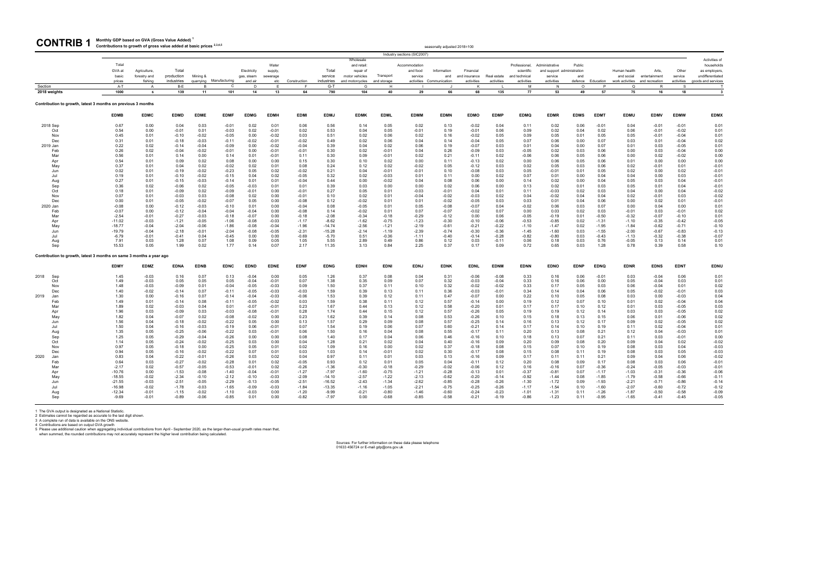seasonally adjusted 2018=100

1 The GVA output is designated as a National Statistic.<br>2 Estimates cannot be regarded as accurate to the last digit shown.<br>3 A complete run of data is available on the ONS website.<br>4 Contributions are based on output GVA

#### **Monthly GDP based on GVA (Gross Value Added) <sup>1</sup>** CONTRIB 1 Monthly GDP based on GVA (Gross Value Added)

|                                                                     |                     |                    |                    |                    |                         |                    |                    |                    |                     |                         |                    | Industry sections (SIC2007) |                          |                    |                    |                             |                                              |              |                    |                    |                    |                    |                            |
|---------------------------------------------------------------------|---------------------|--------------------|--------------------|--------------------|-------------------------|--------------------|--------------------|--------------------|---------------------|-------------------------|--------------------|-----------------------------|--------------------------|--------------------|--------------------|-----------------------------|----------------------------------------------|--------------|--------------------|--------------------|--------------------|--------------------|----------------------------|
|                                                                     | Total               |                    |                    |                    |                         |                    |                    |                    |                     | Wholesale               |                    |                             |                          |                    |                    |                             |                                              |              |                    |                    |                    |                    | Activities of              |
|                                                                     | GVA at              | Agriculture,       | Total              |                    |                         | Electricity        | Water<br>supply,   |                    | Total               | and retail<br>repair of |                    | Accommodation<br>and food   | Information              | Financial          |                    | Professional,<br>scientific | Administrative<br>and support administration | Public       |                    | Human health       | <b>Arts</b>        | Other              | households<br>as employers |
|                                                                     | basic               | forestry and       | production         | Mining &           |                         | gas, steam         | sewerage           |                    | service             | motor vehicles          | Transport          | service                     | and                      | and insurance      | Real estate        | and technical               | service                                      | and          |                    | and social         | entertainment      | service            | undifferentiated           |
|                                                                     | prices              | fishing            | industries         |                    | quarrying Manufacturing | and air            | etc                | Construction       | industries          | and motorcycles         | and storage        |                             | activities Communication | activities         | activities         | activities                  | activities                                   | defence      | Education          | work activities    | and recreation     | activities         | goods and services         |
| Section                                                             | A-T                 | A                  | B-E                | B                  | C                       | D                  | E.                 |                    | $G-T$               | G                       | H                  |                             |                          |                    |                    | M                           | <b>N</b>                                     | $\Omega$     | P                  | $\Omega$           | R                  | S                  |                            |
| 2018 weights                                                        | 1000                | 6                  | 139                | 11                 | 101                     | 14                 | 13                 | 64                 | 790                 | 104                     | 40                 | 29                          | 66                       | 68                 | 135                | 77                          | 53                                           | 49           | 57                 | 75                 | 16                 | 18                 | $\overline{\mathbf{3}}$    |
| Contribution to growth, latest 3 months on previous 3 months        |                     |                    |                    |                    |                         |                    |                    |                    |                     |                         |                    |                             |                          |                    |                    |                             |                                              |              |                    |                    |                    |                    |                            |
|                                                                     | <b>EDMB</b>         | <b>EDMC</b>        | <b>EDMD</b>        | <b>EDME</b>        | <b>EDMF</b>             | <b>EDMG</b>        | <b>EDMH</b>        | <b>EDMI</b>        | <b>EDMJ</b>         | <b>EDMK</b>             | <b>EDML</b>        | <b>EDMM</b>                 | <b>EDMN</b>              | <b>EDMO</b>        | <b>EDMP</b>        | <b>EDMQ</b>                 | <b>EDMR</b>                                  | <b>EDMS</b>  | <b>EDMT</b>        | <b>EDMU</b>        | <b>EDMV</b>        | <b>EDMW</b>        | <b>EDMX</b>                |
| 2018 Sep                                                            | 0.67                | 0.00               | 0.04               | 0.03               | $-0.01$                 | 0.02               | 0.01               | 0.06               | 0.56                | 0.14                    | 0.05               | 0.02                        | 0.13                     | $-0.02$            | 0.04               | 0.11                        | 0.02                                         | 0.06         | $-0.01$            | 0.04               | $-0.01$            | $-0.01$            | 0.01                       |
| Oct                                                                 | 0.54                | 0.00               | $-0.01$            | 0.01               | $-0.03$                 | 0.02               | $-0.01$            | 0.02               | 0.53                | 0.04                    | 0.05               | $-0.01$                     | 0.19                     | $-0.01$            | 0.06               | 0.09                        | 0.02                                         | 0.04         | 0.02               | 0.06               | $-0.01$            | $-0.02$            | 0.01                       |
| Nov<br>Dec                                                          | 0.45<br>0.31        | 0.01<br>0.01       | $-0.10$<br>$-0.18$ | $-0.02$<br>$-0.03$ | $-0.05$<br>$-0.11$      | 0.00<br>$-0.02$    | $-0.02$<br>$-0.01$ | 0.03<br>$-0.02$    | 0.51<br>0.49        | 0.02<br>0.02            | 0.06<br>0.06       | 0.02<br>0.04                | 0.16<br>0.14             | $-0.02$<br>$-0.04$ | 0.05<br>0.05       | 0.09<br>0.07                | 0.05<br>0.06                                 | 0.01<br>0.00 | 0.05<br>0.07       | 0.05<br>0.03       | $-0.01$<br>0.01    | $-0.04$<br>$-0.04$ | 0.01<br>0.02               |
| 2019 Jan                                                            | 0.22                | 0.02               | $-0.14$            | $-0.04$            | $-0.09$                 | 0.00               | $-0.02$            | $-0.04$            | 0.39                | 0.04                    | 0.02               | 0.06                        | 0.19                     | $-0.07$            | 0.03               | 0.01                        | 0.04                                         | 0.00         | 0.07               | 0.01               | 0.03               | $-0.05$            | 0.01                       |
| Feb                                                                 | 0.26                | 0.02               | $-0.04$            | $-0.02$            | $-0.01$                 | 0.00               | $-0.01$            | $-0.01$            | 0.30                | 0.02                    | $-0.01$            | 0.04                        | 0.26                     | $-0.09$            | 0.03               | $-0.05$                     | 0.02                                         | 0.03         | 0.06               | 0.00               | 0.03               | $-0.04$            | 0.00                       |
| Mar                                                                 | 0.56                | 0.01               | 0.14               | 0.00               | 0.14                    | 0.01               | $-0.01$            | 0.11               | 0.30                | 0.09                    | $-0.01$            | 0.02                        | 0.21                     | $-0.11$            | 0.02               | $-0.06$                     | 0.06                                         | 0.05         | 0.06               | 0.00               | 0.02               | $-0.02$            | 0.00                       |
| Apr                                                                 | 0.54                | 0.01               | 0.09               | 0.02               | 0.08                    | 0.00               | 0.00               | 0.15               | 0.30                | 0.10                    | 0.02               | 0.00                        | 0.11                     | $-0.13$            | 0.02               | 0.00                        | 0.06                                         | 0.05         | 0.06               | 0.01               | 0.00               | 0.00               | 0.00                       |
| May                                                                 | 0.37                | 0.01               | 0.04               | 0.02               | $-0.02$                 | 0.02               | 0.01               | 0.08               | 0.24                | 0.12                    | 0.02               | $-0.02$                     | 0.05                     | $-0.12$            | 0.03               | 0.02                        | 0.05                                         | 0.03         | 0.06               | 0.02               | $-0.01$            | 0.01               | $-0.01$                    |
| Jun                                                                 | 0.02                | 0.01               | $-0.19$            | $-0.02$            | $-0.23$                 | 0.05               | 0.02               | $-0.02$            | 0.21                | 0.04                    | $-0.01$            | $-0.01$                     | 0.10                     | $-0.08$            | 0.03               | 0.05                        | $-0.01$                                      | 0.01         | 0.05               | 0.02               | 0.00               | 0.02               | $-0.01$                    |
| Jul                                                                 | 0.19                | 0.01               | $-0.10$            | $-0.02$            | $-0.15$                 | 0.04               | 0.02               | $-0.05$            | 0.32                | 0.02                    | $-0.03$            | 0.01                        | 0.11                     | 0.00               | 0.02               | 0.07                        | 0.01                                         | 0.00         | 0.04               | 0.04               | 0.00               | 0.03               | $-0.01$                    |
| Aug                                                                 | 0.27                | 0.01               | $-0.15$            | $-0.03$            | $-0.14$                 | 0.01               | 0.01               | $-0.04$            | 0.44<br>0.39        | 0.00                    | $-0.02$            | 0.04                        | 0.08                     | 0.06               | 0.00               | 0.14                        | 0.02                                         | 0.00         | 0.04               | 0.05               | 0.03               | 0.04               | $-0.01$<br>$-0.01$         |
| Sep<br>Oct                                                          | 0.36<br>0.18        | 0.02<br>0.01       | $-0.06$<br>$-0.09$ | 0.02<br>0.02       | $-0.05$<br>$-0.09$      | $-0.03$<br>$-0.01$ | 0.01<br>0.00       | 0.01<br>$-0.01$    | 0.27                | 0.03<br>0.05            | 0.00<br>0.01       | 0.00<br>$-0.03$             | 0.02<br>$-0.01$          | 0.06<br>0.04       | 0.00<br>0.01       | 0.13<br>0.11                | 0.02<br>$-0.03$                              | 0.01<br>0.02 | 0.03<br>0.03       | 0.05<br>0.04       | 0.01<br>0.00       | 0.04<br>0.04       | $-0.02$                    |
| Nov                                                                 | 0.07                | 0.01               | $-0.03$            | 0.03               | $-0.08$                 | 0.02               | 0.00               | $-0.01$            | 0.10                | 0.02                    | 0.01               | $-0.04$                     | $-0.02$                  | $-0.03$            | 0.02               | 0.04                        | $-0.02$                                      | 0.04         | 0.04               | 0.02               | $-0.01$            | 0.03               | $-0.02$                    |
| Dec                                                                 | 0.00                | 0.01               | $-0.05$            | $-0.02$            | $-0.07$                 | 0.05               | 0.00               | $-0.08$            | 0.12                | $-0.02$                 | 0.01               | 0.01                        | $-0.02$                  | $-0.05$            | 0.03               | 0.03                        | 0.01                                         | 0.04         | 0.06               | 0.00               | 0.02               | 0.01               | $-0.01$                    |
| 2020 Jan                                                            | $-0.08$             | 0.00               | $-0.12$            | $-0.03$            | $-0.10$                 | 0.01               | 0.00               | $-0.04$            | 0.08                | $-0.05$                 | 0.01               | 0.05                        | $-0.08$                  | $-0.07$            | 0.04               | $-0.02$                     | 0.06                                         | 0.03         | 0.07               | 0.00               | 0.04               | 0.00               | 0.01                       |
| Feb                                                                 | $-0.07$             | 0.00               | $-0.12$            | $-0.04$            | $-0.04$                 | $-0.04$            | 0.00               | $-0.08$            | 0.14                | $-0.02$                 | 0.01               | 0.07                        | $-0.07$                  | $-0.02$            | 0.07               | 0.00                        | 0.03                                         | 0.02         | 0.03               | $-0.01$            | 0.03               | $-0.01$            | 0.02                       |
| Mar                                                                 | $-2.54$             | $-0.01$            | $-0.27$            | $-0.03$            | $-0.18$                 | $-0.07$            | 0.00               | $-0.18$            | $-2.08$             | $-0.34$                 | $-0.18$            | $-0.29$                     | $-0.12$                  | 0.00               | 0.06               | $-0.05$                     | $-0.19$                                      | 0.01         | $-0.50$            | $-0.32$            | $-0.07$            | $-0.10$            | 0.01                       |
| Apr                                                                 | $-11.02$            | $-0.03$            | $-1.21$            | $-0.05$            | $-1.06$                 | $-0.08$            | $-0.03$            | $-1.17$            | $-8.62$             | $-1.62$                 | $-0.75$            | $-1.23$                     | $-0.30$                  | $-0.10$            | $-0.06$            | $-0.53$                     | $-0.85$                                      | 0.02         | $-1.31$            | $-1.10$            | $-0.35$            | $-0.42$            | $-0.05$                    |
| May                                                                 | $-18.77$            | $-0.04$            | $-2.04$            | $-0.06$            | $-1.86$                 | $-0.08$            | $-0.04$            | $-1.96$            | $-14.74$            | $-2.56$                 | $-1.21$            | $-2.19$                     | $-0.61$                  | $-0.21$            | $-0.22$            | $-1.10$                     | $-1.47$                                      | 0.02         | $-1.95$            | $-1.84$            | $-0.62$            | $-0.71$            | $-0.10$                    |
| Jun<br>.lul                                                         | $-19.79$<br>$-6.79$ | $-0.04$<br>$-0.01$ | $-2.18$<br>$-0.41$ | $-0.01$<br>0.04    | $-2.04$<br>$-0.45$      | $-0.08$<br>0.00    | $-0.05$<br>0.00    | $-2.31$<br>$-0.69$ | $-15.28$<br>$-5.70$ | $-2.14$                 | $-1.19$<br>$-0.36$ | $-2.39$<br>$-1.11$          | $-0.74$<br>$-0.40$       | $-0.30$<br>$-0.14$ | $-0.36$            | $-1.45$<br>$-0.82$          | $-1.60$                                      | 0.03<br>0.03 | $-1.55$<br>$-0.43$ | $-2.00$<br>$-1.13$ | $-0.67$<br>$-0.32$ | $-0.83$<br>$-0.38$ | $-0.13$                    |
| Aug                                                                 | 7.91                | 0.03               | 1.28               | 0.07               | 1.08                    | 0.09               | 0.05               | 1.05               | 5.55                | 0.51<br>2.89            | 0.49               | 0.86                        | 0.12                     | 0.03               | $-0.28$<br>$-0.11$ | 0.06                        | $-0.80$<br>0.18                              | 0.03         | 0.76               | $-0.05$            | 0.13               | 0.14               | $-0.07$<br>0.01            |
| Sep                                                                 | 15.53               | 0.05               | 1.99               | 0.02               | 1.77                    | 0.14               | 0.07               | 2.17               | 11.35               | 3.13                    | 0.84               | 2.25                        | 0.37                     | 0.17               | 0.09               | 0.72                        | 0.65                                         | 0.03         | 1.28               | 0.78               | 0.39               | 0.58               | 0.10                       |
| Contribution to growth, latest 3 months on same 3 months a year ago |                     |                    |                    |                    |                         |                    |                    |                    |                     |                         |                    |                             |                          |                    |                    |                             |                                              |              |                    |                    |                    |                    |                            |
|                                                                     | <b>EDMY</b>         | <b>EDMZ</b>        | <b>EDNA</b>        | <b>EDNB</b>        | <b>EDNC</b>             | <b>EDND</b>        | <b>EDNE</b>        | <b>EDNF</b>        | <b>EDNG</b>         | <b>EDNH</b>             | <b>EDNI</b>        | <b>EDNJ</b>                 | <b>EDNK</b>              | <b>EDNL</b>        | <b>EDNM</b>        | <b>EDNN</b>                 | <b>EDNO</b>                                  | <b>EDNP</b>  | <b>EDNQ</b>        | <b>EDNR</b>        | <b>EDNS</b>        | <b>EDNT</b>        | <b>EDNU</b>                |
| 2018<br>Sep                                                         | 1.45                | $-0.03$            | 0.16               | 0.07               | 0.13                    | $-0.04$            | 0.00               | 0.05               | 1.26                | 0.37                    | 0.08               | 0.04                        | 0.31                     | $-0.06$            | $-0.08$            | 0.33                        | 0.16                                         | 0.06         | $-0.01$            | 0.03               | $-0.04$            | 0.06               | 0.01                       |
| Oct                                                                 | 1.49                | $-0.03$            | 0.05               | 0.05               | 0.05                    | $-0.04$            | $-0.01$            | 0.07               | 1.38                | 0.35                    | 0.09               | 0.07                        | 0.32                     | $-0.03$            | $-0.04$            | 0.33                        | 0.16                                         | 0.06         | 0.00               | 0.05               | $-0.04$            | 0.03               | 0.01                       |
| Nov                                                                 | 1.48                | $-0.03$            | $-0.09$            | 0.01               | $-0.04$                 | $-0.05$            | $-0.03$            | 0.09               | 1.50                | 0.37                    | 0.11               | 0.10                        | 0.32                     | $-0.02$            | $-0.02$            | 0.33                        | 0.17                                         | 0.05         | 0.03               | 0.06               | $-0.04$            | 0.01               | 0.02                       |
| Dec                                                                 | 1.40                | $-0.02$            | $-0.14$            | 0.07               | $-0.11$                 | $-0.05$            | $-0.03$            | $-0.03$            | 1.59                | 0.39                    | 0.13               | 0.11                        | 0.36                     | $-0.03$            | $-0.01$            | 0.34                        | 0.14                                         | 0.04         | 0.06               | 0.05               | $-0.02$            | $-0.01$            | 0.03                       |
| 2019<br>Jan                                                         | 1.30                | 0.00               | $-0.16$            | 0.07               | $-0.14$                 | $-0.04$            | $-0.03$            | $-0.06$            | 1.53                | 0.39                    | 0.12               | 0.11                        | 0.47                     | $-0.07$            | 0.00               | 0.22                        | 0.10                                         | 0.05         | 0.08               | 0.03               | 0.00               | $-0.03$            | 0.04                       |
| Feb                                                                 | 1.49                | 0.01               | $-0.14$            | 0.08               | $-0.11$                 | $-0.05$            | $-0.02$            | 0.03               | 1.59                | 0.38                    | 0.11               | 0.12                        | 0.57                     | $-0.14$            | 0.00               | 0.19                        | 0.12                                         | 0.07         | 0.10               | 0.01               | 0.02               | $-0.04$            | 0.04                       |
| Mar                                                                 | 1.89<br>1.96        | 0.02<br>0.03       | $-0.03$<br>$-0.09$ | 0.04<br>0.03       | 0.01<br>$-0.03$         | $-0.07$<br>$-0.08$ | $-0.01$<br>$-0.01$ | 0.23<br>0.28       | 1.67<br>1.74        | 0.44<br>0.44            | 0.13<br>0.15       | 0.12<br>0.12                | 0.58<br>0.57             | $-0.20$<br>$-0.26$ | 0.01<br>0.05       | 0.17<br>0.19                | 0.17<br>0.19                                 | 0.10         | 0.12<br>0.14       | 0.01<br>0.03       | 0.03<br>0.03       | $-0.05$<br>$-0.05$ | 0.03<br>0.02               |
| Apr<br>May                                                          | 1.82                | 0.04               | $-0.07$            | 0.02               | $-0.08$                 | $-0.02$            | 0.00               | 0.23               | 1.62                | 0.39                    | 0.14               | 0.08                        | 0.53                     | $-0.26$            | 0.10               | 0.15                        | 0.18                                         | 0.12<br>0.13 | 0.15               | 0.06               | 0.01               | $-0.06$            | 0.02                       |
| Jun                                                                 | 1.56                | 0.04               | $-0.18$            | $-0.02$            | $-0.22$                 | 0.05               | 0.00               | 0.13               | 1.57                | 0.29                    | 0.09               | 0.08                        | 0.57                     | $-0.25$            | 0.14               | 0.16                        | 0.13                                         | 0.12         | 0.17               | 0.09               | 0.02               | $-0.05$            | 0.02                       |
| Jul                                                                 | 1.50                | 0.04               | $-0.16$            | $-0.03$            | $-0.19$                 | 0.06               | $-0.01$            | 0.07               | 1.54                | 0.19                    | 0.06               | 0.07                        | 0.60                     | $-0.21$            | 0.14               | 0.17                        | 0.14                                         | 0.10         | 0.19               | 0.11               | 0.02               | $-0.04$            | 0.01                       |
| Aug                                                                 | 1.35                | 0.05               | $-0.25$            | $-0.06$            | $-0.22$                 | 0.03               | $-0.01$            | 0.06               | 1.50                | 0.16                    | 0.04               | 0.08                        | 0.55                     | $-0.17$            | 0.11               | 0.20                        | 0.13                                         | 0.08         | 0.21               | 0.12               | 0.04               | $-0.03$            | 0.01                       |
| Sep                                                                 | 1.25                | 0.05               | $-0.29$            | $-0.04$            | $-0.26$                 | 0.00               | 0.00               | 0.08               | 1.40                | 0.17                    | 0.04               | 0.06                        | 0.46                     | $-0.16$            | 0.10               | 0.18                        | 0.13                                         | 0.07         | 0.21               | 0.11               | 0.03               | $-0.01$            | 0.00                       |
| Oct                                                                 | 1.14                | 0.05               | $-0.24$            | $-0.02$            | $-0.25$                 | 0.03               | 0.00               | 0.04               | 1.28                | 0.21                    | 0.02               | 0.04                        | 0.40                     | $-0.16$            | 0.09               | 0.20                        | 0.09                                         | 0.08         | 0.20               | 0.09               | 0.04               | 0.02               | $-0.02$                    |
| Nov                                                                 | 0.97                | 0.05               | $-0.18$            | 0.00               | $-0.25$                 | 0.05               | 0.01               | 0.02               | 1.09                | 0.16                    | 0.00               | 0.02                        | 0.37                     | $-0.18$            | 0.08               | 0.15                        | 0.07                                         | 0.10         | 0.19               | 0.08               | 0.03               | 0.04               | $-0.03$                    |
| Dec                                                                 | 0.94                | 0.05               | $-0.16$            | $-0.02$            | $-0.22$                 | 0.07               | 0.01               | 0.03               | 1.03                | 0.14                    | $-0.01$            | 0.02                        | 0.30                     | $-0.17$            | 0.08               | 0.15                        | 0.08                                         | 0.11         | 0.19               | 0.08               | 0.03               | 0.05               | $-0.03$                    |
| 2020<br>Jan                                                         | 0.83                | 0.04               | $-0.22$<br>$-0.27$ | $-0.01$            | $-0.26$                 | 0.03<br>0.01       | 0.02               | 0.04               | 0.97<br>0.93        | 0.11                    | 0.01               | 0.03<br>0.05                | 0.13                     | $-0.16$            | 0.09               | 0.17                        | 0.11                                         | 0.11         | 0.21               | 0.09<br>0.08       | 0.04<br>0.03       | 0.06               | $-0.02$<br>$-0.01$         |
| Feb<br>Mar                                                          | 0.64<br>$-2.17$     | 0.03<br>0.02       | $-0.57$            | $-0.02$<br>$-0.05$ | $-0.28$<br>$-0.53$      | $-0.01$            | 0.02<br>0.02       | $-0.05$<br>$-0.26$ | $-1.36$             | 0.12<br>$-0.30$         | 0.01<br>$-0.18$    | $-0.29$                     | 0.04<br>$-0.02$          | $-0.11$<br>$-0.06$ | 0.12<br>0.12       | 0.20<br>0.16                | 0.08<br>$-0.16$                              | 0.09<br>0.07 | 0.17<br>$-0.36$    | $-0.24$            | $-0.05$            | 0.06<br>$-0.03$    | $-0.01$                    |
| Apr                                                                 | $-10.76$            | 0.00               | $-1.53$            | $-0.08$            | $-1.40$                 | $-0.04$            | $-0.01$            | $-1.27$            | $-7.97$             | $-1.60$                 | $-0.75$            | $-1.21$                     | $-0.28$                  | $-0.13$            | 0.01               | $-0.37$                     | $-0.81$                                      | 0.07         | $-1.17$            | $-1.03$            | $-0.31$            | $-0.36$            | $-0.06$                    |
| May                                                                 | $-18.55$            | $-0.02$            | $-2.34$            | $-0.10$            | $-2.12$                 | $-0.10$            | $-0.03$            | $-2.09$            | $-14.10$            | $-2.57$                 | $-1.22$            | $-2.13$                     | $-0.62$                  | $-0.20$            | $-0.14$            | $-0.92$                     | $-1.44$                                      | 0.08         | $-1.85$            | $-1.79$            | $-0.58$            | $-0.66$            | $-0.11$                    |
| Jun                                                                 | $-21.55$            | $-0.03$            | $-2.51$            | $-0.05$            | $-2.29$                 | $-0.13$            | $-0.05$            | $-2.51$            | $-16.52$            | $-2.43$                 | $-1.34$            | $-2.62$                     | $-0.85$                  | $-0.28$            | $-0.26$            | $-1.30$                     | $-1.72$                                      | 0.09         | $-1.93$            | $-2.21$            | $-0.71$            | $-0.86$            | $-0.14$                    |
| Jul                                                                 | $-16.98$            | $-0.02$            | $-1.78$            | $-0.03$            | $-1.65$                 | $-0.09$            | $-0.03$            | $-1.84$            | $-13.35$            | $-1.16$                 | $-1.05$            | $-2.21$                     | $-0.75$                  | $-0.25$            | $-0.26$            | $-1.17$                     | $-1.54$                                      | 0.10         | $-1.60$            | $-2.07$            | $-0.60$            | $-0.72$            | $-0.12$                    |
| Aug                                                                 | $-12.34$            | $-0.01$            | $-1.15$            | $-0.02$            | $-1.10$                 | $-0.03$            | 0.00               | $-1.20$            | $-9.99$             | $-0.21$                 | $-0.80$            | $-1.46$                     | $-0.60$                  | $-0.24$            | $-0.23$            | $-1.01$                     | $-1.31$                                      | 0.11         | $-1.26$            | $-1.87$            | $-0.50$            | $-0.58$            | $-0.09$                    |
| Sep                                                                 | $-9.69$             | $-0.01$            | $-0.89$            | $-0.06$            | $-0.85$                 | 0.01               | 0.00               | $-0.82$            | $-7.97$             | 0.00                    | $-0.68$            | $-0.85$                     | $-0.58$                  | $-0.21$            | $-0.19$            | $-0.86$                     | $-1.23$                                      | 0.11         | $-0.95$            | $-1.65$            | $-0.41$            | $-0.45$            | $-0.05$                    |
|                                                                     |                     |                    |                    |                    |                         |                    |                    |                    |                     |                         |                    |                             |                          |                    |                    |                             |                                              |              |                    |                    |                    |                    |                            |

Sources: For further information on these data please telephone 01633 456724 or E-mail gdp@ons.gov.uk